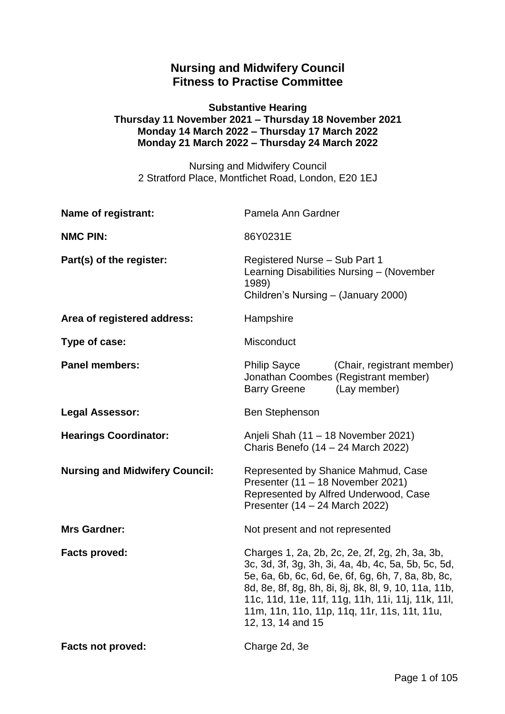# **Nursing and Midwifery Council Fitness to Practise Committee**

#### **Substantive Hearing Thursday 11 November 2021 – Thursday 18 November 2021 Monday 14 March 2022 – Thursday 17 March 2022 Monday 21 March 2022 – Thursday 24 March 2022**

Nursing and Midwifery Council 2 Stratford Place, Montfichet Road, London, E20 1EJ

| Name of registrant:                   | Pamela Ann Gardner                                                                                                                                                                                                                                                                                                                            |
|---------------------------------------|-----------------------------------------------------------------------------------------------------------------------------------------------------------------------------------------------------------------------------------------------------------------------------------------------------------------------------------------------|
| <b>NMC PIN:</b>                       | 86Y0231E                                                                                                                                                                                                                                                                                                                                      |
| Part(s) of the register:              | Registered Nurse - Sub Part 1<br>Learning Disabilities Nursing - (November<br>1989)<br>Children's Nursing - (January 2000)                                                                                                                                                                                                                    |
| Area of registered address:           | Hampshire                                                                                                                                                                                                                                                                                                                                     |
| Type of case:                         | Misconduct                                                                                                                                                                                                                                                                                                                                    |
| <b>Panel members:</b>                 | <b>Philip Sayce</b><br>(Chair, registrant member)<br>Jonathan Coombes (Registrant member)<br>(Lay member)<br><b>Barry Greene</b>                                                                                                                                                                                                              |
| <b>Legal Assessor:</b>                | <b>Ben Stephenson</b>                                                                                                                                                                                                                                                                                                                         |
| <b>Hearings Coordinator:</b>          | Anjeli Shah (11 – 18 November 2021)<br>Charis Benefo $(14 – 24$ March 2022)                                                                                                                                                                                                                                                                   |
| <b>Nursing and Midwifery Council:</b> | Represented by Shanice Mahmud, Case<br>Presenter (11 - 18 November 2021)<br>Represented by Alfred Underwood, Case<br>Presenter (14 - 24 March 2022)                                                                                                                                                                                           |
| <b>Mrs Gardner:</b>                   | Not present and not represented                                                                                                                                                                                                                                                                                                               |
| <b>Facts proved:</b>                  | Charges 1, 2a, 2b, 2c, 2e, 2f, 2g, 2h, 3a, 3b,<br>3c, 3d, 3f, 3g, 3h, 3i, 4a, 4b, 4c, 5a, 5b, 5c, 5d,<br>5e, 6a, 6b, 6c, 6d, 6e, 6f, 6g, 6h, 7, 8a, 8b, 8c,<br>8d, 8e, 8f, 8g, 8h, 8i, 8j, 8k, 8l, 9, 10, 11a, 11b,<br>11c, 11d, 11e, 11f, 11g, 11h, 11i, 11j, 11k, 11l,<br>11m, 11n, 11o, 11p, 11g, 11r, 11s, 11t, 11u,<br>12, 13, 14 and 15 |
| <b>Facts not proved:</b>              | Charge 2d, 3e                                                                                                                                                                                                                                                                                                                                 |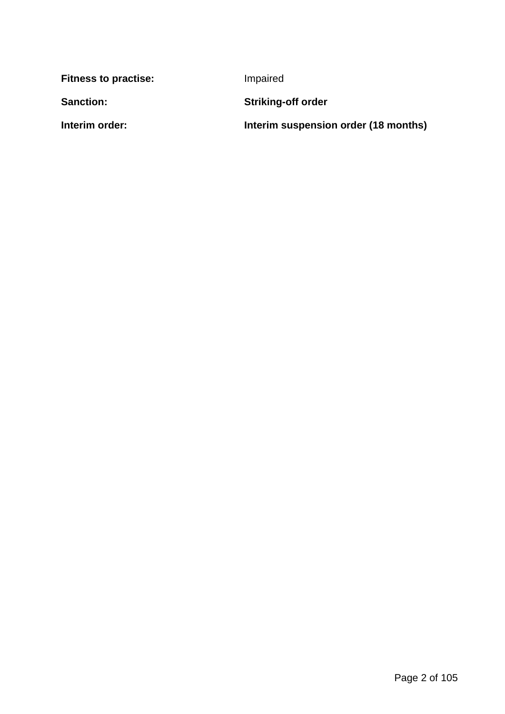| <b>Fitness to practise:</b> | Impaired                             |
|-----------------------------|--------------------------------------|
| <b>Sanction:</b>            | <b>Striking-off order</b>            |
| Interim order:              | Interim suspension order (18 months) |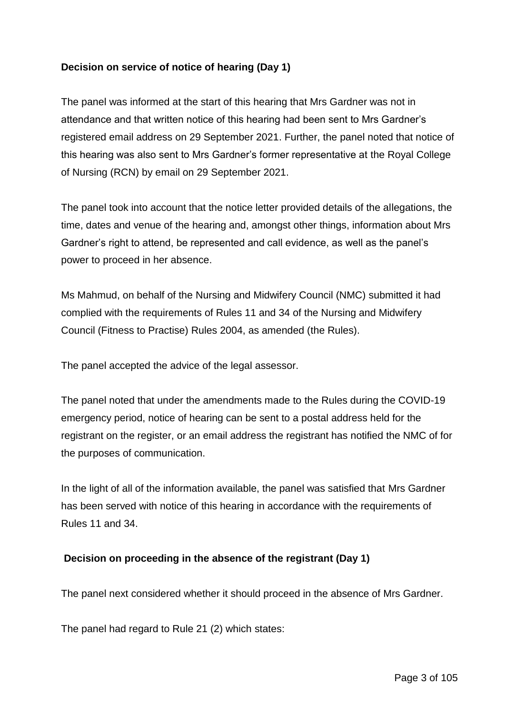# **Decision on service of notice of hearing (Day 1)**

The panel was informed at the start of this hearing that Mrs Gardner was not in attendance and that written notice of this hearing had been sent to Mrs Gardner's registered email address on 29 September 2021. Further, the panel noted that notice of this hearing was also sent to Mrs Gardner's former representative at the Royal College of Nursing (RCN) by email on 29 September 2021.

The panel took into account that the notice letter provided details of the allegations, the time, dates and venue of the hearing and, amongst other things, information about Mrs Gardner's right to attend, be represented and call evidence, as well as the panel's power to proceed in her absence.

Ms Mahmud, on behalf of the Nursing and Midwifery Council (NMC) submitted it had complied with the requirements of Rules 11 and 34 of the Nursing and Midwifery Council (Fitness to Practise) Rules 2004, as amended (the Rules).

The panel accepted the advice of the legal assessor.

The panel noted that under the amendments made to the Rules during the COVID-19 emergency period, notice of hearing can be sent to a postal address held for the registrant on the register, or an email address the registrant has notified the NMC of for the purposes of communication.

In the light of all of the information available, the panel was satisfied that Mrs Gardner has been served with notice of this hearing in accordance with the requirements of Rules 11 and 34.

# **Decision on proceeding in the absence of the registrant (Day 1)**

The panel next considered whether it should proceed in the absence of Mrs Gardner.

The panel had regard to Rule 21 (2) which states: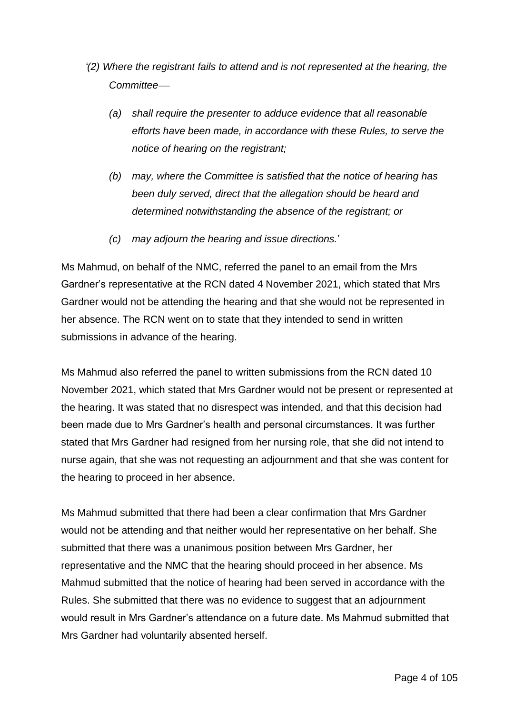- *'(2) Where the registrant fails to attend and is not represented at the hearing, the Committee*
	- *(a) shall require the presenter to adduce evidence that all reasonable efforts have been made, in accordance with these Rules, to serve the notice of hearing on the registrant;*
	- *(b) may, where the Committee is satisfied that the notice of hearing has been duly served, direct that the allegation should be heard and determined notwithstanding the absence of the registrant; or*
	- *(c) may adjourn the hearing and issue directions.*'

Ms Mahmud, on behalf of the NMC, referred the panel to an email from the Mrs Gardner's representative at the RCN dated 4 November 2021, which stated that Mrs Gardner would not be attending the hearing and that she would not be represented in her absence. The RCN went on to state that they intended to send in written submissions in advance of the hearing.

Ms Mahmud also referred the panel to written submissions from the RCN dated 10 November 2021, which stated that Mrs Gardner would not be present or represented at the hearing. It was stated that no disrespect was intended, and that this decision had been made due to Mrs Gardner's health and personal circumstances. It was further stated that Mrs Gardner had resigned from her nursing role, that she did not intend to nurse again, that she was not requesting an adjournment and that she was content for the hearing to proceed in her absence.

Ms Mahmud submitted that there had been a clear confirmation that Mrs Gardner would not be attending and that neither would her representative on her behalf. She submitted that there was a unanimous position between Mrs Gardner, her representative and the NMC that the hearing should proceed in her absence. Ms Mahmud submitted that the notice of hearing had been served in accordance with the Rules. She submitted that there was no evidence to suggest that an adjournment would result in Mrs Gardner's attendance on a future date. Ms Mahmud submitted that Mrs Gardner had voluntarily absented herself.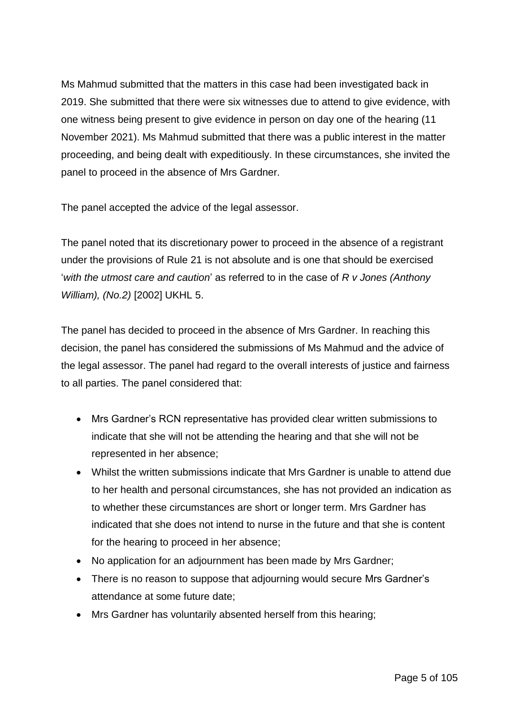Ms Mahmud submitted that the matters in this case had been investigated back in 2019. She submitted that there were six witnesses due to attend to give evidence, with one witness being present to give evidence in person on day one of the hearing (11 November 2021). Ms Mahmud submitted that there was a public interest in the matter proceeding, and being dealt with expeditiously. In these circumstances, she invited the panel to proceed in the absence of Mrs Gardner.

The panel accepted the advice of the legal assessor.

The panel noted that its discretionary power to proceed in the absence of a registrant under the provisions of Rule 21 is not absolute and is one that should be exercised '*with the utmost care and caution*' as referred to in the case of *R v Jones (Anthony William), (No.2)* [2002] UKHL 5.

The panel has decided to proceed in the absence of Mrs Gardner. In reaching this decision, the panel has considered the submissions of Ms Mahmud and the advice of the legal assessor. The panel had regard to the overall interests of justice and fairness to all parties. The panel considered that:

- Mrs Gardner's RCN representative has provided clear written submissions to indicate that she will not be attending the hearing and that she will not be represented in her absence;
- Whilst the written submissions indicate that Mrs Gardner is unable to attend due to her health and personal circumstances, she has not provided an indication as to whether these circumstances are short or longer term. Mrs Gardner has indicated that she does not intend to nurse in the future and that she is content for the hearing to proceed in her absence;
- No application for an adjournment has been made by Mrs Gardner;
- There is no reason to suppose that adjourning would secure Mrs Gardner's attendance at some future date;
- Mrs Gardner has voluntarily absented herself from this hearing;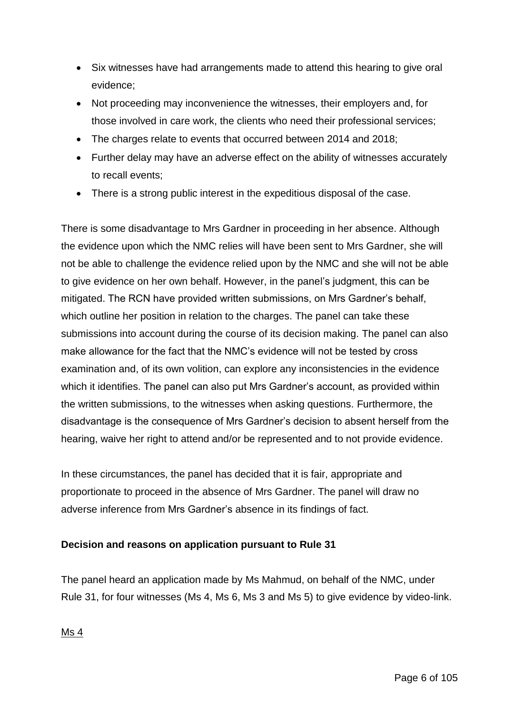- Six witnesses have had arrangements made to attend this hearing to give oral evidence;
- Not proceeding may inconvenience the witnesses, their employers and, for those involved in care work, the clients who need their professional services;
- The charges relate to events that occurred between 2014 and 2018;
- Further delay may have an adverse effect on the ability of witnesses accurately to recall events;
- There is a strong public interest in the expeditious disposal of the case.

There is some disadvantage to Mrs Gardner in proceeding in her absence. Although the evidence upon which the NMC relies will have been sent to Mrs Gardner, she will not be able to challenge the evidence relied upon by the NMC and she will not be able to give evidence on her own behalf. However, in the panel's judgment, this can be mitigated. The RCN have provided written submissions, on Mrs Gardner's behalf, which outline her position in relation to the charges. The panel can take these submissions into account during the course of its decision making. The panel can also make allowance for the fact that the NMC's evidence will not be tested by cross examination and, of its own volition, can explore any inconsistencies in the evidence which it identifies. The panel can also put Mrs Gardner's account, as provided within the written submissions, to the witnesses when asking questions. Furthermore, the disadvantage is the consequence of Mrs Gardner's decision to absent herself from the hearing, waive her right to attend and/or be represented and to not provide evidence.

In these circumstances, the panel has decided that it is fair, appropriate and proportionate to proceed in the absence of Mrs Gardner. The panel will draw no adverse inference from Mrs Gardner's absence in its findings of fact.

# **Decision and reasons on application pursuant to Rule 31**

The panel heard an application made by Ms Mahmud, on behalf of the NMC, under Rule 31, for four witnesses (Ms 4, Ms 6, Ms 3 and Ms 5) to give evidence by video-link.

Ms 4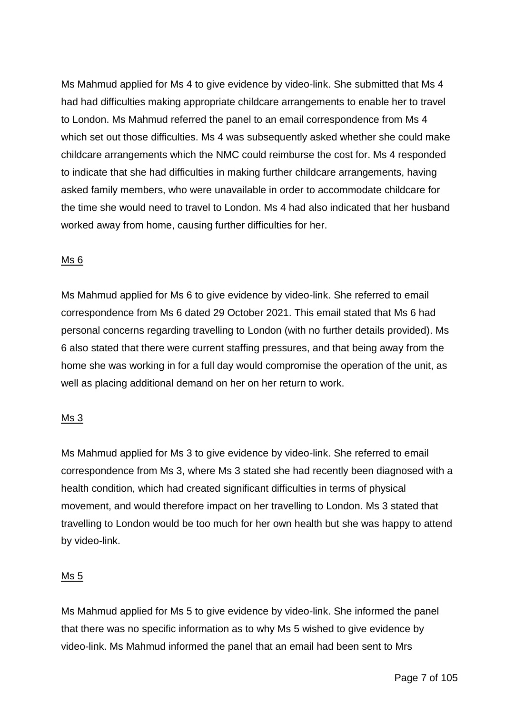Ms Mahmud applied for Ms 4 to give evidence by video-link. She submitted that Ms 4 had had difficulties making appropriate childcare arrangements to enable her to travel to London. Ms Mahmud referred the panel to an email correspondence from Ms 4 which set out those difficulties. Ms 4 was subsequently asked whether she could make childcare arrangements which the NMC could reimburse the cost for. Ms 4 responded to indicate that she had difficulties in making further childcare arrangements, having asked family members, who were unavailable in order to accommodate childcare for the time she would need to travel to London. Ms 4 had also indicated that her husband worked away from home, causing further difficulties for her.

# Ms 6

Ms Mahmud applied for Ms 6 to give evidence by video-link. She referred to email correspondence from Ms 6 dated 29 October 2021. This email stated that Ms 6 had personal concerns regarding travelling to London (with no further details provided). Ms 6 also stated that there were current staffing pressures, and that being away from the home she was working in for a full day would compromise the operation of the unit, as well as placing additional demand on her on her return to work.

# Ms 3

Ms Mahmud applied for Ms 3 to give evidence by video-link. She referred to email correspondence from Ms 3, where Ms 3 stated she had recently been diagnosed with a health condition, which had created significant difficulties in terms of physical movement, and would therefore impact on her travelling to London. Ms 3 stated that travelling to London would be too much for her own health but she was happy to attend by video-link.

# Ms 5

Ms Mahmud applied for Ms 5 to give evidence by video-link. She informed the panel that there was no specific information as to why Ms 5 wished to give evidence by video-link. Ms Mahmud informed the panel that an email had been sent to Mrs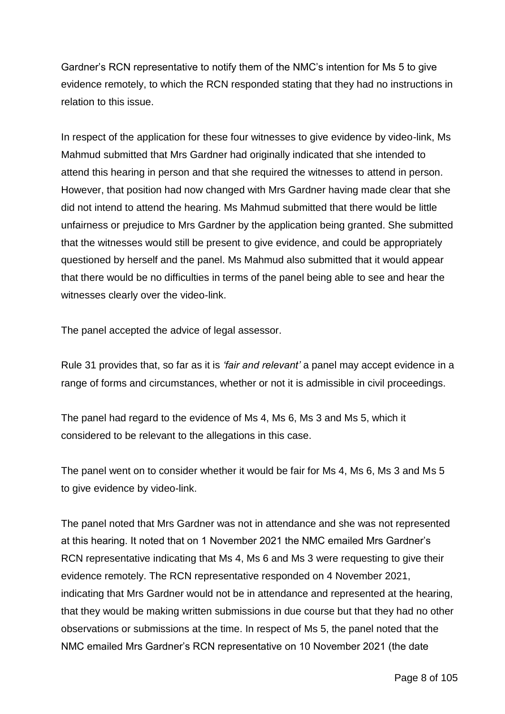Gardner's RCN representative to notify them of the NMC's intention for Ms 5 to give evidence remotely, to which the RCN responded stating that they had no instructions in relation to this issue.

In respect of the application for these four witnesses to give evidence by video-link, Ms Mahmud submitted that Mrs Gardner had originally indicated that she intended to attend this hearing in person and that she required the witnesses to attend in person. However, that position had now changed with Mrs Gardner having made clear that she did not intend to attend the hearing. Ms Mahmud submitted that there would be little unfairness or prejudice to Mrs Gardner by the application being granted. She submitted that the witnesses would still be present to give evidence, and could be appropriately questioned by herself and the panel. Ms Mahmud also submitted that it would appear that there would be no difficulties in terms of the panel being able to see and hear the witnesses clearly over the video-link.

The panel accepted the advice of legal assessor.

Rule 31 provides that, so far as it is *'fair and relevant'* a panel may accept evidence in a range of forms and circumstances, whether or not it is admissible in civil proceedings.

The panel had regard to the evidence of Ms 4, Ms 6, Ms 3 and Ms 5, which it considered to be relevant to the allegations in this case.

The panel went on to consider whether it would be fair for Ms 4, Ms 6, Ms 3 and Ms 5 to give evidence by video-link.

The panel noted that Mrs Gardner was not in attendance and she was not represented at this hearing. It noted that on 1 November 2021 the NMC emailed Mrs Gardner's RCN representative indicating that Ms 4, Ms 6 and Ms 3 were requesting to give their evidence remotely. The RCN representative responded on 4 November 2021, indicating that Mrs Gardner would not be in attendance and represented at the hearing, that they would be making written submissions in due course but that they had no other observations or submissions at the time. In respect of Ms 5, the panel noted that the NMC emailed Mrs Gardner's RCN representative on 10 November 2021 (the date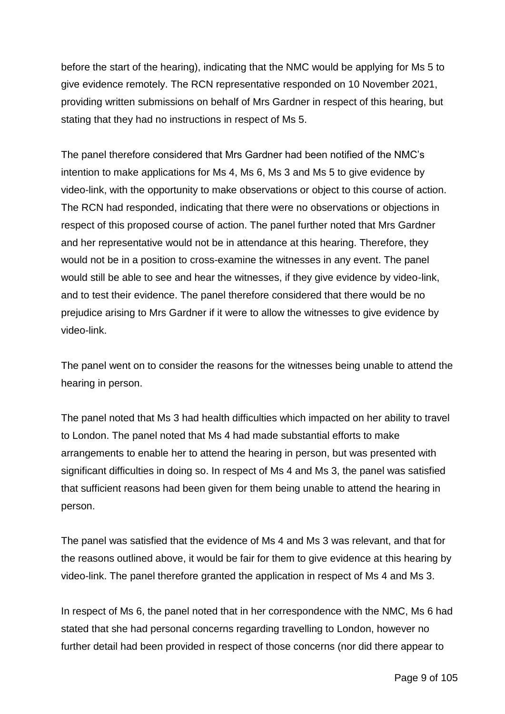before the start of the hearing), indicating that the NMC would be applying for Ms 5 to give evidence remotely. The RCN representative responded on 10 November 2021, providing written submissions on behalf of Mrs Gardner in respect of this hearing, but stating that they had no instructions in respect of Ms 5.

The panel therefore considered that Mrs Gardner had been notified of the NMC's intention to make applications for Ms 4, Ms 6, Ms 3 and Ms 5 to give evidence by video-link, with the opportunity to make observations or object to this course of action. The RCN had responded, indicating that there were no observations or objections in respect of this proposed course of action. The panel further noted that Mrs Gardner and her representative would not be in attendance at this hearing. Therefore, they would not be in a position to cross-examine the witnesses in any event. The panel would still be able to see and hear the witnesses, if they give evidence by video-link, and to test their evidence. The panel therefore considered that there would be no prejudice arising to Mrs Gardner if it were to allow the witnesses to give evidence by video-link.

The panel went on to consider the reasons for the witnesses being unable to attend the hearing in person.

The panel noted that Ms 3 had health difficulties which impacted on her ability to travel to London. The panel noted that Ms 4 had made substantial efforts to make arrangements to enable her to attend the hearing in person, but was presented with significant difficulties in doing so. In respect of Ms 4 and Ms 3, the panel was satisfied that sufficient reasons had been given for them being unable to attend the hearing in person.

The panel was satisfied that the evidence of Ms 4 and Ms 3 was relevant, and that for the reasons outlined above, it would be fair for them to give evidence at this hearing by video-link. The panel therefore granted the application in respect of Ms 4 and Ms 3.

In respect of Ms 6, the panel noted that in her correspondence with the NMC, Ms 6 had stated that she had personal concerns regarding travelling to London, however no further detail had been provided in respect of those concerns (nor did there appear to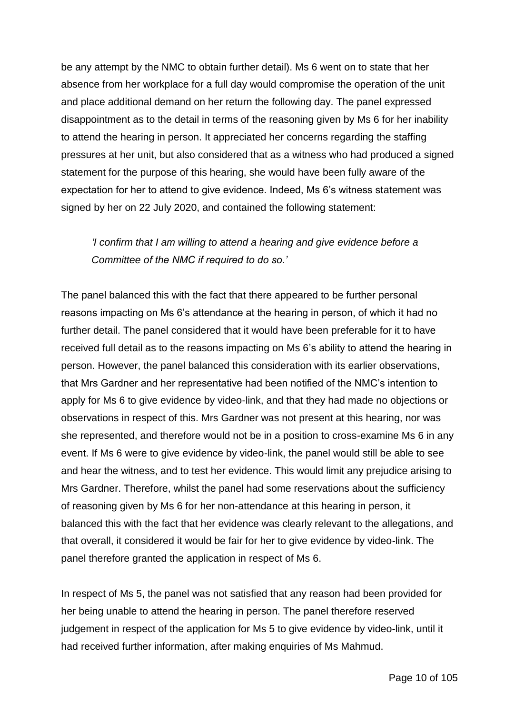be any attempt by the NMC to obtain further detail). Ms 6 went on to state that her absence from her workplace for a full day would compromise the operation of the unit and place additional demand on her return the following day. The panel expressed disappointment as to the detail in terms of the reasoning given by Ms 6 for her inability to attend the hearing in person. It appreciated her concerns regarding the staffing pressures at her unit, but also considered that as a witness who had produced a signed statement for the purpose of this hearing, she would have been fully aware of the expectation for her to attend to give evidence. Indeed, Ms 6's witness statement was signed by her on 22 July 2020, and contained the following statement:

# *'I confirm that I am willing to attend a hearing and give evidence before a Committee of the NMC if required to do so.'*

The panel balanced this with the fact that there appeared to be further personal reasons impacting on Ms 6's attendance at the hearing in person, of which it had no further detail. The panel considered that it would have been preferable for it to have received full detail as to the reasons impacting on Ms 6's ability to attend the hearing in person. However, the panel balanced this consideration with its earlier observations, that Mrs Gardner and her representative had been notified of the NMC's intention to apply for Ms 6 to give evidence by video-link, and that they had made no objections or observations in respect of this. Mrs Gardner was not present at this hearing, nor was she represented, and therefore would not be in a position to cross-examine Ms 6 in any event. If Ms 6 were to give evidence by video-link, the panel would still be able to see and hear the witness, and to test her evidence. This would limit any prejudice arising to Mrs Gardner. Therefore, whilst the panel had some reservations about the sufficiency of reasoning given by Ms 6 for her non-attendance at this hearing in person, it balanced this with the fact that her evidence was clearly relevant to the allegations, and that overall, it considered it would be fair for her to give evidence by video-link. The panel therefore granted the application in respect of Ms 6.

In respect of Ms 5, the panel was not satisfied that any reason had been provided for her being unable to attend the hearing in person. The panel therefore reserved judgement in respect of the application for Ms 5 to give evidence by video-link, until it had received further information, after making enquiries of Ms Mahmud.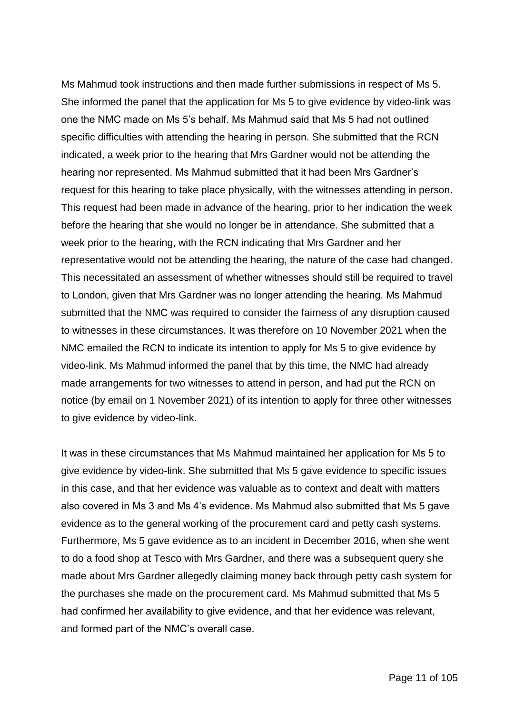Ms Mahmud took instructions and then made further submissions in respect of Ms 5. She informed the panel that the application for Ms 5 to give evidence by video-link was one the NMC made on Ms 5's behalf. Ms Mahmud said that Ms 5 had not outlined specific difficulties with attending the hearing in person. She submitted that the RCN indicated, a week prior to the hearing that Mrs Gardner would not be attending the hearing nor represented. Ms Mahmud submitted that it had been Mrs Gardner's request for this hearing to take place physically, with the witnesses attending in person. This request had been made in advance of the hearing, prior to her indication the week before the hearing that she would no longer be in attendance. She submitted that a week prior to the hearing, with the RCN indicating that Mrs Gardner and her representative would not be attending the hearing, the nature of the case had changed. This necessitated an assessment of whether witnesses should still be required to travel to London, given that Mrs Gardner was no longer attending the hearing. Ms Mahmud submitted that the NMC was required to consider the fairness of any disruption caused to witnesses in these circumstances. It was therefore on 10 November 2021 when the NMC emailed the RCN to indicate its intention to apply for Ms 5 to give evidence by video-link. Ms Mahmud informed the panel that by this time, the NMC had already made arrangements for two witnesses to attend in person, and had put the RCN on notice (by email on 1 November 2021) of its intention to apply for three other witnesses to give evidence by video-link.

It was in these circumstances that Ms Mahmud maintained her application for Ms 5 to give evidence by video-link. She submitted that Ms 5 gave evidence to specific issues in this case, and that her evidence was valuable as to context and dealt with matters also covered in Ms 3 and Ms 4's evidence. Ms Mahmud also submitted that Ms 5 gave evidence as to the general working of the procurement card and petty cash systems. Furthermore, Ms 5 gave evidence as to an incident in December 2016, when she went to do a food shop at Tesco with Mrs Gardner, and there was a subsequent query she made about Mrs Gardner allegedly claiming money back through petty cash system for the purchases she made on the procurement card. Ms Mahmud submitted that Ms 5 had confirmed her availability to give evidence, and that her evidence was relevant, and formed part of the NMC's overall case.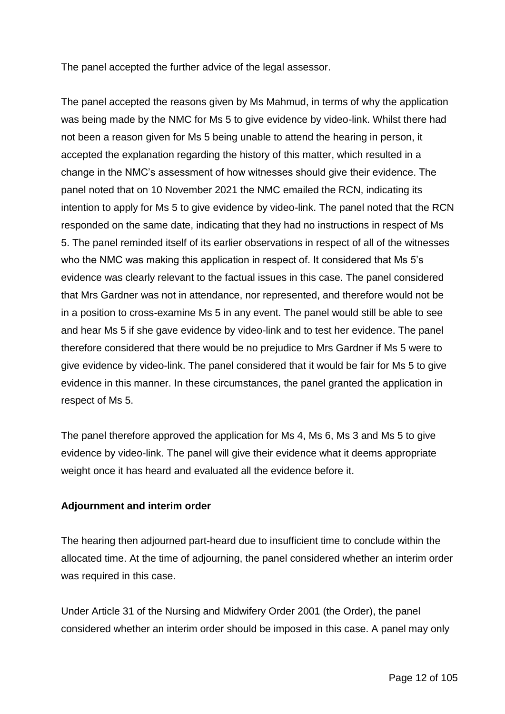The panel accepted the further advice of the legal assessor.

The panel accepted the reasons given by Ms Mahmud, in terms of why the application was being made by the NMC for Ms 5 to give evidence by video-link. Whilst there had not been a reason given for Ms 5 being unable to attend the hearing in person, it accepted the explanation regarding the history of this matter, which resulted in a change in the NMC's assessment of how witnesses should give their evidence. The panel noted that on 10 November 2021 the NMC emailed the RCN, indicating its intention to apply for Ms 5 to give evidence by video-link. The panel noted that the RCN responded on the same date, indicating that they had no instructions in respect of Ms 5. The panel reminded itself of its earlier observations in respect of all of the witnesses who the NMC was making this application in respect of. It considered that Ms 5's evidence was clearly relevant to the factual issues in this case. The panel considered that Mrs Gardner was not in attendance, nor represented, and therefore would not be in a position to cross-examine Ms 5 in any event. The panel would still be able to see and hear Ms 5 if she gave evidence by video-link and to test her evidence. The panel therefore considered that there would be no prejudice to Mrs Gardner if Ms 5 were to give evidence by video-link. The panel considered that it would be fair for Ms 5 to give evidence in this manner. In these circumstances, the panel granted the application in respect of Ms 5.

The panel therefore approved the application for Ms 4, Ms 6, Ms 3 and Ms 5 to give evidence by video-link. The panel will give their evidence what it deems appropriate weight once it has heard and evaluated all the evidence before it.

# **Adjournment and interim order**

The hearing then adjourned part-heard due to insufficient time to conclude within the allocated time. At the time of adjourning, the panel considered whether an interim order was required in this case.

Under Article 31 of the Nursing and Midwifery Order 2001 (the Order), the panel considered whether an interim order should be imposed in this case. A panel may only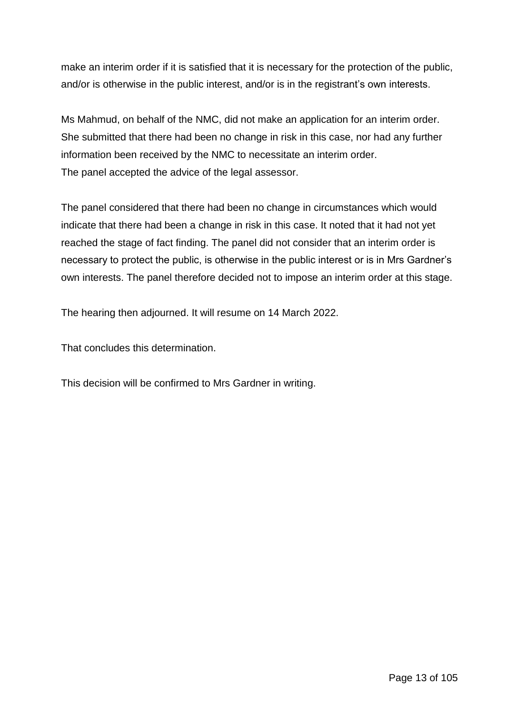make an interim order if it is satisfied that it is necessary for the protection of the public, and/or is otherwise in the public interest, and/or is in the registrant's own interests.

Ms Mahmud, on behalf of the NMC, did not make an application for an interim order. She submitted that there had been no change in risk in this case, nor had any further information been received by the NMC to necessitate an interim order. The panel accepted the advice of the legal assessor.

The panel considered that there had been no change in circumstances which would indicate that there had been a change in risk in this case. It noted that it had not yet reached the stage of fact finding. The panel did not consider that an interim order is necessary to protect the public, is otherwise in the public interest or is in Mrs Gardner's own interests. The panel therefore decided not to impose an interim order at this stage.

The hearing then adjourned. It will resume on 14 March 2022.

That concludes this determination.

This decision will be confirmed to Mrs Gardner in writing.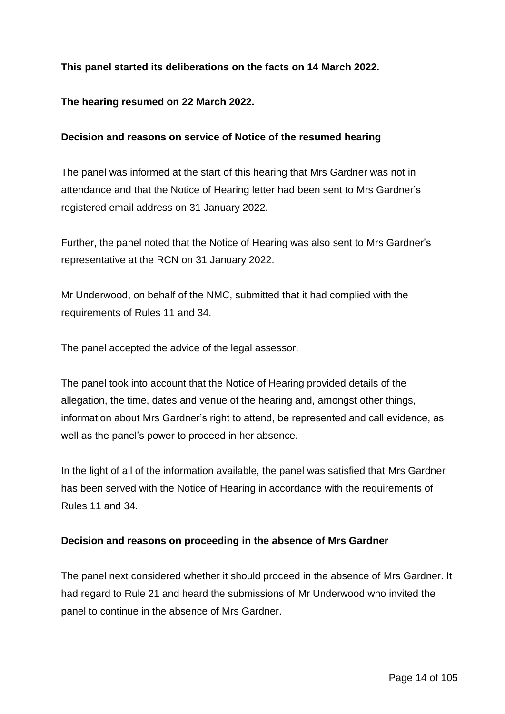# **This panel started its deliberations on the facts on 14 March 2022.**

### **The hearing resumed on 22 March 2022.**

### **Decision and reasons on service of Notice of the resumed hearing**

The panel was informed at the start of this hearing that Mrs Gardner was not in attendance and that the Notice of Hearing letter had been sent to Mrs Gardner's registered email address on 31 January 2022.

Further, the panel noted that the Notice of Hearing was also sent to Mrs Gardner's representative at the RCN on 31 January 2022.

Mr Underwood, on behalf of the NMC, submitted that it had complied with the requirements of Rules 11 and 34.

The panel accepted the advice of the legal assessor.

The panel took into account that the Notice of Hearing provided details of the allegation, the time, dates and venue of the hearing and, amongst other things, information about Mrs Gardner's right to attend, be represented and call evidence, as well as the panel's power to proceed in her absence.

In the light of all of the information available, the panel was satisfied that Mrs Gardner has been served with the Notice of Hearing in accordance with the requirements of Rules 11 and 34.

#### **Decision and reasons on proceeding in the absence of Mrs Gardner**

The panel next considered whether it should proceed in the absence of Mrs Gardner. It had regard to Rule 21 and heard the submissions of Mr Underwood who invited the panel to continue in the absence of Mrs Gardner.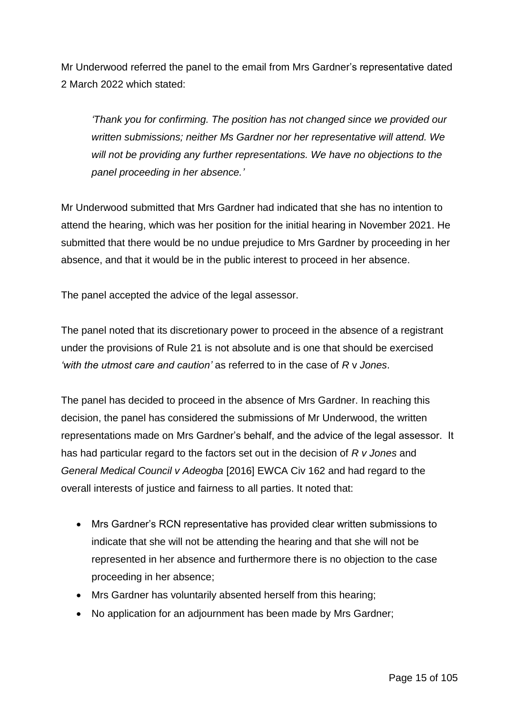Mr Underwood referred the panel to the email from Mrs Gardner's representative dated 2 March 2022 which stated:

*'Thank you for confirming. The position has not changed since we provided our written submissions; neither Ms Gardner nor her representative will attend. We will not be providing any further representations. We have no objections to the panel proceeding in her absence.'*

Mr Underwood submitted that Mrs Gardner had indicated that she has no intention to attend the hearing, which was her position for the initial hearing in November 2021. He submitted that there would be no undue prejudice to Mrs Gardner by proceeding in her absence, and that it would be in the public interest to proceed in her absence.

The panel accepted the advice of the legal assessor.

The panel noted that its discretionary power to proceed in the absence of a registrant under the provisions of Rule 21 is not absolute and is one that should be exercised *'with the utmost care and caution'* as referred to in the case of *R* v *Jones*.

The panel has decided to proceed in the absence of Mrs Gardner. In reaching this decision, the panel has considered the submissions of Mr Underwood, the written representations made on Mrs Gardner's behalf, and the advice of the legal assessor. It has had particular regard to the factors set out in the decision of *R v Jones* and *General Medical Council v Adeogba* [2016] EWCA Civ 162 and had regard to the overall interests of justice and fairness to all parties. It noted that:

- Mrs Gardner's RCN representative has provided clear written submissions to indicate that she will not be attending the hearing and that she will not be represented in her absence and furthermore there is no objection to the case proceeding in her absence;
- Mrs Gardner has voluntarily absented herself from this hearing;
- No application for an adjournment has been made by Mrs Gardner;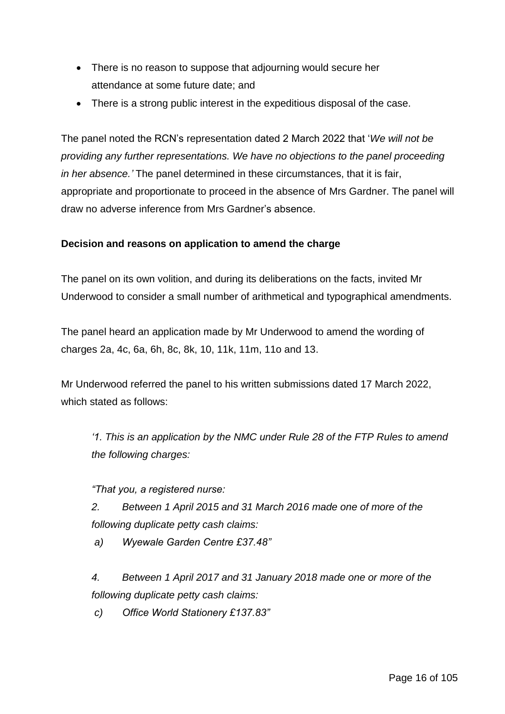- There is no reason to suppose that adjourning would secure her attendance at some future date; and
- There is a strong public interest in the expeditious disposal of the case.

The panel noted the RCN's representation dated 2 March 2022 that '*We will not be providing any further representations. We have no objections to the panel proceeding in her absence.'* The panel determined in these circumstances, that it is fair, appropriate and proportionate to proceed in the absence of Mrs Gardner. The panel will draw no adverse inference from Mrs Gardner's absence.

### **Decision and reasons on application to amend the charge**

The panel on its own volition, and during its deliberations on the facts, invited Mr Underwood to consider a small number of arithmetical and typographical amendments.

The panel heard an application made by Mr Underwood to amend the wording of charges 2a, 4c, 6a, 6h, 8c, 8k, 10, 11k, 11m, 11o and 13.

Mr Underwood referred the panel to his written submissions dated 17 March 2022, which stated as follows:

*'1. This is an application by the NMC under Rule 28 of the FTP Rules to amend the following charges:*

*"That you, a registered nurse:*

*2. Between 1 April 2015 and 31 March 2016 made one of more of the following duplicate petty cash claims:*

*a) Wyewale Garden Centre £37.48"*

*4. Between 1 April 2017 and 31 January 2018 made one or more of the following duplicate petty cash claims:*

*c) Office World Stationery £137.83"*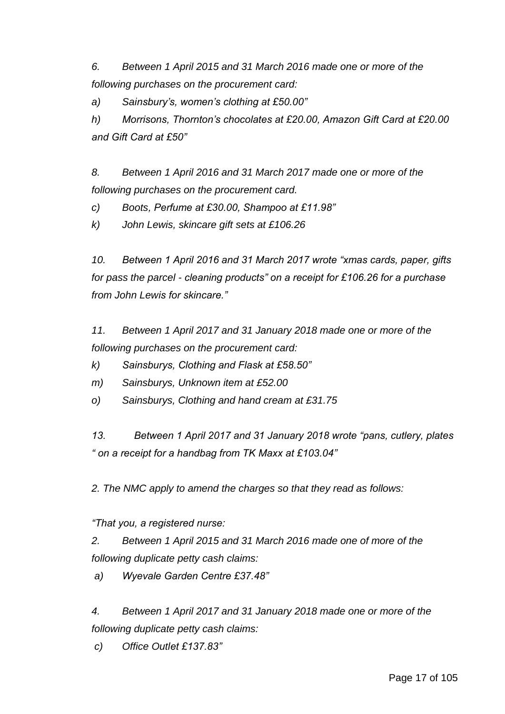*6. Between 1 April 2015 and 31 March 2016 made one or more of the following purchases on the procurement card:*

*a) Sainsbury's, women's clothing at £50.00"*

*h) Morrisons, Thornton's chocolates at £20.00, Amazon Gift Card at £20.00 and Gift Card at £50"*

*8. Between 1 April 2016 and 31 March 2017 made one or more of the following purchases on the procurement card.* 

*c) Boots, Perfume at £30.00, Shampoo at £11.98"*

*k) John Lewis, skincare gift sets at £106.26*

*10. Between 1 April 2016 and 31 March 2017 wrote "xmas cards, paper, gifts for pass the parcel - cleaning products" on a receipt for £106.26 for a purchase from John Lewis for skincare."*

*11. Between 1 April 2017 and 31 January 2018 made one or more of the following purchases on the procurement card:*

*k) Sainsburys, Clothing and Flask at £58.50"*

*m) Sainsburys, Unknown item at £52.00*

*o) Sainsburys, Clothing and hand cream at £31.75*

*13. Between 1 April 2017 and 31 January 2018 wrote "pans, cutlery, plates " on a receipt for a handbag from TK Maxx at £103.04"*

*2. The NMC apply to amend the charges so that they read as follows:*

*"That you, a registered nurse:*

*2. Between 1 April 2015 and 31 March 2016 made one of more of the following duplicate petty cash claims:*

*a) Wyevale Garden Centre £37.48"*

*4. Between 1 April 2017 and 31 January 2018 made one or more of the following duplicate petty cash claims:*

*c) Office Outlet £137.83"*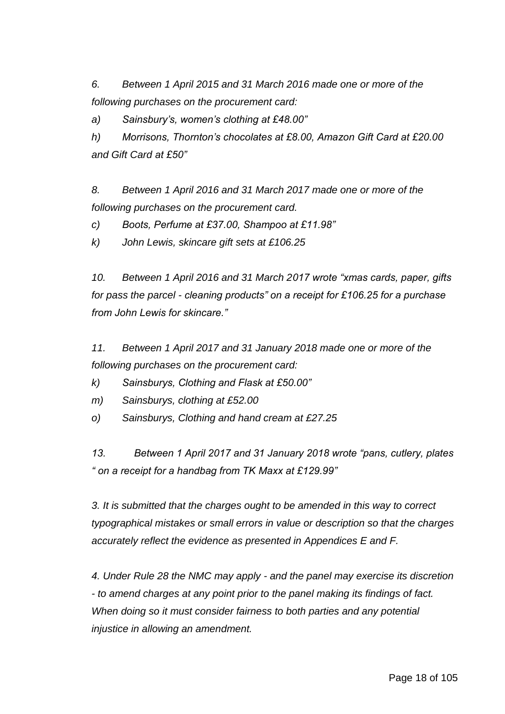*6. Between 1 April 2015 and 31 March 2016 made one or more of the following purchases on the procurement card:*

*a) Sainsbury's, women's clothing at £48.00"*

*h) Morrisons, Thornton's chocolates at £8.00, Amazon Gift Card at £20.00 and Gift Card at £50"*

*8. Between 1 April 2016 and 31 March 2017 made one or more of the following purchases on the procurement card.* 

*c) Boots, Perfume at £37.00, Shampoo at £11.98"*

*k) John Lewis, skincare gift sets at £106.25*

*10. Between 1 April 2016 and 31 March 2017 wrote "xmas cards, paper, gifts for pass the parcel - cleaning products" on a receipt for £106.25 for a purchase from John Lewis for skincare."*

*11. Between 1 April 2017 and 31 January 2018 made one or more of the following purchases on the procurement card:*

*k) Sainsburys, Clothing and Flask at £50.00"*

*m) Sainsburys, clothing at £52.00*

*o) Sainsburys, Clothing and hand cream at £27.25*

*13. Between 1 April 2017 and 31 January 2018 wrote "pans, cutlery, plates " on a receipt for a handbag from TK Maxx at £129.99"*

*3. It is submitted that the charges ought to be amended in this way to correct typographical mistakes or small errors in value or description so that the charges accurately reflect the evidence as presented in Appendices E and F.*

*4. Under Rule 28 the NMC may apply - and the panel may exercise its discretion - to amend charges at any point prior to the panel making its findings of fact. When doing so it must consider fairness to both parties and any potential injustice in allowing an amendment.*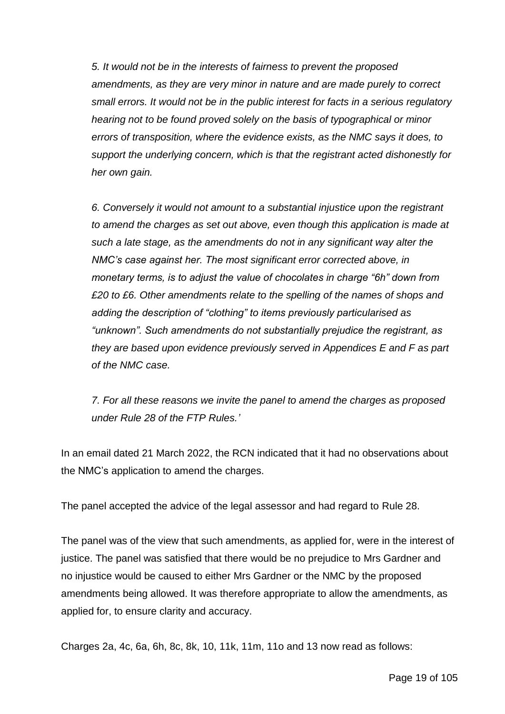*5. It would not be in the interests of fairness to prevent the proposed amendments, as they are very minor in nature and are made purely to correct small errors. It would not be in the public interest for facts in a serious regulatory hearing not to be found proved solely on the basis of typographical or minor errors of transposition, where the evidence exists, as the NMC says it does, to support the underlying concern, which is that the registrant acted dishonestly for her own gain.*

*6. Conversely it would not amount to a substantial injustice upon the registrant to amend the charges as set out above, even though this application is made at such a late stage, as the amendments do not in any significant way alter the NMC's case against her. The most significant error corrected above, in monetary terms, is to adjust the value of chocolates in charge "6h" down from £20 to £6. Other amendments relate to the spelling of the names of shops and adding the description of "clothing" to items previously particularised as "unknown". Such amendments do not substantially prejudice the registrant, as they are based upon evidence previously served in Appendices E and F as part of the NMC case.* 

*7. For all these reasons we invite the panel to amend the charges as proposed under Rule 28 of the FTP Rules.'*

In an email dated 21 March 2022, the RCN indicated that it had no observations about the NMC's application to amend the charges.

The panel accepted the advice of the legal assessor and had regard to Rule 28.

The panel was of the view that such amendments, as applied for, were in the interest of justice. The panel was satisfied that there would be no prejudice to Mrs Gardner and no injustice would be caused to either Mrs Gardner or the NMC by the proposed amendments being allowed. It was therefore appropriate to allow the amendments, as applied for, to ensure clarity and accuracy.

Charges 2a, 4c, 6a, 6h, 8c, 8k, 10, 11k, 11m, 11o and 13 now read as follows: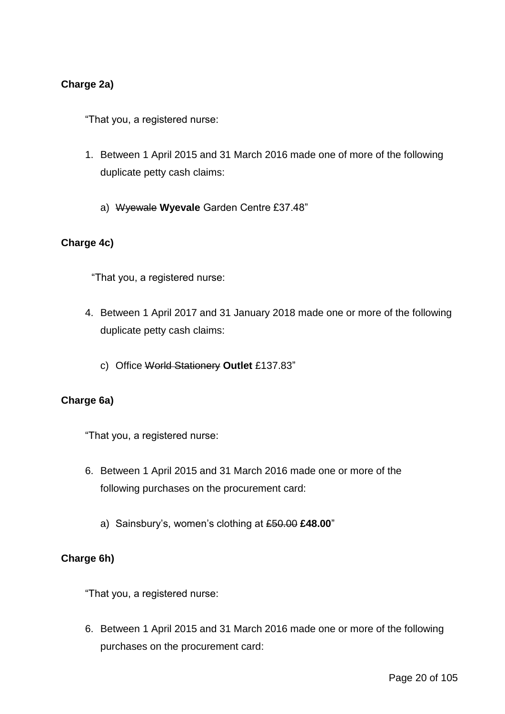### **Charge 2a)**

"That you, a registered nurse:

- 1. Between 1 April 2015 and 31 March 2016 made one of more of the following duplicate petty cash claims:
	- a) Wyewale **Wyevale** Garden Centre £37.48"

#### **Charge 4c)**

"That you, a registered nurse:

- 4. Between 1 April 2017 and 31 January 2018 made one or more of the following duplicate petty cash claims:
	- c) Office World Stationery **Outlet** £137.83"

#### **Charge 6a)**

"That you, a registered nurse:

- 6. Between 1 April 2015 and 31 March 2016 made one or more of the following purchases on the procurement card:
	- a) Sainsbury's, women's clothing at £50.00 **£48.00**"

#### **Charge 6h)**

"That you, a registered nurse:

6. Between 1 April 2015 and 31 March 2016 made one or more of the following purchases on the procurement card: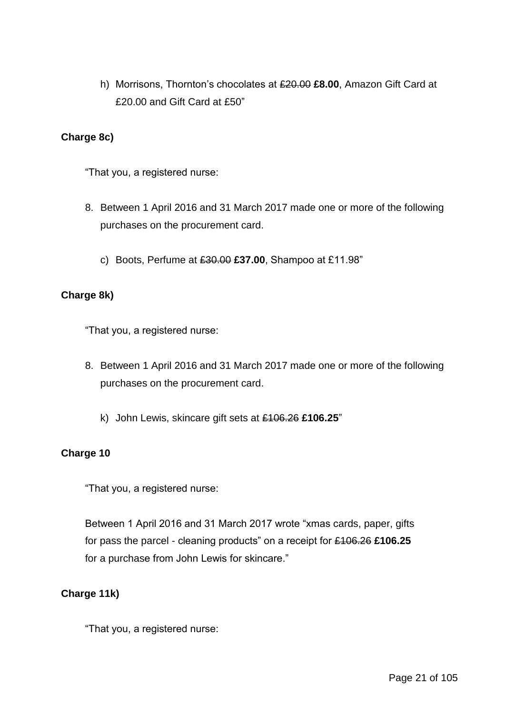h) Morrisons, Thornton's chocolates at £20.00 **£8.00**, Amazon Gift Card at £20.00 and Gift Card at £50"

### **Charge 8c)**

"That you, a registered nurse:

- 8. Between 1 April 2016 and 31 March 2017 made one or more of the following purchases on the procurement card.
	- c) Boots, Perfume at £30.00 **£37.00**, Shampoo at £11.98"

### **Charge 8k)**

"That you, a registered nurse:

- 8. Between 1 April 2016 and 31 March 2017 made one or more of the following purchases on the procurement card.
	- k) John Lewis, skincare gift sets at £106.26 **£106.25**"

### **Charge 10**

"That you, a registered nurse:

Between 1 April 2016 and 31 March 2017 wrote "xmas cards, paper, gifts for pass the parcel - cleaning products" on a receipt for £106.26 **£106.25** for a purchase from John Lewis for skincare."

### **Charge 11k)**

"That you, a registered nurse: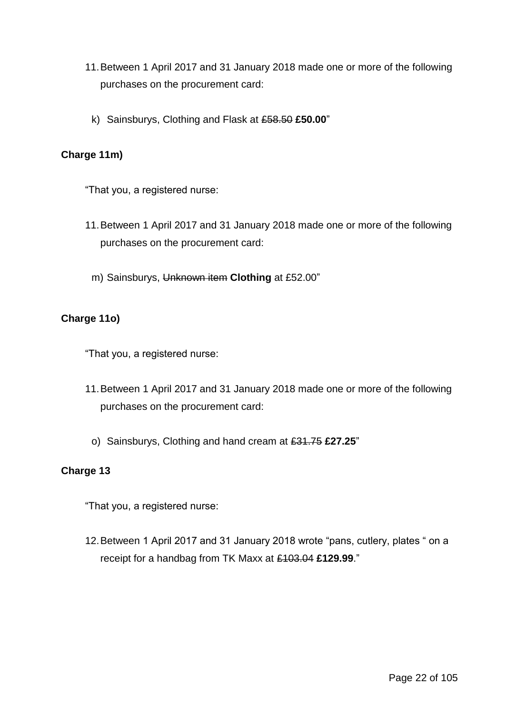- 11.Between 1 April 2017 and 31 January 2018 made one or more of the following purchases on the procurement card:
	- k) Sainsburys, Clothing and Flask at £58.50 **£50.00**"

### **Charge 11m)**

"That you, a registered nurse:

- 11.Between 1 April 2017 and 31 January 2018 made one or more of the following purchases on the procurement card:
	- m) Sainsburys, Unknown item **Clothing** at £52.00"

# **Charge 11o)**

"That you, a registered nurse:

- 11.Between 1 April 2017 and 31 January 2018 made one or more of the following purchases on the procurement card:
	- o) Sainsburys, Clothing and hand cream at £31.75 **£27.25**"

### **Charge 13**

"That you, a registered nurse:

12.Between 1 April 2017 and 31 January 2018 wrote "pans, cutlery, plates " on a receipt for a handbag from TK Maxx at £103.04 **£129.99**."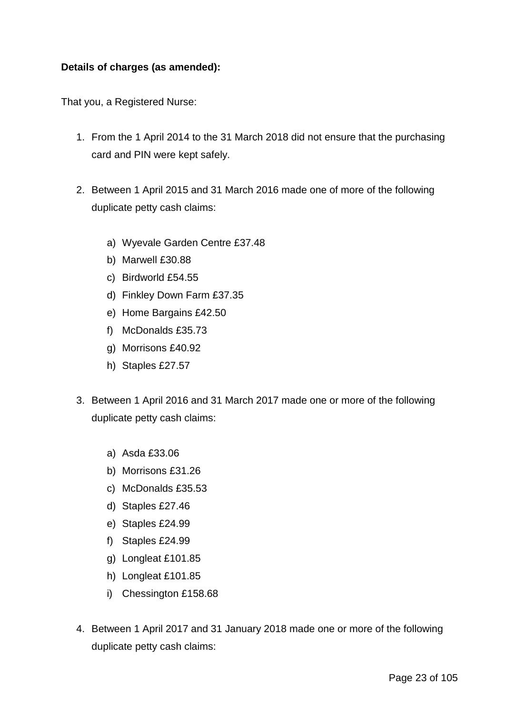### **Details of charges (as amended):**

That you, a Registered Nurse:

- 1. From the 1 April 2014 to the 31 March 2018 did not ensure that the purchasing card and PIN were kept safely.
- 2. Between 1 April 2015 and 31 March 2016 made one of more of the following duplicate petty cash claims:
	- a) Wyevale Garden Centre £37.48
	- b) Marwell £30.88
	- c) Birdworld £54.55
	- d) Finkley Down Farm £37.35
	- e) Home Bargains £42.50
	- f) McDonalds £35.73
	- g) Morrisons £40.92
	- h) Staples £27.57
- 3. Between 1 April 2016 and 31 March 2017 made one or more of the following duplicate petty cash claims:
	- a) Asda £33.06
	- b) Morrisons £31.26
	- c) McDonalds £35.53
	- d) Staples £27.46
	- e) Staples £24.99
	- f) Staples £24.99
	- g) Longleat £101.85
	- h) Longleat £101.85
	- i) Chessington £158.68
- 4. Between 1 April 2017 and 31 January 2018 made one or more of the following duplicate petty cash claims: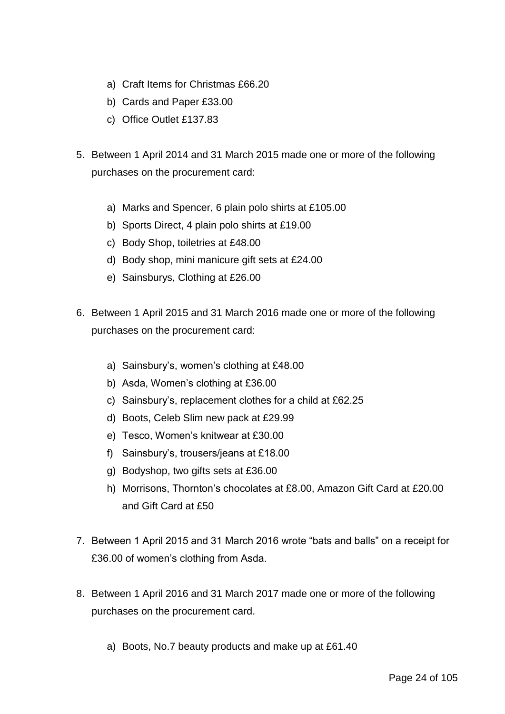- a) Craft Items for Christmas £66.20
- b) Cards and Paper £33.00
- c) Office Outlet £137.83
- 5. Between 1 April 2014 and 31 March 2015 made one or more of the following purchases on the procurement card:
	- a) Marks and Spencer, 6 plain polo shirts at £105.00
	- b) Sports Direct, 4 plain polo shirts at £19.00
	- c) Body Shop, toiletries at £48.00
	- d) Body shop, mini manicure gift sets at £24.00
	- e) Sainsburys, Clothing at £26.00
- 6. Between 1 April 2015 and 31 March 2016 made one or more of the following purchases on the procurement card:
	- a) Sainsbury's, women's clothing at £48.00
	- b) Asda, Women's clothing at £36.00
	- c) Sainsbury's, replacement clothes for a child at £62.25
	- d) Boots, Celeb Slim new pack at £29.99
	- e) Tesco, Women's knitwear at £30.00
	- f) Sainsbury's, trousers/jeans at £18.00
	- g) Bodyshop, two gifts sets at £36.00
	- h) Morrisons, Thornton's chocolates at £8.00, Amazon Gift Card at £20.00 and Gift Card at £50
- 7. Between 1 April 2015 and 31 March 2016 wrote "bats and balls" on a receipt for £36.00 of women's clothing from Asda.
- 8. Between 1 April 2016 and 31 March 2017 made one or more of the following purchases on the procurement card.
	- a) Boots, No.7 beauty products and make up at £61.40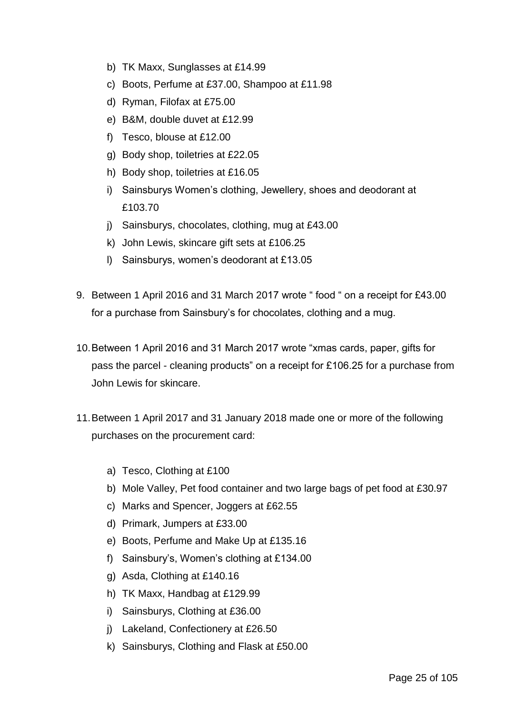- b) TK Maxx, Sunglasses at £14.99
- c) Boots, Perfume at £37.00, Shampoo at £11.98
- d) Ryman, Filofax at £75.00
- e) B&M, double duvet at £12.99
- f) Tesco, blouse at £12.00
- g) Body shop, toiletries at £22.05
- h) Body shop, toiletries at £16.05
- i) Sainsburys Women's clothing, Jewellery, shoes and deodorant at £103.70
- j) Sainsburys, chocolates, clothing, mug at £43.00
- k) John Lewis, skincare gift sets at £106.25
- l) Sainsburys, women's deodorant at £13.05
- 9. Between 1 April 2016 and 31 March 2017 wrote " food " on a receipt for £43.00 for a purchase from Sainsbury's for chocolates, clothing and a mug.
- 10.Between 1 April 2016 and 31 March 2017 wrote "xmas cards, paper, gifts for pass the parcel - cleaning products" on a receipt for £106.25 for a purchase from John Lewis for skincare.
- 11.Between 1 April 2017 and 31 January 2018 made one or more of the following purchases on the procurement card:
	- a) Tesco, Clothing at £100
	- b) Mole Valley, Pet food container and two large bags of pet food at £30.97
	- c) Marks and Spencer, Joggers at £62.55
	- d) Primark, Jumpers at £33.00
	- e) Boots, Perfume and Make Up at £135.16
	- f) Sainsbury's, Women's clothing at £134.00
	- g) Asda, Clothing at £140.16
	- h) TK Maxx, Handbag at £129.99
	- i) Sainsburys, Clothing at £36.00
	- j) Lakeland, Confectionery at £26.50
	- k) Sainsburys, Clothing and Flask at £50.00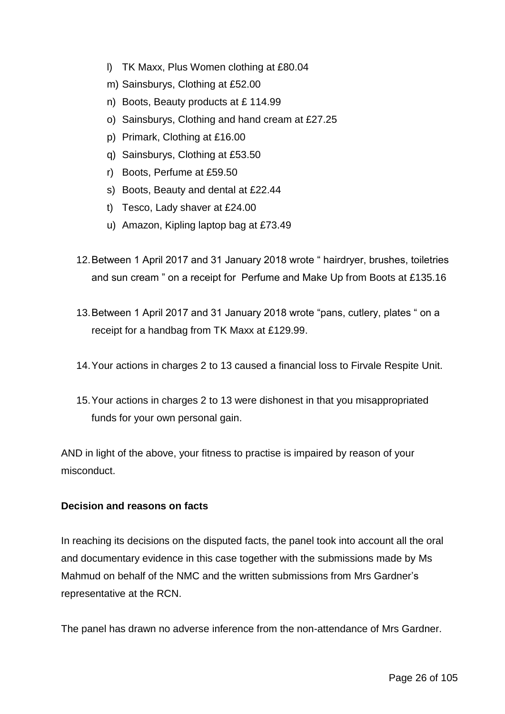- l) TK Maxx, Plus Women clothing at £80.04
- m) Sainsburys, Clothing at £52.00
- n) Boots, Beauty products at £ 114.99
- o) Sainsburys, Clothing and hand cream at £27.25
- p) Primark, Clothing at £16.00
- q) Sainsburys, Clothing at £53.50
- r) Boots, Perfume at £59.50
- s) Boots, Beauty and dental at £22.44
- t) Tesco, Lady shaver at £24.00
- u) Amazon, Kipling laptop bag at £73.49
- 12.Between 1 April 2017 and 31 January 2018 wrote " hairdryer, brushes, toiletries and sun cream " on a receipt for Perfume and Make Up from Boots at £135.16
- 13.Between 1 April 2017 and 31 January 2018 wrote "pans, cutlery, plates " on a receipt for a handbag from TK Maxx at £129.99.
- 14.Your actions in charges 2 to 13 caused a financial loss to Firvale Respite Unit.
- 15.Your actions in charges 2 to 13 were dishonest in that you misappropriated funds for your own personal gain.

AND in light of the above, your fitness to practise is impaired by reason of your misconduct.

### **Decision and reasons on facts**

In reaching its decisions on the disputed facts, the panel took into account all the oral and documentary evidence in this case together with the submissions made by Ms Mahmud on behalf of the NMC and the written submissions from Mrs Gardner's representative at the RCN.

The panel has drawn no adverse inference from the non-attendance of Mrs Gardner.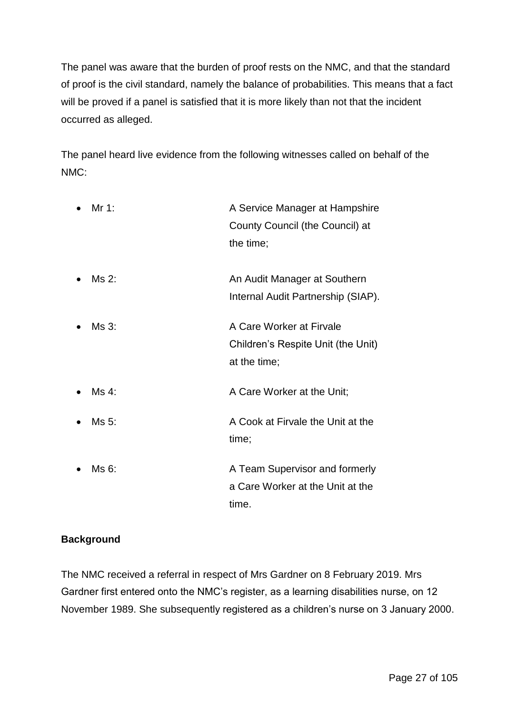The panel was aware that the burden of proof rests on the NMC, and that the standard of proof is the civil standard, namely the balance of probabilities. This means that a fact will be proved if a panel is satisfied that it is more likely than not that the incident occurred as alleged.

The panel heard live evidence from the following witnesses called on behalf of the NMC:

| Mr 1: | A Service Manager at Hampshire<br>County Council (the Council) at<br>the time; |
|-------|--------------------------------------------------------------------------------|
| Ms 2: | An Audit Manager at Southern<br>Internal Audit Partnership (SIAP).             |
| Ms 3: | A Care Worker at Firvale<br>Children's Respite Unit (the Unit)<br>at the time; |
| Ms 4: | A Care Worker at the Unit;                                                     |
| Ms 5: | A Cook at Firvale the Unit at the<br>time;                                     |
| Ms 6: | A Team Supervisor and formerly<br>a Care Worker at the Unit at the<br>time.    |

# **Background**

The NMC received a referral in respect of Mrs Gardner on 8 February 2019. Mrs Gardner first entered onto the NMC's register, as a learning disabilities nurse, on 12 November 1989. She subsequently registered as a children's nurse on 3 January 2000.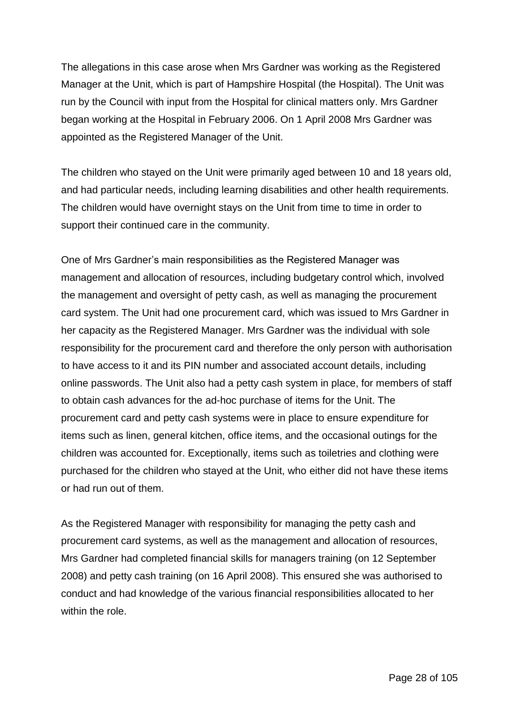The allegations in this case arose when Mrs Gardner was working as the Registered Manager at the Unit, which is part of Hampshire Hospital (the Hospital). The Unit was run by the Council with input from the Hospital for clinical matters only. Mrs Gardner began working at the Hospital in February 2006. On 1 April 2008 Mrs Gardner was appointed as the Registered Manager of the Unit.

The children who stayed on the Unit were primarily aged between 10 and 18 years old, and had particular needs, including learning disabilities and other health requirements. The children would have overnight stays on the Unit from time to time in order to support their continued care in the community.

One of Mrs Gardner's main responsibilities as the Registered Manager was management and allocation of resources, including budgetary control which, involved the management and oversight of petty cash, as well as managing the procurement card system. The Unit had one procurement card, which was issued to Mrs Gardner in her capacity as the Registered Manager. Mrs Gardner was the individual with sole responsibility for the procurement card and therefore the only person with authorisation to have access to it and its PIN number and associated account details, including online passwords. The Unit also had a petty cash system in place, for members of staff to obtain cash advances for the ad-hoc purchase of items for the Unit. The procurement card and petty cash systems were in place to ensure expenditure for items such as linen, general kitchen, office items, and the occasional outings for the children was accounted for. Exceptionally, items such as toiletries and clothing were purchased for the children who stayed at the Unit, who either did not have these items or had run out of them.

As the Registered Manager with responsibility for managing the petty cash and procurement card systems, as well as the management and allocation of resources, Mrs Gardner had completed financial skills for managers training (on 12 September 2008) and petty cash training (on 16 April 2008). This ensured she was authorised to conduct and had knowledge of the various financial responsibilities allocated to her within the role.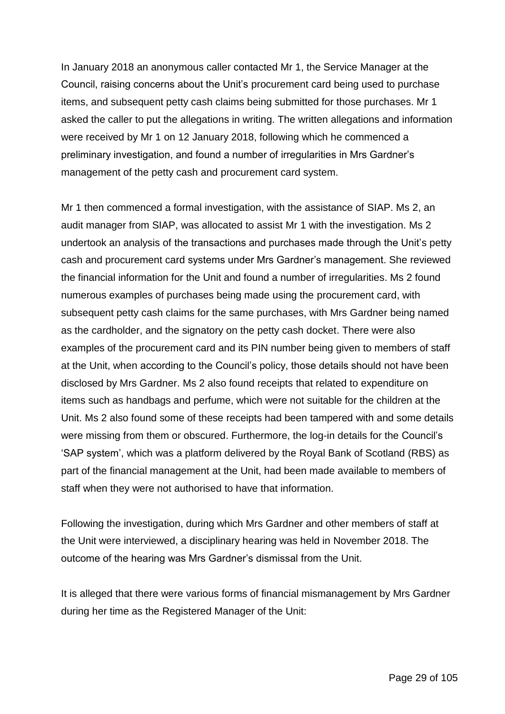In January 2018 an anonymous caller contacted Mr 1, the Service Manager at the Council, raising concerns about the Unit's procurement card being used to purchase items, and subsequent petty cash claims being submitted for those purchases. Mr 1 asked the caller to put the allegations in writing. The written allegations and information were received by Mr 1 on 12 January 2018, following which he commenced a preliminary investigation, and found a number of irregularities in Mrs Gardner's management of the petty cash and procurement card system.

Mr 1 then commenced a formal investigation, with the assistance of SIAP. Ms 2, an audit manager from SIAP, was allocated to assist Mr 1 with the investigation. Ms 2 undertook an analysis of the transactions and purchases made through the Unit's petty cash and procurement card systems under Mrs Gardner's management. She reviewed the financial information for the Unit and found a number of irregularities. Ms 2 found numerous examples of purchases being made using the procurement card, with subsequent petty cash claims for the same purchases, with Mrs Gardner being named as the cardholder, and the signatory on the petty cash docket. There were also examples of the procurement card and its PIN number being given to members of staff at the Unit, when according to the Council's policy, those details should not have been disclosed by Mrs Gardner. Ms 2 also found receipts that related to expenditure on items such as handbags and perfume, which were not suitable for the children at the Unit. Ms 2 also found some of these receipts had been tampered with and some details were missing from them or obscured. Furthermore, the log-in details for the Council's 'SAP system', which was a platform delivered by the Royal Bank of Scotland (RBS) as part of the financial management at the Unit, had been made available to members of staff when they were not authorised to have that information.

Following the investigation, during which Mrs Gardner and other members of staff at the Unit were interviewed, a disciplinary hearing was held in November 2018. The outcome of the hearing was Mrs Gardner's dismissal from the Unit.

It is alleged that there were various forms of financial mismanagement by Mrs Gardner during her time as the Registered Manager of the Unit: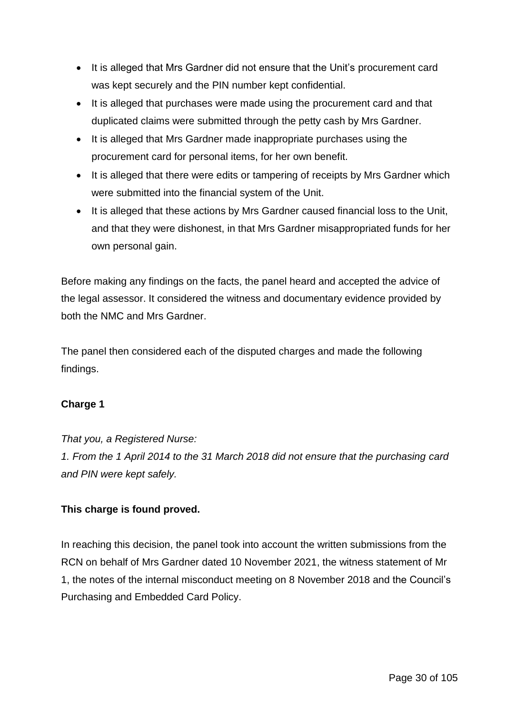- It is alleged that Mrs Gardner did not ensure that the Unit's procurement card was kept securely and the PIN number kept confidential.
- It is alleged that purchases were made using the procurement card and that duplicated claims were submitted through the petty cash by Mrs Gardner.
- It is alleged that Mrs Gardner made inappropriate purchases using the procurement card for personal items, for her own benefit.
- It is alleged that there were edits or tampering of receipts by Mrs Gardner which were submitted into the financial system of the Unit.
- It is alleged that these actions by Mrs Gardner caused financial loss to the Unit, and that they were dishonest, in that Mrs Gardner misappropriated funds for her own personal gain.

Before making any findings on the facts, the panel heard and accepted the advice of the legal assessor. It considered the witness and documentary evidence provided by both the NMC and Mrs Gardner.

The panel then considered each of the disputed charges and made the following findings.

# **Charge 1**

*That you, a Registered Nurse: 1. From the 1 April 2014 to the 31 March 2018 did not ensure that the purchasing card and PIN were kept safely.*

# **This charge is found proved.**

In reaching this decision, the panel took into account the written submissions from the RCN on behalf of Mrs Gardner dated 10 November 2021, the witness statement of Mr 1, the notes of the internal misconduct meeting on 8 November 2018 and the Council's Purchasing and Embedded Card Policy.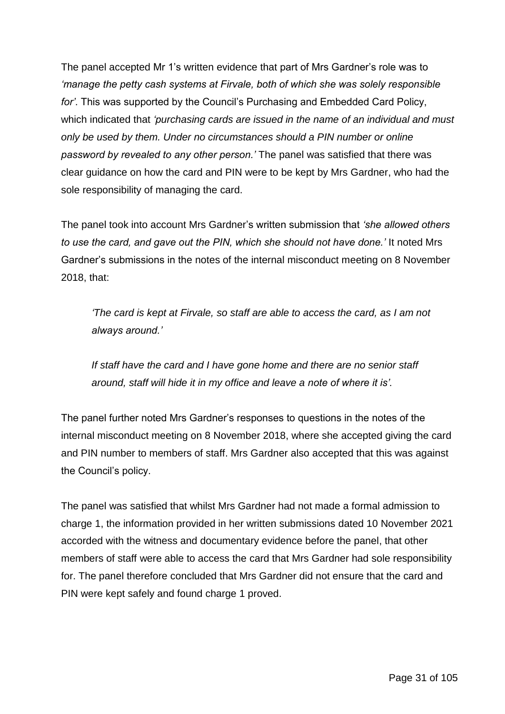The panel accepted Mr 1's written evidence that part of Mrs Gardner's role was to *'manage the petty cash systems at Firvale, both of which she was solely responsible for'*. This was supported by the Council's Purchasing and Embedded Card Policy, which indicated that *'purchasing cards are issued in the name of an individual and must only be used by them. Under no circumstances should a PIN number or online password by revealed to any other person.'* The panel was satisfied that there was clear guidance on how the card and PIN were to be kept by Mrs Gardner, who had the sole responsibility of managing the card.

The panel took into account Mrs Gardner's written submission that *'she allowed others to use the card, and gave out the PIN, which she should not have done.'* It noted Mrs Gardner's submissions in the notes of the internal misconduct meeting on 8 November 2018, that:

*'The card is kept at Firvale, so staff are able to access the card, as I am not always around.'*

*If staff have the card and I have gone home and there are no senior staff around, staff will hide it in my office and leave a note of where it is'.*

The panel further noted Mrs Gardner's responses to questions in the notes of the internal misconduct meeting on 8 November 2018, where she accepted giving the card and PIN number to members of staff. Mrs Gardner also accepted that this was against the Council's policy.

The panel was satisfied that whilst Mrs Gardner had not made a formal admission to charge 1, the information provided in her written submissions dated 10 November 2021 accorded with the witness and documentary evidence before the panel, that other members of staff were able to access the card that Mrs Gardner had sole responsibility for. The panel therefore concluded that Mrs Gardner did not ensure that the card and PIN were kept safely and found charge 1 proved.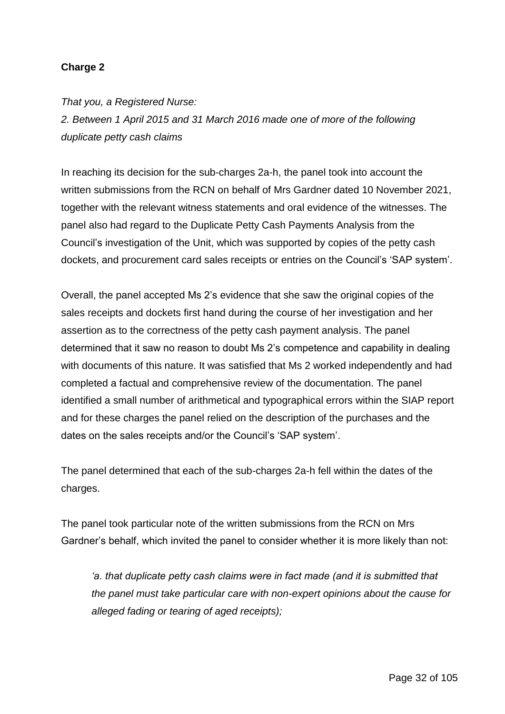# **Charge 2**

*That you, a Registered Nurse:*

*2. Between 1 April 2015 and 31 March 2016 made one of more of the following duplicate petty cash claims*

In reaching its decision for the sub-charges 2a-h, the panel took into account the written submissions from the RCN on behalf of Mrs Gardner dated 10 November 2021, together with the relevant witness statements and oral evidence of the witnesses. The panel also had regard to the Duplicate Petty Cash Payments Analysis from the Council's investigation of the Unit, which was supported by copies of the petty cash dockets, and procurement card sales receipts or entries on the Council's 'SAP system'.

Overall, the panel accepted Ms 2's evidence that she saw the original copies of the sales receipts and dockets first hand during the course of her investigation and her assertion as to the correctness of the petty cash payment analysis. The panel determined that it saw no reason to doubt Ms 2's competence and capability in dealing with documents of this nature. It was satisfied that Ms 2 worked independently and had completed a factual and comprehensive review of the documentation. The panel identified a small number of arithmetical and typographical errors within the SIAP report and for these charges the panel relied on the description of the purchases and the dates on the sales receipts and/or the Council's 'SAP system'.

The panel determined that each of the sub-charges 2a-h fell within the dates of the charges.

The panel took particular note of the written submissions from the RCN on Mrs Gardner's behalf, which invited the panel to consider whether it is more likely than not:

*'a. that duplicate petty cash claims were in fact made (and it is submitted that the panel must take particular care with non-expert opinions about the cause for alleged fading or tearing of aged receipts);*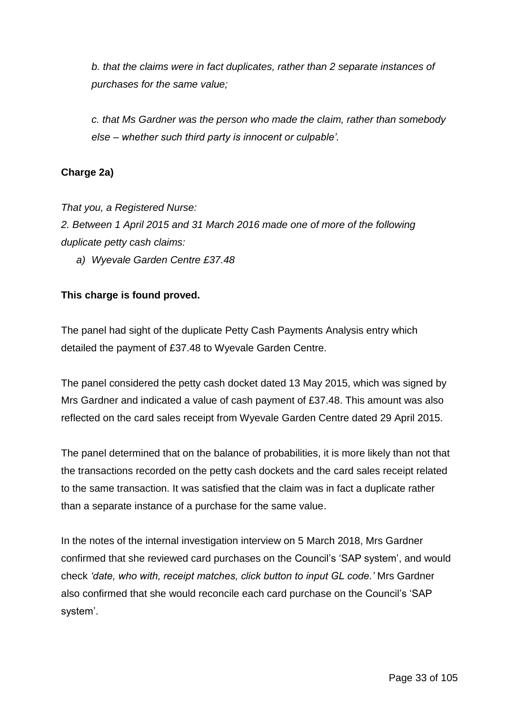*b. that the claims were in fact duplicates, rather than 2 separate instances of purchases for the same value;* 

*c. that Ms Gardner was the person who made the claim, rather than somebody else – whether such third party is innocent or culpable'.*

# **Charge 2a)**

*That you, a Registered Nurse:*

*2. Between 1 April 2015 and 31 March 2016 made one of more of the following duplicate petty cash claims:*

*a) Wyevale Garden Centre £37.48*

# **This charge is found proved.**

The panel had sight of the duplicate Petty Cash Payments Analysis entry which detailed the payment of £37.48 to Wyevale Garden Centre.

The panel considered the petty cash docket dated 13 May 2015, which was signed by Mrs Gardner and indicated a value of cash payment of £37.48. This amount was also reflected on the card sales receipt from Wyevale Garden Centre dated 29 April 2015.

The panel determined that on the balance of probabilities, it is more likely than not that the transactions recorded on the petty cash dockets and the card sales receipt related to the same transaction. It was satisfied that the claim was in fact a duplicate rather than a separate instance of a purchase for the same value.

In the notes of the internal investigation interview on 5 March 2018, Mrs Gardner confirmed that she reviewed card purchases on the Council's 'SAP system', and would check *'date, who with, receipt matches, click button to input GL code.'* Mrs Gardner also confirmed that she would reconcile each card purchase on the Council's 'SAP system'.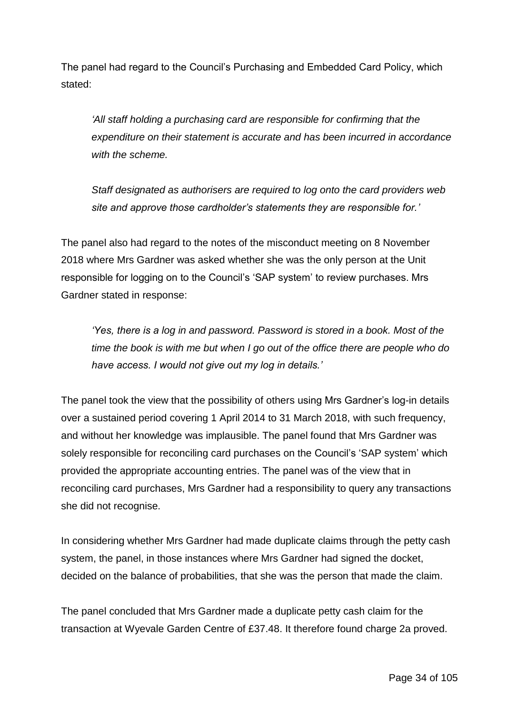The panel had regard to the Council's Purchasing and Embedded Card Policy, which stated:

*'All staff holding a purchasing card are responsible for confirming that the expenditure on their statement is accurate and has been incurred in accordance with the scheme.* 

*Staff designated as authorisers are required to log onto the card providers web site and approve those cardholder's statements they are responsible for.'*

The panel also had regard to the notes of the misconduct meeting on 8 November 2018 where Mrs Gardner was asked whether she was the only person at the Unit responsible for logging on to the Council's 'SAP system' to review purchases. Mrs Gardner stated in response:

*'Yes, there is a log in and password. Password is stored in a book. Most of the time the book is with me but when I go out of the office there are people who do have access. I would not give out my log in details.'*

The panel took the view that the possibility of others using Mrs Gardner's log-in details over a sustained period covering 1 April 2014 to 31 March 2018, with such frequency, and without her knowledge was implausible. The panel found that Mrs Gardner was solely responsible for reconciling card purchases on the Council's 'SAP system' which provided the appropriate accounting entries. The panel was of the view that in reconciling card purchases, Mrs Gardner had a responsibility to query any transactions she did not recognise.

In considering whether Mrs Gardner had made duplicate claims through the petty cash system, the panel, in those instances where Mrs Gardner had signed the docket, decided on the balance of probabilities, that she was the person that made the claim.

The panel concluded that Mrs Gardner made a duplicate petty cash claim for the transaction at Wyevale Garden Centre of £37.48. It therefore found charge 2a proved.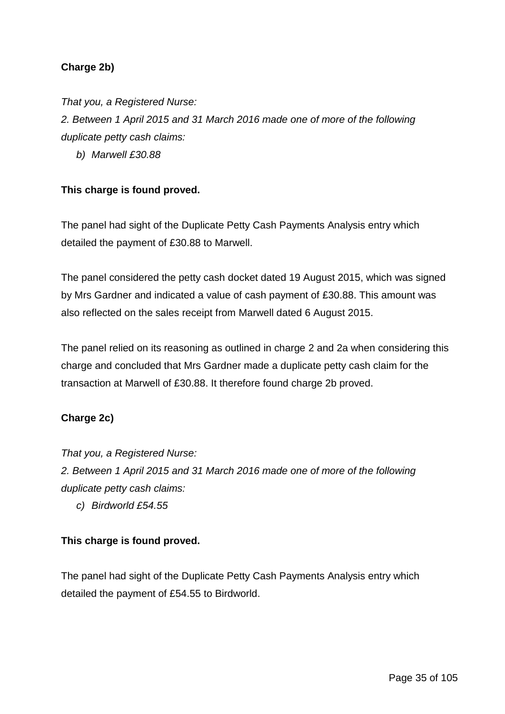# **Charge 2b)**

*That you, a Registered Nurse:*

*2. Between 1 April 2015 and 31 March 2016 made one of more of the following duplicate petty cash claims:*

*b) Marwell £30.88*

# **This charge is found proved.**

The panel had sight of the Duplicate Petty Cash Payments Analysis entry which detailed the payment of £30.88 to Marwell.

The panel considered the petty cash docket dated 19 August 2015, which was signed by Mrs Gardner and indicated a value of cash payment of £30.88. This amount was also reflected on the sales receipt from Marwell dated 6 August 2015.

The panel relied on its reasoning as outlined in charge 2 and 2a when considering this charge and concluded that Mrs Gardner made a duplicate petty cash claim for the transaction at Marwell of £30.88. It therefore found charge 2b proved.

# **Charge 2c)**

*That you, a Registered Nurse: 2. Between 1 April 2015 and 31 March 2016 made one of more of the following duplicate petty cash claims:*

*c) Birdworld £54.55*

# **This charge is found proved.**

The panel had sight of the Duplicate Petty Cash Payments Analysis entry which detailed the payment of £54.55 to Birdworld.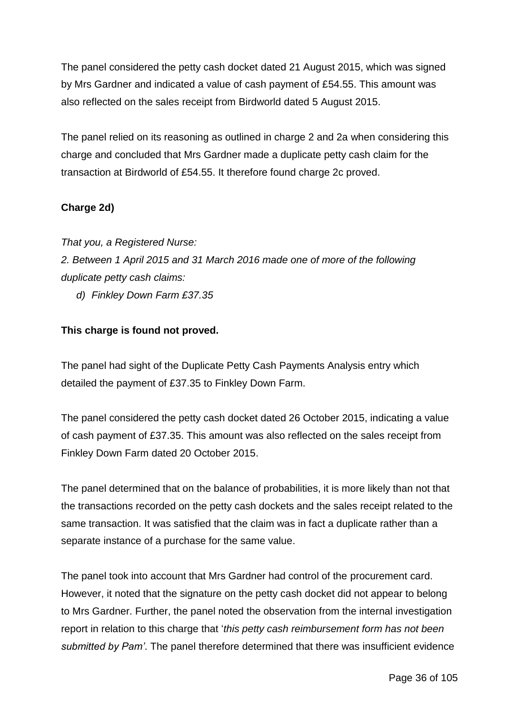The panel considered the petty cash docket dated 21 August 2015, which was signed by Mrs Gardner and indicated a value of cash payment of £54.55. This amount was also reflected on the sales receipt from Birdworld dated 5 August 2015.

The panel relied on its reasoning as outlined in charge 2 and 2a when considering this charge and concluded that Mrs Gardner made a duplicate petty cash claim for the transaction at Birdworld of £54.55. It therefore found charge 2c proved.

# **Charge 2d)**

*That you, a Registered Nurse: 2. Between 1 April 2015 and 31 March 2016 made one of more of the following duplicate petty cash claims:*

*d) Finkley Down Farm £37.35*

# **This charge is found not proved.**

The panel had sight of the Duplicate Petty Cash Payments Analysis entry which detailed the payment of £37.35 to Finkley Down Farm.

The panel considered the petty cash docket dated 26 October 2015, indicating a value of cash payment of £37.35. This amount was also reflected on the sales receipt from Finkley Down Farm dated 20 October 2015.

The panel determined that on the balance of probabilities, it is more likely than not that the transactions recorded on the petty cash dockets and the sales receipt related to the same transaction. It was satisfied that the claim was in fact a duplicate rather than a separate instance of a purchase for the same value.

The panel took into account that Mrs Gardner had control of the procurement card. However, it noted that the signature on the petty cash docket did not appear to belong to Mrs Gardner. Further, the panel noted the observation from the internal investigation report in relation to this charge that '*this petty cash reimbursement form has not been submitted by Pam'*. The panel therefore determined that there was insufficient evidence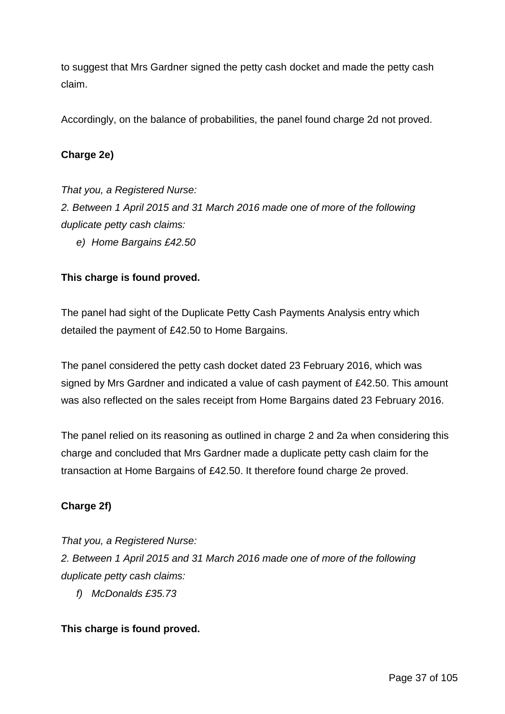to suggest that Mrs Gardner signed the petty cash docket and made the petty cash claim.

Accordingly, on the balance of probabilities, the panel found charge 2d not proved.

### **Charge 2e)**

*That you, a Registered Nurse: 2. Between 1 April 2015 and 31 March 2016 made one of more of the following duplicate petty cash claims:*

*e) Home Bargains £42.50*

### **This charge is found proved.**

The panel had sight of the Duplicate Petty Cash Payments Analysis entry which detailed the payment of £42.50 to Home Bargains.

The panel considered the petty cash docket dated 23 February 2016, which was signed by Mrs Gardner and indicated a value of cash payment of £42.50. This amount was also reflected on the sales receipt from Home Bargains dated 23 February 2016.

The panel relied on its reasoning as outlined in charge 2 and 2a when considering this charge and concluded that Mrs Gardner made a duplicate petty cash claim for the transaction at Home Bargains of £42.50. It therefore found charge 2e proved.

## **Charge 2f)**

*That you, a Registered Nurse:*

*2. Between 1 April 2015 and 31 March 2016 made one of more of the following duplicate petty cash claims:*

*f) McDonalds £35.73*

### **This charge is found proved.**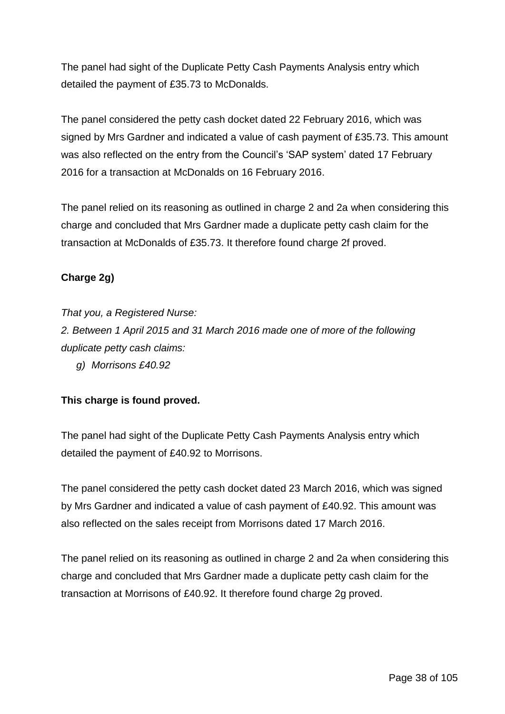The panel had sight of the Duplicate Petty Cash Payments Analysis entry which detailed the payment of £35.73 to McDonalds.

The panel considered the petty cash docket dated 22 February 2016, which was signed by Mrs Gardner and indicated a value of cash payment of £35.73. This amount was also reflected on the entry from the Council's 'SAP system' dated 17 February 2016 for a transaction at McDonalds on 16 February 2016.

The panel relied on its reasoning as outlined in charge 2 and 2a when considering this charge and concluded that Mrs Gardner made a duplicate petty cash claim for the transaction at McDonalds of £35.73. It therefore found charge 2f proved.

# **Charge 2g)**

*That you, a Registered Nurse:*

*2. Between 1 April 2015 and 31 March 2016 made one of more of the following duplicate petty cash claims:*

*g) Morrisons £40.92*

## **This charge is found proved.**

The panel had sight of the Duplicate Petty Cash Payments Analysis entry which detailed the payment of £40.92 to Morrisons.

The panel considered the petty cash docket dated 23 March 2016, which was signed by Mrs Gardner and indicated a value of cash payment of £40.92. This amount was also reflected on the sales receipt from Morrisons dated 17 March 2016.

The panel relied on its reasoning as outlined in charge 2 and 2a when considering this charge and concluded that Mrs Gardner made a duplicate petty cash claim for the transaction at Morrisons of £40.92. It therefore found charge 2g proved.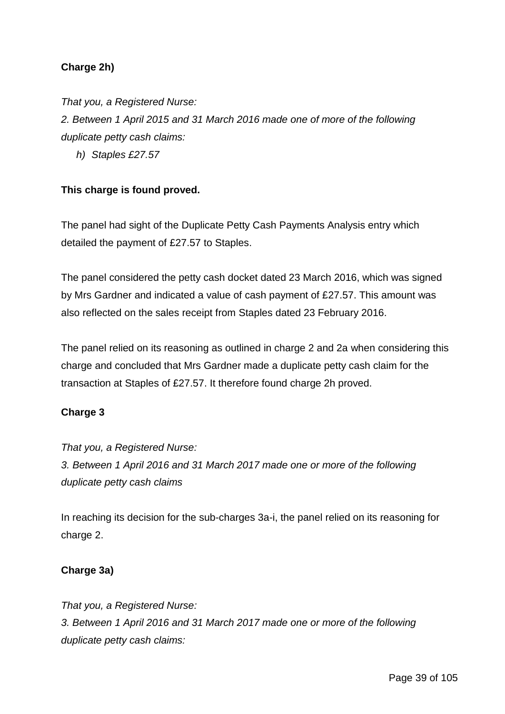## **Charge 2h)**

*That you, a Registered Nurse:*

*2. Between 1 April 2015 and 31 March 2016 made one of more of the following duplicate petty cash claims:*

*h) Staples £27.57*

## **This charge is found proved.**

The panel had sight of the Duplicate Petty Cash Payments Analysis entry which detailed the payment of £27.57 to Staples.

The panel considered the petty cash docket dated 23 March 2016, which was signed by Mrs Gardner and indicated a value of cash payment of £27.57. This amount was also reflected on the sales receipt from Staples dated 23 February 2016.

The panel relied on its reasoning as outlined in charge 2 and 2a when considering this charge and concluded that Mrs Gardner made a duplicate petty cash claim for the transaction at Staples of £27.57. It therefore found charge 2h proved.

## **Charge 3**

*That you, a Registered Nurse: 3. Between 1 April 2016 and 31 March 2017 made one or more of the following duplicate petty cash claims*

In reaching its decision for the sub-charges 3a-i, the panel relied on its reasoning for charge 2.

## **Charge 3a)**

*That you, a Registered Nurse: 3. Between 1 April 2016 and 31 March 2017 made one or more of the following duplicate petty cash claims:*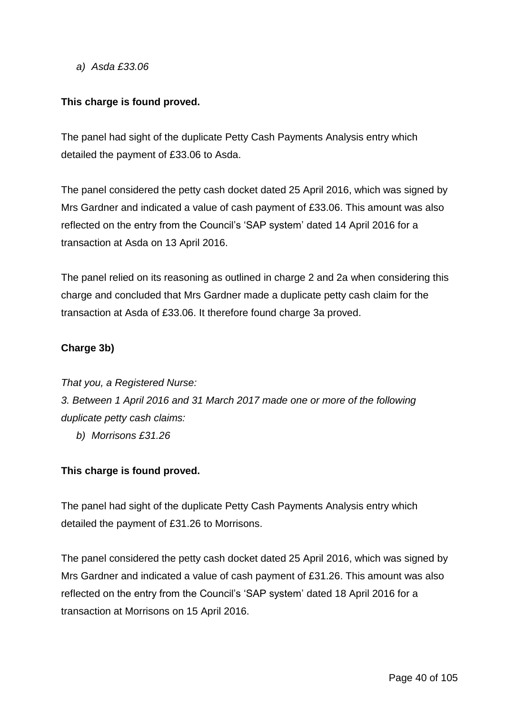*a) Asda £33.06*

## **This charge is found proved.**

The panel had sight of the duplicate Petty Cash Payments Analysis entry which detailed the payment of £33.06 to Asda.

The panel considered the petty cash docket dated 25 April 2016, which was signed by Mrs Gardner and indicated a value of cash payment of £33.06. This amount was also reflected on the entry from the Council's 'SAP system' dated 14 April 2016 for a transaction at Asda on 13 April 2016.

The panel relied on its reasoning as outlined in charge 2 and 2a when considering this charge and concluded that Mrs Gardner made a duplicate petty cash claim for the transaction at Asda of £33.06. It therefore found charge 3a proved.

## **Charge 3b)**

*That you, a Registered Nurse: 3. Between 1 April 2016 and 31 March 2017 made one or more of the following duplicate petty cash claims:*

*b) Morrisons £31.26*

## **This charge is found proved.**

The panel had sight of the duplicate Petty Cash Payments Analysis entry which detailed the payment of £31.26 to Morrisons.

The panel considered the petty cash docket dated 25 April 2016, which was signed by Mrs Gardner and indicated a value of cash payment of £31.26. This amount was also reflected on the entry from the Council's 'SAP system' dated 18 April 2016 for a transaction at Morrisons on 15 April 2016.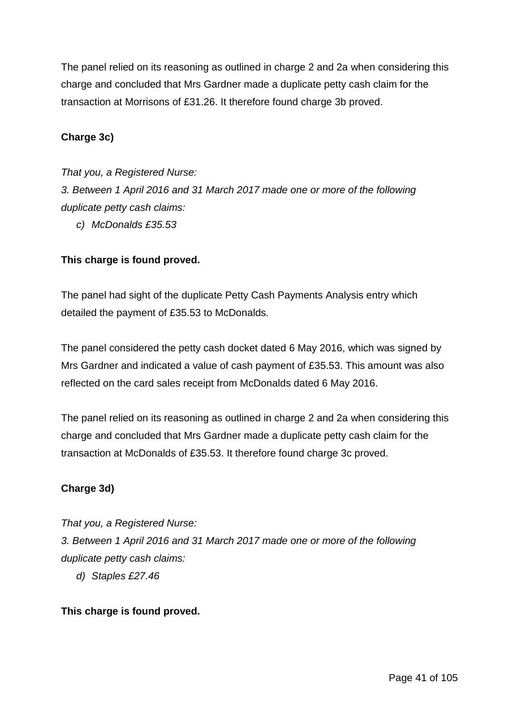The panel relied on its reasoning as outlined in charge 2 and 2a when considering this charge and concluded that Mrs Gardner made a duplicate petty cash claim for the transaction at Morrisons of £31.26. It therefore found charge 3b proved.

### **Charge 3c)**

#### *That you, a Registered Nurse:*

*3. Between 1 April 2016 and 31 March 2017 made one or more of the following duplicate petty cash claims:*

*c) McDonalds £35.53*

### **This charge is found proved.**

The panel had sight of the duplicate Petty Cash Payments Analysis entry which detailed the payment of £35.53 to McDonalds.

The panel considered the petty cash docket dated 6 May 2016, which was signed by Mrs Gardner and indicated a value of cash payment of £35.53. This amount was also reflected on the card sales receipt from McDonalds dated 6 May 2016.

The panel relied on its reasoning as outlined in charge 2 and 2a when considering this charge and concluded that Mrs Gardner made a duplicate petty cash claim for the transaction at McDonalds of £35.53. It therefore found charge 3c proved.

## **Charge 3d)**

*That you, a Registered Nurse:*

*3. Between 1 April 2016 and 31 March 2017 made one or more of the following duplicate petty cash claims:*

*d) Staples £27.46*

### **This charge is found proved.**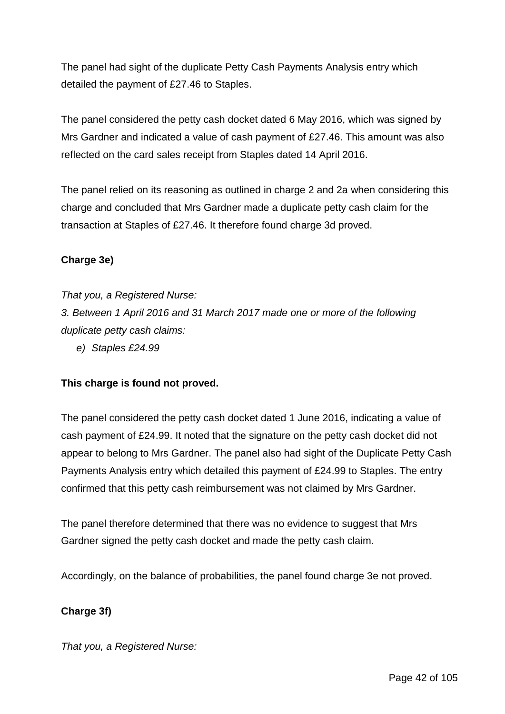The panel had sight of the duplicate Petty Cash Payments Analysis entry which detailed the payment of £27.46 to Staples.

The panel considered the petty cash docket dated 6 May 2016, which was signed by Mrs Gardner and indicated a value of cash payment of £27.46. This amount was also reflected on the card sales receipt from Staples dated 14 April 2016.

The panel relied on its reasoning as outlined in charge 2 and 2a when considering this charge and concluded that Mrs Gardner made a duplicate petty cash claim for the transaction at Staples of £27.46. It therefore found charge 3d proved.

## **Charge 3e)**

### *That you, a Registered Nurse:*

*3. Between 1 April 2016 and 31 March 2017 made one or more of the following duplicate petty cash claims:*

*e) Staples £24.99*

## **This charge is found not proved.**

The panel considered the petty cash docket dated 1 June 2016, indicating a value of cash payment of £24.99. It noted that the signature on the petty cash docket did not appear to belong to Mrs Gardner. The panel also had sight of the Duplicate Petty Cash Payments Analysis entry which detailed this payment of £24.99 to Staples. The entry confirmed that this petty cash reimbursement was not claimed by Mrs Gardner.

The panel therefore determined that there was no evidence to suggest that Mrs Gardner signed the petty cash docket and made the petty cash claim.

Accordingly, on the balance of probabilities, the panel found charge 3e not proved.

## **Charge 3f)**

*That you, a Registered Nurse:*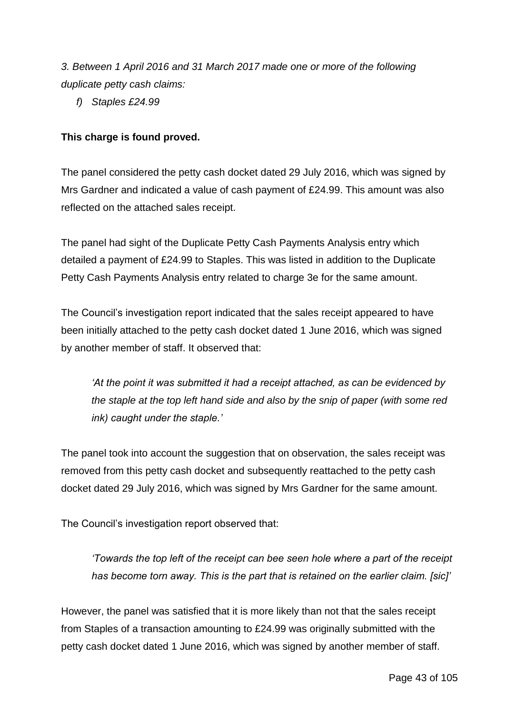*3. Between 1 April 2016 and 31 March 2017 made one or more of the following duplicate petty cash claims:*

*f) Staples £24.99*

# **This charge is found proved.**

The panel considered the petty cash docket dated 29 July 2016, which was signed by Mrs Gardner and indicated a value of cash payment of £24.99. This amount was also reflected on the attached sales receipt.

The panel had sight of the Duplicate Petty Cash Payments Analysis entry which detailed a payment of £24.99 to Staples. This was listed in addition to the Duplicate Petty Cash Payments Analysis entry related to charge 3e for the same amount.

The Council's investigation report indicated that the sales receipt appeared to have been initially attached to the petty cash docket dated 1 June 2016, which was signed by another member of staff. It observed that:

*'At the point it was submitted it had a receipt attached, as can be evidenced by the staple at the top left hand side and also by the snip of paper (with some red ink) caught under the staple.'*

The panel took into account the suggestion that on observation, the sales receipt was removed from this petty cash docket and subsequently reattached to the petty cash docket dated 29 July 2016, which was signed by Mrs Gardner for the same amount.

The Council's investigation report observed that:

*'Towards the top left of the receipt can bee seen hole where a part of the receipt has become torn away. This is the part that is retained on the earlier claim. [sic]'*

However, the panel was satisfied that it is more likely than not that the sales receipt from Staples of a transaction amounting to £24.99 was originally submitted with the petty cash docket dated 1 June 2016, which was signed by another member of staff.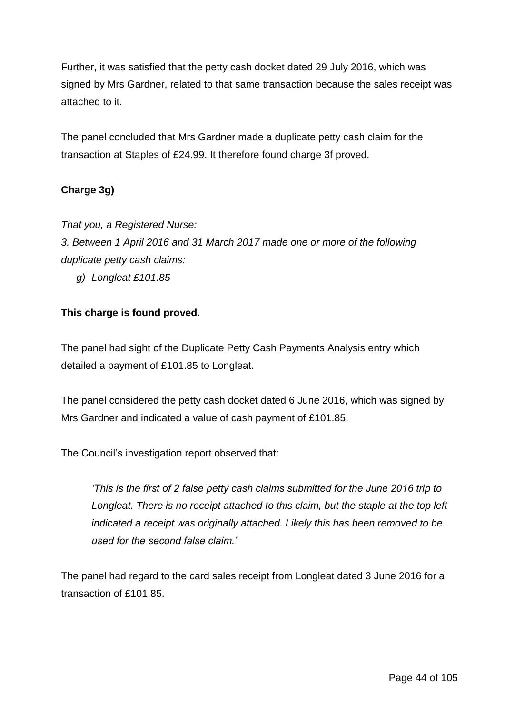Further, it was satisfied that the petty cash docket dated 29 July 2016, which was signed by Mrs Gardner, related to that same transaction because the sales receipt was attached to it.

The panel concluded that Mrs Gardner made a duplicate petty cash claim for the transaction at Staples of £24.99. It therefore found charge 3f proved.

## **Charge 3g)**

*That you, a Registered Nurse:*

*3. Between 1 April 2016 and 31 March 2017 made one or more of the following duplicate petty cash claims:*

*g) Longleat £101.85*

## **This charge is found proved.**

The panel had sight of the Duplicate Petty Cash Payments Analysis entry which detailed a payment of £101.85 to Longleat.

The panel considered the petty cash docket dated 6 June 2016, which was signed by Mrs Gardner and indicated a value of cash payment of £101.85.

The Council's investigation report observed that:

*'This is the first of 2 false petty cash claims submitted for the June 2016 trip to Longleat. There is no receipt attached to this claim, but the staple at the top left indicated a receipt was originally attached. Likely this has been removed to be used for the second false claim.'*

The panel had regard to the card sales receipt from Longleat dated 3 June 2016 for a transaction of £101.85.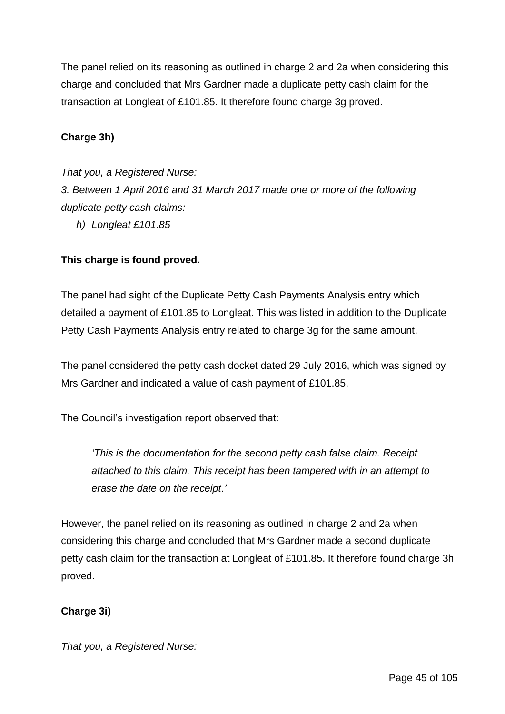The panel relied on its reasoning as outlined in charge 2 and 2a when considering this charge and concluded that Mrs Gardner made a duplicate petty cash claim for the transaction at Longleat of £101.85. It therefore found charge 3g proved.

### **Charge 3h)**

### *That you, a Registered Nurse:*

*3. Between 1 April 2016 and 31 March 2017 made one or more of the following duplicate petty cash claims:*

*h) Longleat £101.85*

### **This charge is found proved.**

The panel had sight of the Duplicate Petty Cash Payments Analysis entry which detailed a payment of £101.85 to Longleat. This was listed in addition to the Duplicate Petty Cash Payments Analysis entry related to charge 3g for the same amount.

The panel considered the petty cash docket dated 29 July 2016, which was signed by Mrs Gardner and indicated a value of cash payment of £101.85.

The Council's investigation report observed that:

*'This is the documentation for the second petty cash false claim. Receipt attached to this claim. This receipt has been tampered with in an attempt to erase the date on the receipt.'*

However, the panel relied on its reasoning as outlined in charge 2 and 2a when considering this charge and concluded that Mrs Gardner made a second duplicate petty cash claim for the transaction at Longleat of £101.85. It therefore found charge 3h proved.

### **Charge 3i)**

*That you, a Registered Nurse:*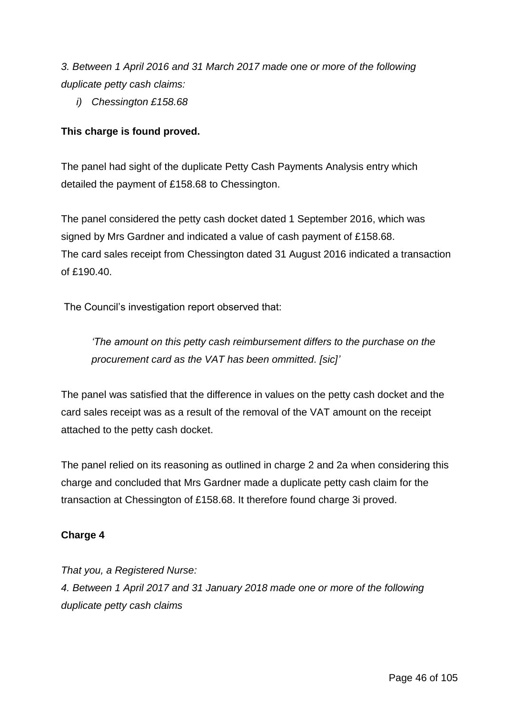*3. Between 1 April 2016 and 31 March 2017 made one or more of the following duplicate petty cash claims:*

*i) Chessington £158.68*

# **This charge is found proved.**

The panel had sight of the duplicate Petty Cash Payments Analysis entry which detailed the payment of £158.68 to Chessington.

The panel considered the petty cash docket dated 1 September 2016, which was signed by Mrs Gardner and indicated a value of cash payment of £158.68. The card sales receipt from Chessington dated 31 August 2016 indicated a transaction of £190.40.

The Council's investigation report observed that:

*'The amount on this petty cash reimbursement differs to the purchase on the procurement card as the VAT has been ommitted. [sic]'*

The panel was satisfied that the difference in values on the petty cash docket and the card sales receipt was as a result of the removal of the VAT amount on the receipt attached to the petty cash docket.

The panel relied on its reasoning as outlined in charge 2 and 2a when considering this charge and concluded that Mrs Gardner made a duplicate petty cash claim for the transaction at Chessington of £158.68. It therefore found charge 3i proved.

## **Charge 4**

*That you, a Registered Nurse: 4. Between 1 April 2017 and 31 January 2018 made one or more of the following duplicate petty cash claims*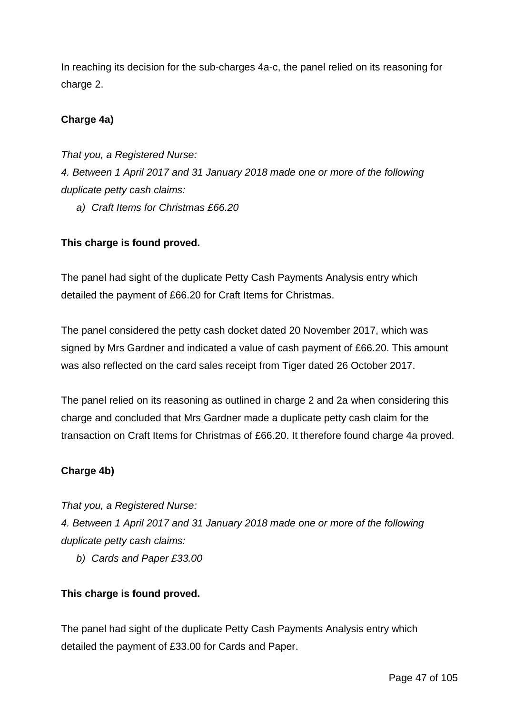In reaching its decision for the sub-charges 4a-c, the panel relied on its reasoning for charge 2.

# **Charge 4a)**

*That you, a Registered Nurse: 4. Between 1 April 2017 and 31 January 2018 made one or more of the following duplicate petty cash claims:*

*a) Craft Items for Christmas £66.20*

## **This charge is found proved.**

The panel had sight of the duplicate Petty Cash Payments Analysis entry which detailed the payment of £66.20 for Craft Items for Christmas.

The panel considered the petty cash docket dated 20 November 2017, which was signed by Mrs Gardner and indicated a value of cash payment of £66.20. This amount was also reflected on the card sales receipt from Tiger dated 26 October 2017.

The panel relied on its reasoning as outlined in charge 2 and 2a when considering this charge and concluded that Mrs Gardner made a duplicate petty cash claim for the transaction on Craft Items for Christmas of £66.20. It therefore found charge 4a proved.

## **Charge 4b)**

*That you, a Registered Nurse:*

*4. Between 1 April 2017 and 31 January 2018 made one or more of the following duplicate petty cash claims:*

*b) Cards and Paper £33.00*

## **This charge is found proved.**

The panel had sight of the duplicate Petty Cash Payments Analysis entry which detailed the payment of £33.00 for Cards and Paper.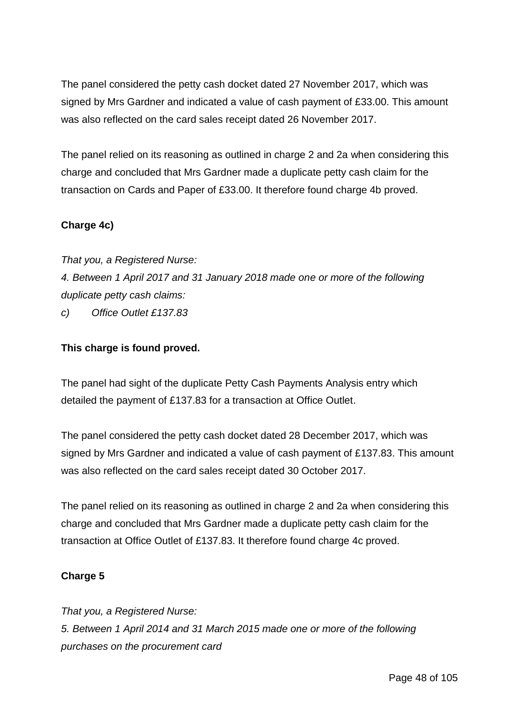The panel considered the petty cash docket dated 27 November 2017, which was signed by Mrs Gardner and indicated a value of cash payment of £33.00. This amount was also reflected on the card sales receipt dated 26 November 2017.

The panel relied on its reasoning as outlined in charge 2 and 2a when considering this charge and concluded that Mrs Gardner made a duplicate petty cash claim for the transaction on Cards and Paper of £33.00. It therefore found charge 4b proved.

## **Charge 4c)**

*That you, a Registered Nurse: 4. Between 1 April 2017 and 31 January 2018 made one or more of the following duplicate petty cash claims:*

*c) Office Outlet £137.83*

## **This charge is found proved.**

The panel had sight of the duplicate Petty Cash Payments Analysis entry which detailed the payment of £137.83 for a transaction at Office Outlet.

The panel considered the petty cash docket dated 28 December 2017, which was signed by Mrs Gardner and indicated a value of cash payment of £137.83. This amount was also reflected on the card sales receipt dated 30 October 2017.

The panel relied on its reasoning as outlined in charge 2 and 2a when considering this charge and concluded that Mrs Gardner made a duplicate petty cash claim for the transaction at Office Outlet of £137.83. It therefore found charge 4c proved.

## **Charge 5**

*That you, a Registered Nurse: 5. Between 1 April 2014 and 31 March 2015 made one or more of the following purchases on the procurement card*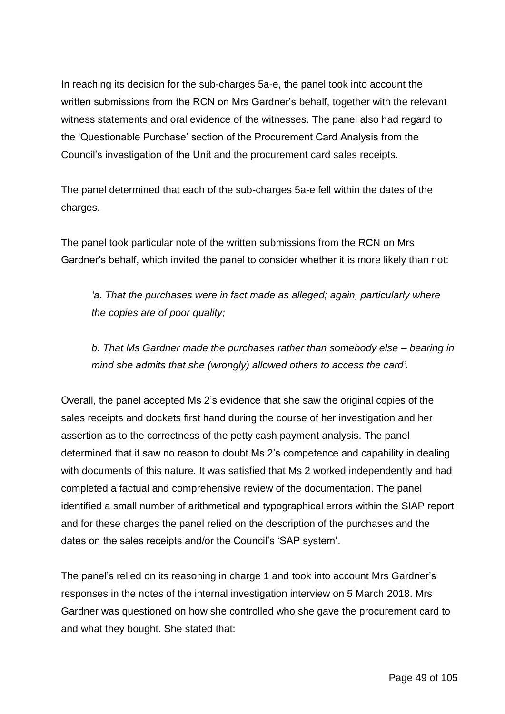In reaching its decision for the sub-charges 5a-e, the panel took into account the written submissions from the RCN on Mrs Gardner's behalf, together with the relevant witness statements and oral evidence of the witnesses. The panel also had regard to the 'Questionable Purchase' section of the Procurement Card Analysis from the Council's investigation of the Unit and the procurement card sales receipts.

The panel determined that each of the sub-charges 5a-e fell within the dates of the charges.

The panel took particular note of the written submissions from the RCN on Mrs Gardner's behalf, which invited the panel to consider whether it is more likely than not:

*'a. That the purchases were in fact made as alleged; again, particularly where the copies are of poor quality;*

*b. That Ms Gardner made the purchases rather than somebody else – bearing in mind she admits that she (wrongly) allowed others to access the card'.*

Overall, the panel accepted Ms 2's evidence that she saw the original copies of the sales receipts and dockets first hand during the course of her investigation and her assertion as to the correctness of the petty cash payment analysis. The panel determined that it saw no reason to doubt Ms 2's competence and capability in dealing with documents of this nature. It was satisfied that Ms 2 worked independently and had completed a factual and comprehensive review of the documentation. The panel identified a small number of arithmetical and typographical errors within the SIAP report and for these charges the panel relied on the description of the purchases and the dates on the sales receipts and/or the Council's 'SAP system'.

The panel's relied on its reasoning in charge 1 and took into account Mrs Gardner's responses in the notes of the internal investigation interview on 5 March 2018. Mrs Gardner was questioned on how she controlled who she gave the procurement card to and what they bought. She stated that: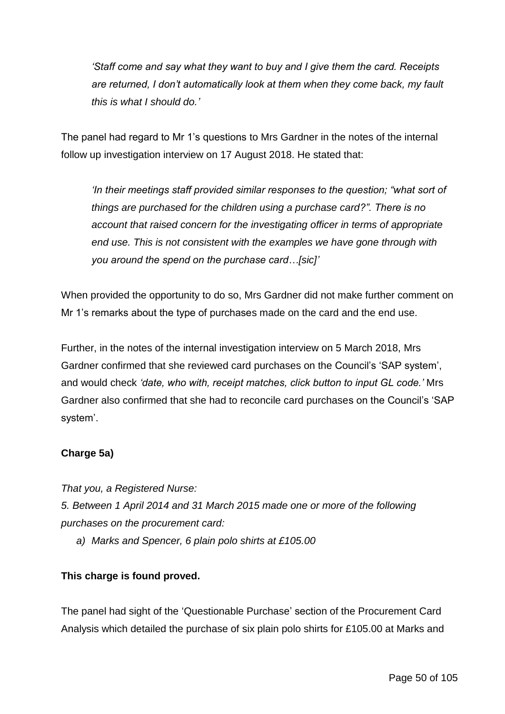*'Staff come and say what they want to buy and I give them the card. Receipts are returned, I don't automatically look at them when they come back, my fault this is what I should do.'*

The panel had regard to Mr 1's questions to Mrs Gardner in the notes of the internal follow up investigation interview on 17 August 2018. He stated that:

*'In their meetings staff provided similar responses to the question; "what sort of things are purchased for the children using a purchase card?". There is no account that raised concern for the investigating officer in terms of appropriate end use. This is not consistent with the examples we have gone through with you around the spend on the purchase card…[sic]'*

When provided the opportunity to do so, Mrs Gardner did not make further comment on Mr 1's remarks about the type of purchases made on the card and the end use.

Further, in the notes of the internal investigation interview on 5 March 2018, Mrs Gardner confirmed that she reviewed card purchases on the Council's 'SAP system', and would check *'date, who with, receipt matches, click button to input GL code.'* Mrs Gardner also confirmed that she had to reconcile card purchases on the Council's 'SAP system'.

# **Charge 5a)**

*That you, a Registered Nurse: 5. Between 1 April 2014 and 31 March 2015 made one or more of the following purchases on the procurement card:*

*a) Marks and Spencer, 6 plain polo shirts at £105.00*

# **This charge is found proved.**

The panel had sight of the 'Questionable Purchase' section of the Procurement Card Analysis which detailed the purchase of six plain polo shirts for £105.00 at Marks and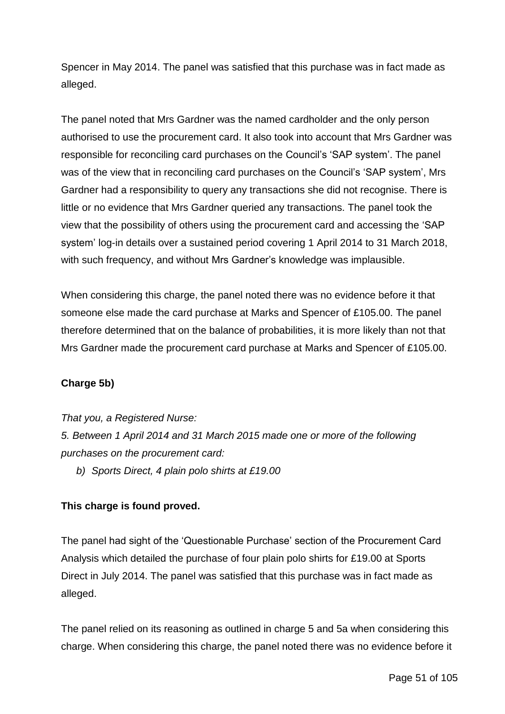Spencer in May 2014. The panel was satisfied that this purchase was in fact made as alleged.

The panel noted that Mrs Gardner was the named cardholder and the only person authorised to use the procurement card. It also took into account that Mrs Gardner was responsible for reconciling card purchases on the Council's 'SAP system'. The panel was of the view that in reconciling card purchases on the Council's 'SAP system', Mrs Gardner had a responsibility to query any transactions she did not recognise. There is little or no evidence that Mrs Gardner queried any transactions. The panel took the view that the possibility of others using the procurement card and accessing the 'SAP system' log-in details over a sustained period covering 1 April 2014 to 31 March 2018, with such frequency, and without Mrs Gardner's knowledge was implausible.

When considering this charge, the panel noted there was no evidence before it that someone else made the card purchase at Marks and Spencer of £105.00. The panel therefore determined that on the balance of probabilities, it is more likely than not that Mrs Gardner made the procurement card purchase at Marks and Spencer of £105.00.

# **Charge 5b)**

*That you, a Registered Nurse:*

*5. Between 1 April 2014 and 31 March 2015 made one or more of the following purchases on the procurement card:*

*b) Sports Direct, 4 plain polo shirts at £19.00*

## **This charge is found proved.**

The panel had sight of the 'Questionable Purchase' section of the Procurement Card Analysis which detailed the purchase of four plain polo shirts for £19.00 at Sports Direct in July 2014. The panel was satisfied that this purchase was in fact made as alleged.

The panel relied on its reasoning as outlined in charge 5 and 5a when considering this charge. When considering this charge, the panel noted there was no evidence before it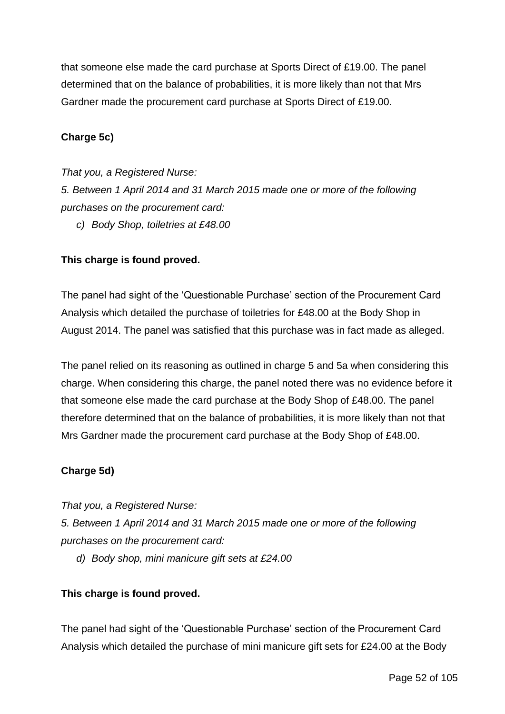that someone else made the card purchase at Sports Direct of £19.00. The panel determined that on the balance of probabilities, it is more likely than not that Mrs Gardner made the procurement card purchase at Sports Direct of £19.00.

### **Charge 5c)**

*That you, a Registered Nurse: 5. Between 1 April 2014 and 31 March 2015 made one or more of the following purchases on the procurement card: c) Body Shop, toiletries at £48.00*

### **This charge is found proved.**

The panel had sight of the 'Questionable Purchase' section of the Procurement Card Analysis which detailed the purchase of toiletries for £48.00 at the Body Shop in August 2014. The panel was satisfied that this purchase was in fact made as alleged.

The panel relied on its reasoning as outlined in charge 5 and 5a when considering this charge. When considering this charge, the panel noted there was no evidence before it that someone else made the card purchase at the Body Shop of £48.00. The panel therefore determined that on the balance of probabilities, it is more likely than not that Mrs Gardner made the procurement card purchase at the Body Shop of £48.00.

#### **Charge 5d)**

*That you, a Registered Nurse:*

*5. Between 1 April 2014 and 31 March 2015 made one or more of the following purchases on the procurement card:*

*d) Body shop, mini manicure gift sets at £24.00*

### **This charge is found proved.**

The panel had sight of the 'Questionable Purchase' section of the Procurement Card Analysis which detailed the purchase of mini manicure gift sets for £24.00 at the Body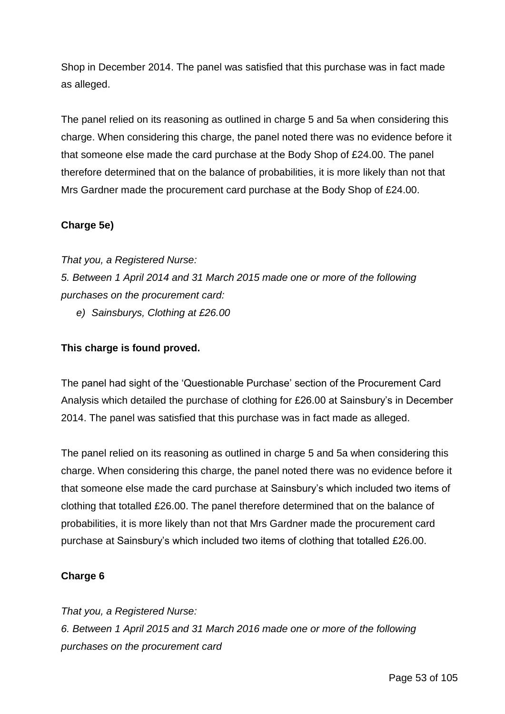Shop in December 2014. The panel was satisfied that this purchase was in fact made as alleged.

The panel relied on its reasoning as outlined in charge 5 and 5a when considering this charge. When considering this charge, the panel noted there was no evidence before it that someone else made the card purchase at the Body Shop of £24.00. The panel therefore determined that on the balance of probabilities, it is more likely than not that Mrs Gardner made the procurement card purchase at the Body Shop of £24.00.

## **Charge 5e)**

*That you, a Registered Nurse: 5. Between 1 April 2014 and 31 March 2015 made one or more of the following purchases on the procurement card:*

*e) Sainsburys, Clothing at £26.00*

## **This charge is found proved.**

The panel had sight of the 'Questionable Purchase' section of the Procurement Card Analysis which detailed the purchase of clothing for £26.00 at Sainsbury's in December 2014. The panel was satisfied that this purchase was in fact made as alleged.

The panel relied on its reasoning as outlined in charge 5 and 5a when considering this charge. When considering this charge, the panel noted there was no evidence before it that someone else made the card purchase at Sainsbury's which included two items of clothing that totalled £26.00. The panel therefore determined that on the balance of probabilities, it is more likely than not that Mrs Gardner made the procurement card purchase at Sainsbury's which included two items of clothing that totalled £26.00.

## **Charge 6**

*That you, a Registered Nurse: 6. Between 1 April 2015 and 31 March 2016 made one or more of the following purchases on the procurement card*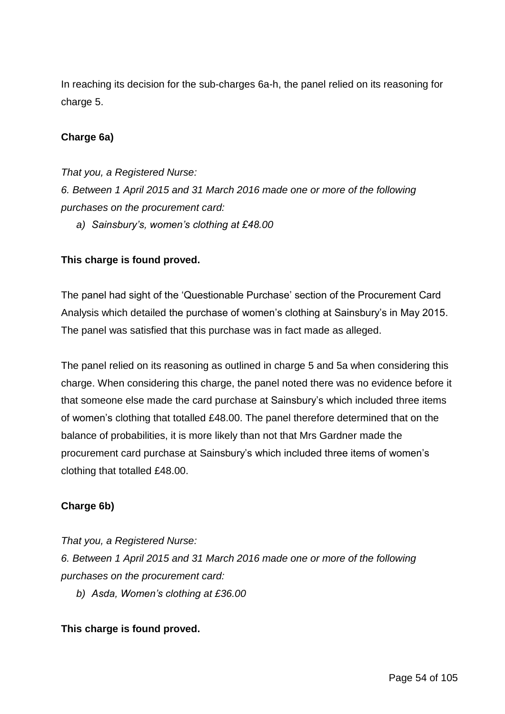In reaching its decision for the sub-charges 6a-h, the panel relied on its reasoning for charge 5.

### **Charge 6a)**

*That you, a Registered Nurse: 6. Between 1 April 2015 and 31 March 2016 made one or more of the following purchases on the procurement card:*

*a) Sainsbury's, women's clothing at £48.00*

### **This charge is found proved.**

The panel had sight of the 'Questionable Purchase' section of the Procurement Card Analysis which detailed the purchase of women's clothing at Sainsbury's in May 2015. The panel was satisfied that this purchase was in fact made as alleged.

The panel relied on its reasoning as outlined in charge 5 and 5a when considering this charge. When considering this charge, the panel noted there was no evidence before it that someone else made the card purchase at Sainsbury's which included three items of women's clothing that totalled £48.00. The panel therefore determined that on the balance of probabilities, it is more likely than not that Mrs Gardner made the procurement card purchase at Sainsbury's which included three items of women's clothing that totalled £48.00.

### **Charge 6b)**

*That you, a Registered Nurse: 6. Between 1 April 2015 and 31 March 2016 made one or more of the following purchases on the procurement card:*

*b) Asda, Women's clothing at £36.00*

### **This charge is found proved.**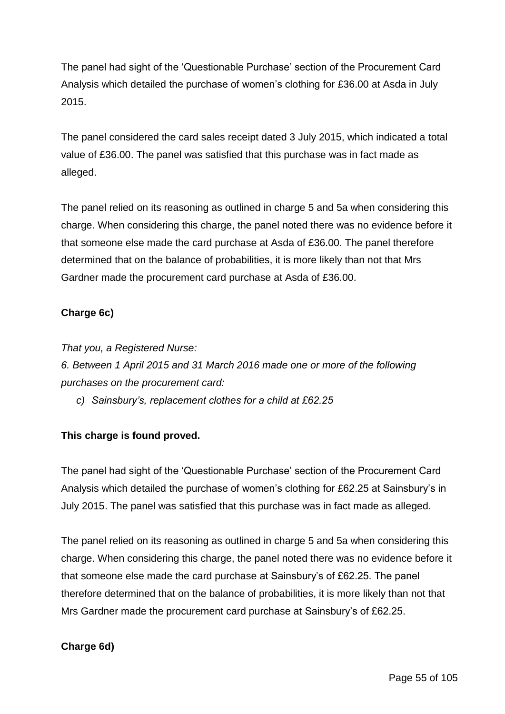The panel had sight of the 'Questionable Purchase' section of the Procurement Card Analysis which detailed the purchase of women's clothing for £36.00 at Asda in July 2015.

The panel considered the card sales receipt dated 3 July 2015, which indicated a total value of £36.00. The panel was satisfied that this purchase was in fact made as alleged.

The panel relied on its reasoning as outlined in charge 5 and 5a when considering this charge. When considering this charge, the panel noted there was no evidence before it that someone else made the card purchase at Asda of £36.00. The panel therefore determined that on the balance of probabilities, it is more likely than not that Mrs Gardner made the procurement card purchase at Asda of £36.00.

# **Charge 6c)**

*That you, a Registered Nurse:*

*6. Between 1 April 2015 and 31 March 2016 made one or more of the following purchases on the procurement card:*

*c) Sainsbury's, replacement clothes for a child at £62.25*

## **This charge is found proved.**

The panel had sight of the 'Questionable Purchase' section of the Procurement Card Analysis which detailed the purchase of women's clothing for £62.25 at Sainsbury's in July 2015. The panel was satisfied that this purchase was in fact made as alleged.

The panel relied on its reasoning as outlined in charge 5 and 5a when considering this charge. When considering this charge, the panel noted there was no evidence before it that someone else made the card purchase at Sainsbury's of £62.25. The panel therefore determined that on the balance of probabilities, it is more likely than not that Mrs Gardner made the procurement card purchase at Sainsbury's of £62.25.

## **Charge 6d)**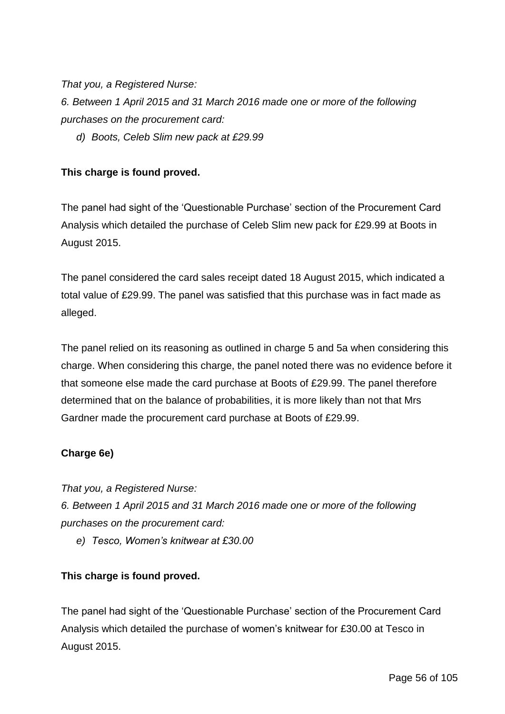*That you, a Registered Nurse:*

*6. Between 1 April 2015 and 31 March 2016 made one or more of the following purchases on the procurement card:*

*d) Boots, Celeb Slim new pack at £29.99*

## **This charge is found proved.**

The panel had sight of the 'Questionable Purchase' section of the Procurement Card Analysis which detailed the purchase of Celeb Slim new pack for £29.99 at Boots in August 2015.

The panel considered the card sales receipt dated 18 August 2015, which indicated a total value of £29.99. The panel was satisfied that this purchase was in fact made as alleged.

The panel relied on its reasoning as outlined in charge 5 and 5a when considering this charge. When considering this charge, the panel noted there was no evidence before it that someone else made the card purchase at Boots of £29.99. The panel therefore determined that on the balance of probabilities, it is more likely than not that Mrs Gardner made the procurement card purchase at Boots of £29.99.

## **Charge 6e)**

*That you, a Registered Nurse: 6. Between 1 April 2015 and 31 March 2016 made one or more of the following purchases on the procurement card:*

*e) Tesco, Women's knitwear at £30.00*

## **This charge is found proved.**

The panel had sight of the 'Questionable Purchase' section of the Procurement Card Analysis which detailed the purchase of women's knitwear for £30.00 at Tesco in August 2015.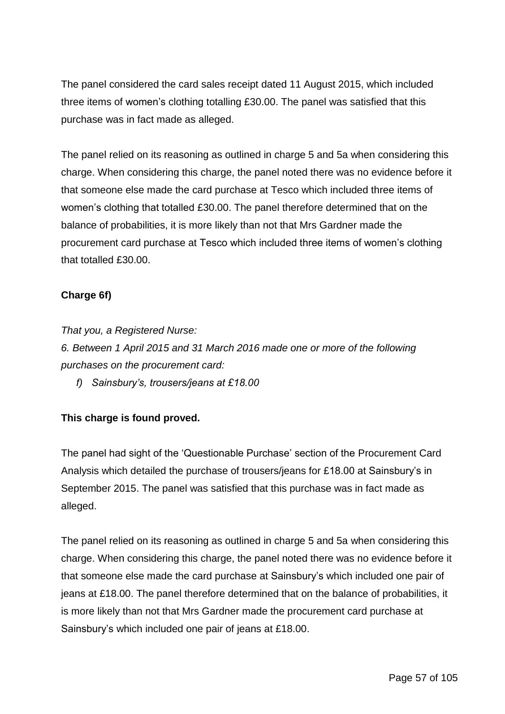The panel considered the card sales receipt dated 11 August 2015, which included three items of women's clothing totalling £30.00. The panel was satisfied that this purchase was in fact made as alleged.

The panel relied on its reasoning as outlined in charge 5 and 5a when considering this charge. When considering this charge, the panel noted there was no evidence before it that someone else made the card purchase at Tesco which included three items of women's clothing that totalled £30.00. The panel therefore determined that on the balance of probabilities, it is more likely than not that Mrs Gardner made the procurement card purchase at Tesco which included three items of women's clothing that totalled £30.00.

# **Charge 6f)**

*That you, a Registered Nurse:*

*6. Between 1 April 2015 and 31 March 2016 made one or more of the following purchases on the procurement card:*

*f) Sainsbury's, trousers/jeans at £18.00*

## **This charge is found proved.**

The panel had sight of the 'Questionable Purchase' section of the Procurement Card Analysis which detailed the purchase of trousers/jeans for £18.00 at Sainsbury's in September 2015. The panel was satisfied that this purchase was in fact made as alleged.

The panel relied on its reasoning as outlined in charge 5 and 5a when considering this charge. When considering this charge, the panel noted there was no evidence before it that someone else made the card purchase at Sainsbury's which included one pair of jeans at £18.00. The panel therefore determined that on the balance of probabilities, it is more likely than not that Mrs Gardner made the procurement card purchase at Sainsbury's which included one pair of jeans at £18.00.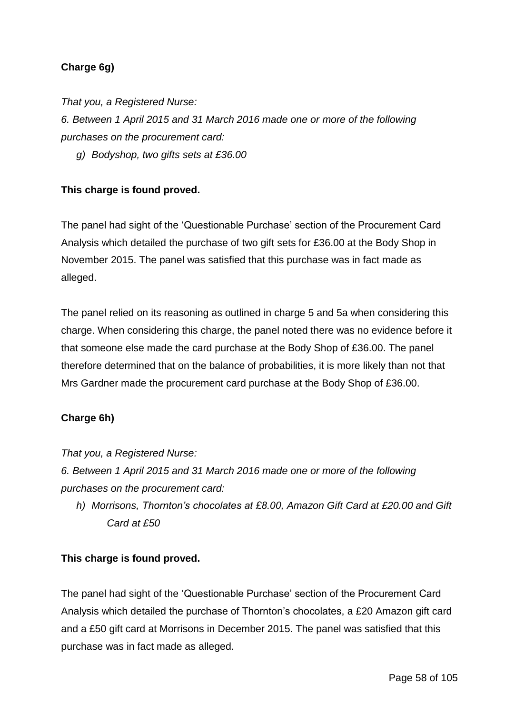# **Charge 6g)**

*That you, a Registered Nurse:*

*6. Between 1 April 2015 and 31 March 2016 made one or more of the following purchases on the procurement card:*

*g) Bodyshop, two gifts sets at £36.00*

## **This charge is found proved.**

The panel had sight of the 'Questionable Purchase' section of the Procurement Card Analysis which detailed the purchase of two gift sets for £36.00 at the Body Shop in November 2015. The panel was satisfied that this purchase was in fact made as alleged.

The panel relied on its reasoning as outlined in charge 5 and 5a when considering this charge. When considering this charge, the panel noted there was no evidence before it that someone else made the card purchase at the Body Shop of £36.00. The panel therefore determined that on the balance of probabilities, it is more likely than not that Mrs Gardner made the procurement card purchase at the Body Shop of £36.00.

## **Charge 6h)**

*That you, a Registered Nurse:*

*6. Between 1 April 2015 and 31 March 2016 made one or more of the following purchases on the procurement card:*

*h) Morrisons, Thornton's chocolates at £8.00, Amazon Gift Card at £20.00 and Gift Card at £50*

## **This charge is found proved.**

The panel had sight of the 'Questionable Purchase' section of the Procurement Card Analysis which detailed the purchase of Thornton's chocolates, a £20 Amazon gift card and a £50 gift card at Morrisons in December 2015. The panel was satisfied that this purchase was in fact made as alleged.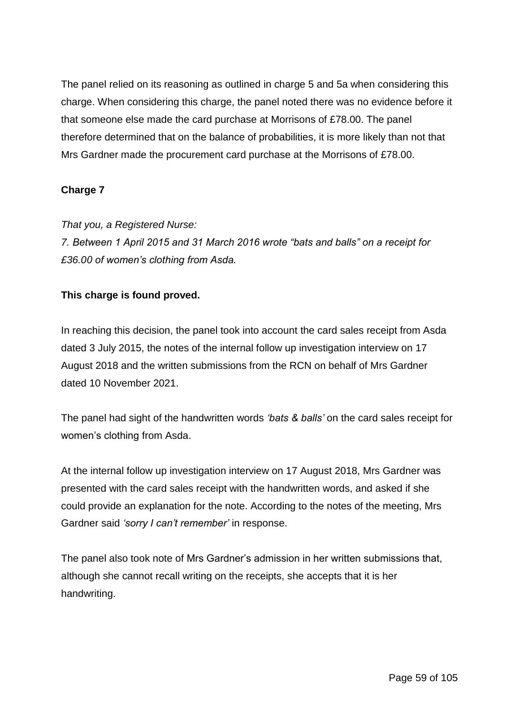The panel relied on its reasoning as outlined in charge 5 and 5a when considering this charge. When considering this charge, the panel noted there was no evidence before it that someone else made the card purchase at Morrisons of £78.00. The panel therefore determined that on the balance of probabilities, it is more likely than not that Mrs Gardner made the procurement card purchase at the Morrisons of £78.00.

# **Charge 7**

*That you, a Registered Nurse:*

*7. Between 1 April 2015 and 31 March 2016 wrote "bats and balls" on a receipt for £36.00 of women's clothing from Asda.*

## **This charge is found proved.**

In reaching this decision, the panel took into account the card sales receipt from Asda dated 3 July 2015, the notes of the internal follow up investigation interview on 17 August 2018 and the written submissions from the RCN on behalf of Mrs Gardner dated 10 November 2021.

The panel had sight of the handwritten words *'bats & balls'* on the card sales receipt for women's clothing from Asda.

At the internal follow up investigation interview on 17 August 2018, Mrs Gardner was presented with the card sales receipt with the handwritten words, and asked if she could provide an explanation for the note. According to the notes of the meeting, Mrs Gardner said *'sorry I can't remember'* in response.

The panel also took note of Mrs Gardner's admission in her written submissions that, although she cannot recall writing on the receipts, she accepts that it is her handwriting.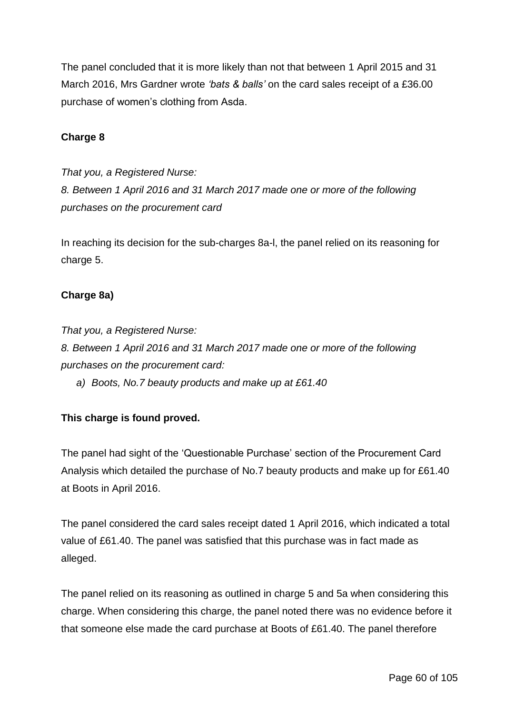The panel concluded that it is more likely than not that between 1 April 2015 and 31 March 2016, Mrs Gardner wrote *'bats & balls'* on the card sales receipt of a £36.00 purchase of women's clothing from Asda.

### **Charge 8**

*That you, a Registered Nurse: 8. Between 1 April 2016 and 31 March 2017 made one or more of the following purchases on the procurement card*

In reaching its decision for the sub-charges 8a-l, the panel relied on its reasoning for charge 5.

### **Charge 8a)**

*That you, a Registered Nurse:*

*8. Between 1 April 2016 and 31 March 2017 made one or more of the following purchases on the procurement card:*

*a) Boots, No.7 beauty products and make up at £61.40*

## **This charge is found proved.**

The panel had sight of the 'Questionable Purchase' section of the Procurement Card Analysis which detailed the purchase of No.7 beauty products and make up for £61.40 at Boots in April 2016.

The panel considered the card sales receipt dated 1 April 2016, which indicated a total value of £61.40. The panel was satisfied that this purchase was in fact made as alleged.

The panel relied on its reasoning as outlined in charge 5 and 5a when considering this charge. When considering this charge, the panel noted there was no evidence before it that someone else made the card purchase at Boots of £61.40. The panel therefore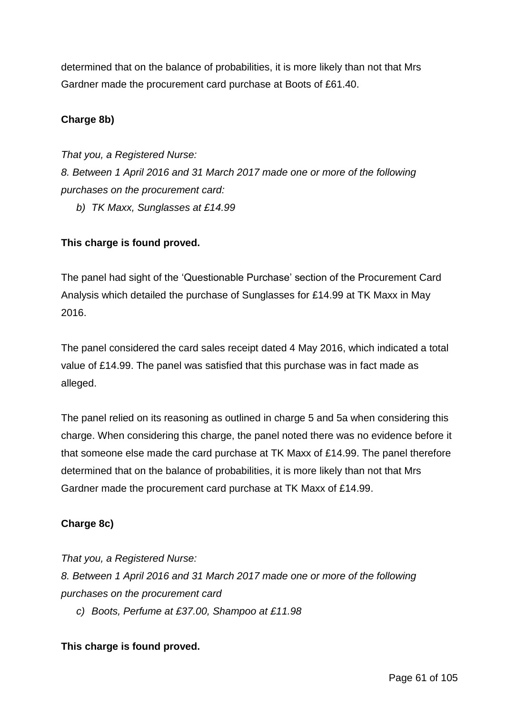determined that on the balance of probabilities, it is more likely than not that Mrs Gardner made the procurement card purchase at Boots of £61.40.

## **Charge 8b)**

*That you, a Registered Nurse:*

*8. Between 1 April 2016 and 31 March 2017 made one or more of the following purchases on the procurement card:*

*b) TK Maxx, Sunglasses at £14.99*

## **This charge is found proved.**

The panel had sight of the 'Questionable Purchase' section of the Procurement Card Analysis which detailed the purchase of Sunglasses for £14.99 at TK Maxx in May 2016.

The panel considered the card sales receipt dated 4 May 2016, which indicated a total value of £14.99. The panel was satisfied that this purchase was in fact made as alleged.

The panel relied on its reasoning as outlined in charge 5 and 5a when considering this charge. When considering this charge, the panel noted there was no evidence before it that someone else made the card purchase at TK Maxx of £14.99. The panel therefore determined that on the balance of probabilities, it is more likely than not that Mrs Gardner made the procurement card purchase at TK Maxx of £14.99.

# **Charge 8c)**

*That you, a Registered Nurse: 8. Between 1 April 2016 and 31 March 2017 made one or more of the following purchases on the procurement card*

*c) Boots, Perfume at £37.00, Shampoo at £11.98*

## **This charge is found proved.**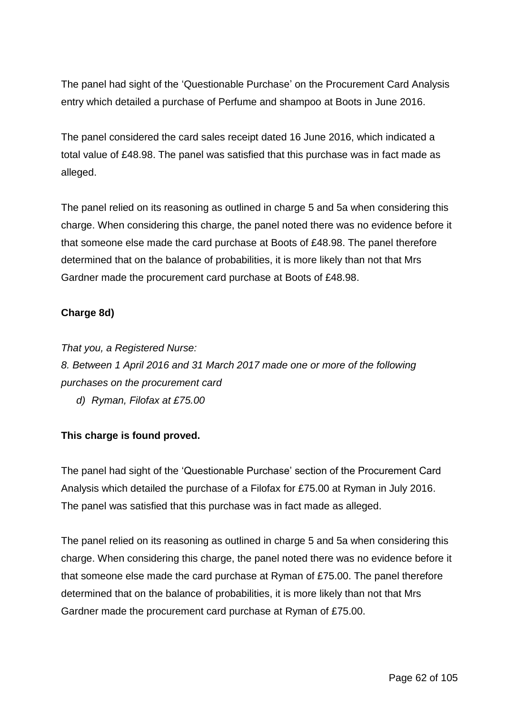The panel had sight of the 'Questionable Purchase' on the Procurement Card Analysis entry which detailed a purchase of Perfume and shampoo at Boots in June 2016.

The panel considered the card sales receipt dated 16 June 2016, which indicated a total value of £48.98. The panel was satisfied that this purchase was in fact made as alleged.

The panel relied on its reasoning as outlined in charge 5 and 5a when considering this charge. When considering this charge, the panel noted there was no evidence before it that someone else made the card purchase at Boots of £48.98. The panel therefore determined that on the balance of probabilities, it is more likely than not that Mrs Gardner made the procurement card purchase at Boots of £48.98.

## **Charge 8d)**

*That you, a Registered Nurse: 8. Between 1 April 2016 and 31 March 2017 made one or more of the following purchases on the procurement card d) Ryman, Filofax at £75.00*

### **This charge is found proved.**

The panel had sight of the 'Questionable Purchase' section of the Procurement Card Analysis which detailed the purchase of a Filofax for £75.00 at Ryman in July 2016. The panel was satisfied that this purchase was in fact made as alleged.

The panel relied on its reasoning as outlined in charge 5 and 5a when considering this charge. When considering this charge, the panel noted there was no evidence before it that someone else made the card purchase at Ryman of £75.00. The panel therefore determined that on the balance of probabilities, it is more likely than not that Mrs Gardner made the procurement card purchase at Ryman of £75.00.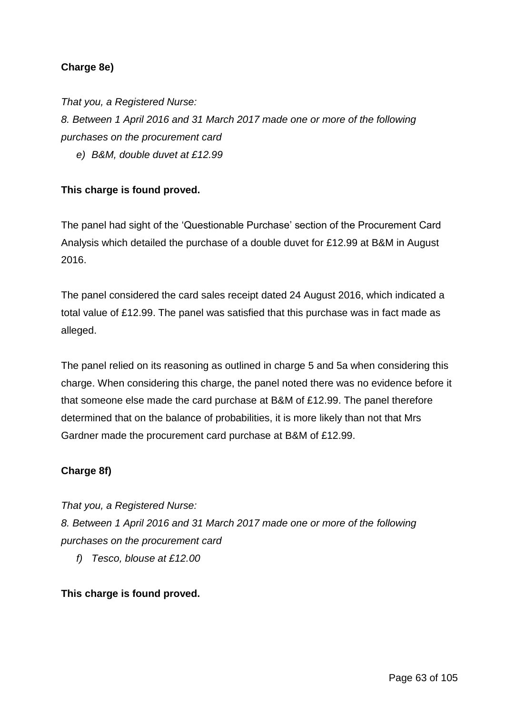## **Charge 8e)**

*That you, a Registered Nurse:*

*8. Between 1 April 2016 and 31 March 2017 made one or more of the following purchases on the procurement card*

*e) B&M, double duvet at £12.99*

## **This charge is found proved.**

The panel had sight of the 'Questionable Purchase' section of the Procurement Card Analysis which detailed the purchase of a double duvet for £12.99 at B&M in August 2016.

The panel considered the card sales receipt dated 24 August 2016, which indicated a total value of £12.99. The panel was satisfied that this purchase was in fact made as alleged.

The panel relied on its reasoning as outlined in charge 5 and 5a when considering this charge. When considering this charge, the panel noted there was no evidence before it that someone else made the card purchase at B&M of £12.99. The panel therefore determined that on the balance of probabilities, it is more likely than not that Mrs Gardner made the procurement card purchase at B&M of £12.99.

### **Charge 8f)**

*That you, a Registered Nurse: 8. Between 1 April 2016 and 31 March 2017 made one or more of the following purchases on the procurement card*

*f) Tesco, blouse at £12.00*

**This charge is found proved.**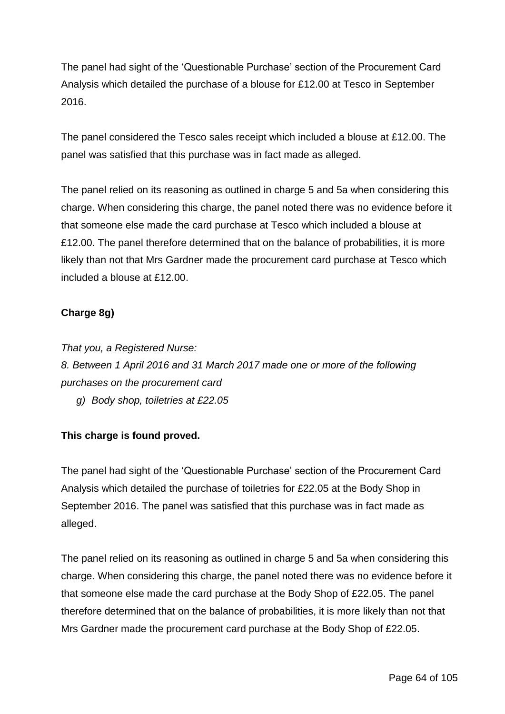The panel had sight of the 'Questionable Purchase' section of the Procurement Card Analysis which detailed the purchase of a blouse for £12.00 at Tesco in September 2016.

The panel considered the Tesco sales receipt which included a blouse at £12.00. The panel was satisfied that this purchase was in fact made as alleged.

The panel relied on its reasoning as outlined in charge 5 and 5a when considering this charge. When considering this charge, the panel noted there was no evidence before it that someone else made the card purchase at Tesco which included a blouse at £12.00. The panel therefore determined that on the balance of probabilities, it is more likely than not that Mrs Gardner made the procurement card purchase at Tesco which included a blouse at £12.00.

## **Charge 8g)**

*That you, a Registered Nurse: 8. Between 1 April 2016 and 31 March 2017 made one or more of the following purchases on the procurement card g) Body shop, toiletries at £22.05*

## **This charge is found proved.**

The panel had sight of the 'Questionable Purchase' section of the Procurement Card Analysis which detailed the purchase of toiletries for £22.05 at the Body Shop in September 2016. The panel was satisfied that this purchase was in fact made as alleged.

The panel relied on its reasoning as outlined in charge 5 and 5a when considering this charge. When considering this charge, the panel noted there was no evidence before it that someone else made the card purchase at the Body Shop of £22.05. The panel therefore determined that on the balance of probabilities, it is more likely than not that Mrs Gardner made the procurement card purchase at the Body Shop of £22.05.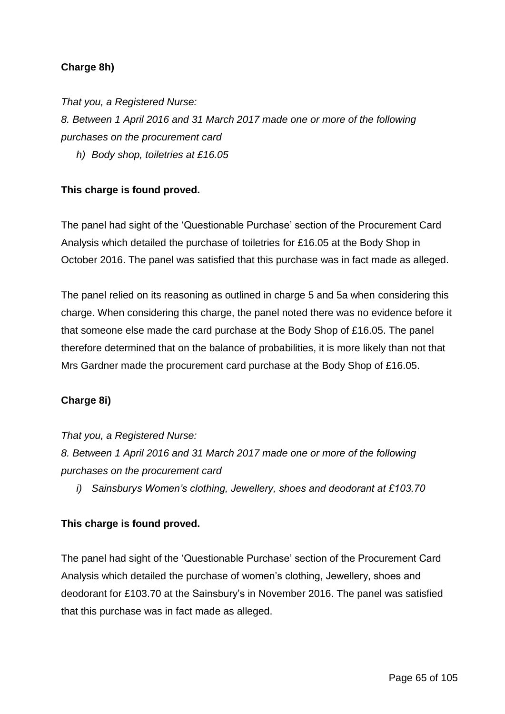## **Charge 8h)**

*That you, a Registered Nurse:*

*8. Between 1 April 2016 and 31 March 2017 made one or more of the following purchases on the procurement card*

*h) Body shop, toiletries at £16.05*

### **This charge is found proved.**

The panel had sight of the 'Questionable Purchase' section of the Procurement Card Analysis which detailed the purchase of toiletries for £16.05 at the Body Shop in October 2016. The panel was satisfied that this purchase was in fact made as alleged.

The panel relied on its reasoning as outlined in charge 5 and 5a when considering this charge. When considering this charge, the panel noted there was no evidence before it that someone else made the card purchase at the Body Shop of £16.05. The panel therefore determined that on the balance of probabilities, it is more likely than not that Mrs Gardner made the procurement card purchase at the Body Shop of £16.05.

### **Charge 8i)**

### *That you, a Registered Nurse:*

*8. Between 1 April 2016 and 31 March 2017 made one or more of the following purchases on the procurement card*

*i) Sainsburys Women's clothing, Jewellery, shoes and deodorant at £103.70*

## **This charge is found proved.**

The panel had sight of the 'Questionable Purchase' section of the Procurement Card Analysis which detailed the purchase of women's clothing, Jewellery, shoes and deodorant for £103.70 at the Sainsbury's in November 2016. The panel was satisfied that this purchase was in fact made as alleged.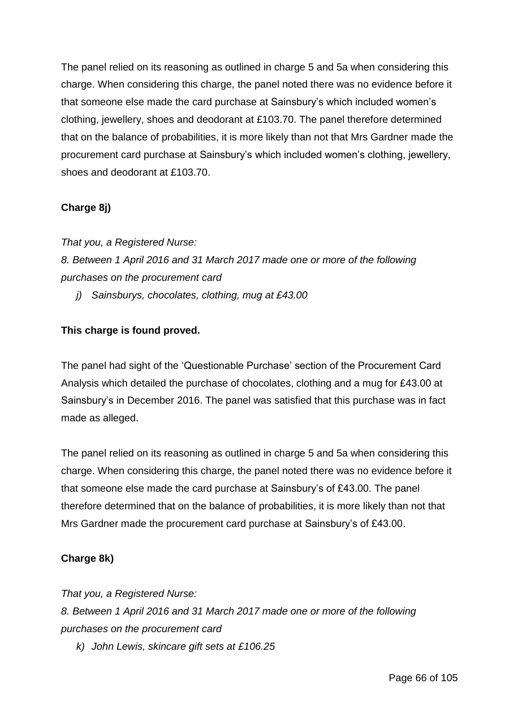The panel relied on its reasoning as outlined in charge 5 and 5a when considering this charge. When considering this charge, the panel noted there was no evidence before it that someone else made the card purchase at Sainsbury's which included women's clothing, jewellery, shoes and deodorant at £103.70. The panel therefore determined that on the balance of probabilities, it is more likely than not that Mrs Gardner made the procurement card purchase at Sainsbury's which included women's clothing, jewellery, shoes and deodorant at £103.70.

# **Charge 8j)**

*That you, a Registered Nurse:*

*8. Between 1 April 2016 and 31 March 2017 made one or more of the following purchases on the procurement card*

*j) Sainsburys, chocolates, clothing, mug at £43.00*

# **This charge is found proved.**

The panel had sight of the 'Questionable Purchase' section of the Procurement Card Analysis which detailed the purchase of chocolates, clothing and a mug for £43.00 at Sainsbury's in December 2016. The panel was satisfied that this purchase was in fact made as alleged.

The panel relied on its reasoning as outlined in charge 5 and 5a when considering this charge. When considering this charge, the panel noted there was no evidence before it that someone else made the card purchase at Sainsbury's of £43.00. The panel therefore determined that on the balance of probabilities, it is more likely than not that Mrs Gardner made the procurement card purchase at Sainsbury's of £43.00.

## **Charge 8k)**

*That you, a Registered Nurse: 8. Between 1 April 2016 and 31 March 2017 made one or more of the following purchases on the procurement card*

*k) John Lewis, skincare gift sets at £106.25*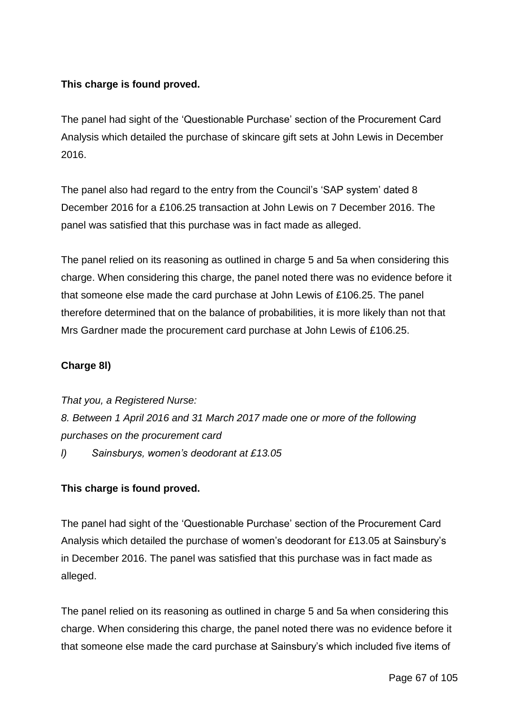# **This charge is found proved.**

The panel had sight of the 'Questionable Purchase' section of the Procurement Card Analysis which detailed the purchase of skincare gift sets at John Lewis in December 2016.

The panel also had regard to the entry from the Council's 'SAP system' dated 8 December 2016 for a £106.25 transaction at John Lewis on 7 December 2016. The panel was satisfied that this purchase was in fact made as alleged.

The panel relied on its reasoning as outlined in charge 5 and 5a when considering this charge. When considering this charge, the panel noted there was no evidence before it that someone else made the card purchase at John Lewis of £106.25. The panel therefore determined that on the balance of probabilities, it is more likely than not that Mrs Gardner made the procurement card purchase at John Lewis of £106.25.

## **Charge 8l)**

*That you, a Registered Nurse: 8. Between 1 April 2016 and 31 March 2017 made one or more of the following purchases on the procurement card l) Sainsburys, women's deodorant at £13.05*

## **This charge is found proved.**

The panel had sight of the 'Questionable Purchase' section of the Procurement Card Analysis which detailed the purchase of women's deodorant for £13.05 at Sainsbury's in December 2016. The panel was satisfied that this purchase was in fact made as alleged.

The panel relied on its reasoning as outlined in charge 5 and 5a when considering this charge. When considering this charge, the panel noted there was no evidence before it that someone else made the card purchase at Sainsbury's which included five items of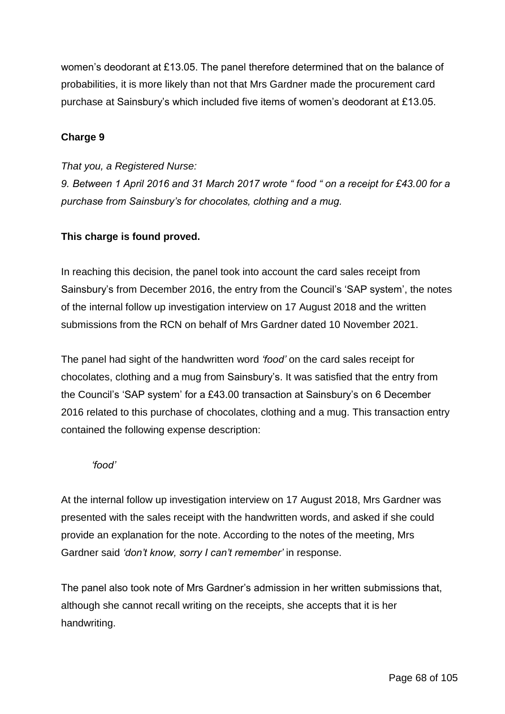women's deodorant at £13.05. The panel therefore determined that on the balance of probabilities, it is more likely than not that Mrs Gardner made the procurement card purchase at Sainsbury's which included five items of women's deodorant at £13.05.

### **Charge 9**

### *That you, a Registered Nurse:*

*9. Between 1 April 2016 and 31 March 2017 wrote " food " on a receipt for £43.00 for a purchase from Sainsbury's for chocolates, clothing and a mug.*

### **This charge is found proved.**

In reaching this decision, the panel took into account the card sales receipt from Sainsbury's from December 2016, the entry from the Council's 'SAP system', the notes of the internal follow up investigation interview on 17 August 2018 and the written submissions from the RCN on behalf of Mrs Gardner dated 10 November 2021.

The panel had sight of the handwritten word *'food'* on the card sales receipt for chocolates, clothing and a mug from Sainsbury's. It was satisfied that the entry from the Council's 'SAP system' for a £43.00 transaction at Sainsbury's on 6 December 2016 related to this purchase of chocolates, clothing and a mug. This transaction entry contained the following expense description:

### *'food'*

At the internal follow up investigation interview on 17 August 2018, Mrs Gardner was presented with the sales receipt with the handwritten words, and asked if she could provide an explanation for the note. According to the notes of the meeting, Mrs Gardner said *'don't know, sorry I can't remember'* in response.

The panel also took note of Mrs Gardner's admission in her written submissions that, although she cannot recall writing on the receipts, she accepts that it is her handwriting.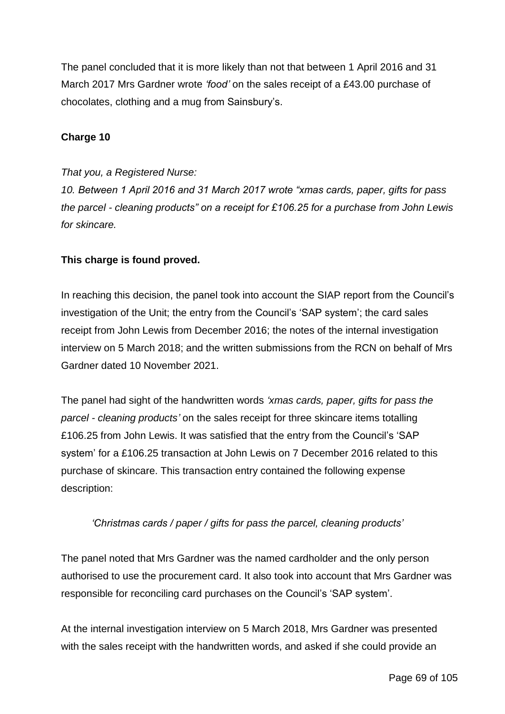The panel concluded that it is more likely than not that between 1 April 2016 and 31 March 2017 Mrs Gardner wrote *'food'* on the sales receipt of a £43.00 purchase of chocolates, clothing and a mug from Sainsbury's.

### **Charge 10**

### *That you, a Registered Nurse:*

*10. Between 1 April 2016 and 31 March 2017 wrote "xmas cards, paper, gifts for pass the parcel - cleaning products" on a receipt for £106.25 for a purchase from John Lewis for skincare.*

### **This charge is found proved.**

In reaching this decision, the panel took into account the SIAP report from the Council's investigation of the Unit; the entry from the Council's 'SAP system'; the card sales receipt from John Lewis from December 2016; the notes of the internal investigation interview on 5 March 2018; and the written submissions from the RCN on behalf of Mrs Gardner dated 10 November 2021.

The panel had sight of the handwritten words *'xmas cards, paper, gifts for pass the parcel - cleaning products'* on the sales receipt for three skincare items totalling £106.25 from John Lewis. It was satisfied that the entry from the Council's 'SAP system' for a £106.25 transaction at John Lewis on 7 December 2016 related to this purchase of skincare. This transaction entry contained the following expense description:

### *'Christmas cards / paper / gifts for pass the parcel, cleaning products'*

The panel noted that Mrs Gardner was the named cardholder and the only person authorised to use the procurement card. It also took into account that Mrs Gardner was responsible for reconciling card purchases on the Council's 'SAP system'.

At the internal investigation interview on 5 March 2018, Mrs Gardner was presented with the sales receipt with the handwritten words, and asked if she could provide an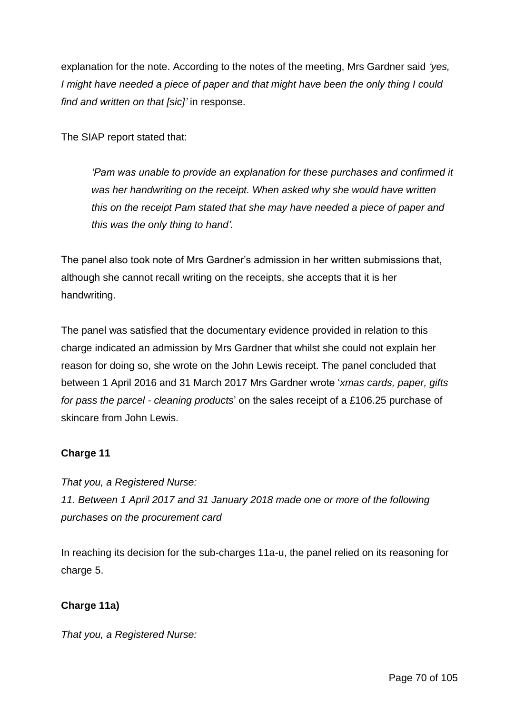explanation for the note. According to the notes of the meeting, Mrs Gardner said *'yes, I might have needed a piece of paper and that might have been the only thing I could find and written on that [sic]'* in response.

The SIAP report stated that:

*'Pam was unable to provide an explanation for these purchases and confirmed it was her handwriting on the receipt. When asked why she would have written this on the receipt Pam stated that she may have needed a piece of paper and this was the only thing to hand'.*

The panel also took note of Mrs Gardner's admission in her written submissions that, although she cannot recall writing on the receipts, she accepts that it is her handwriting.

The panel was satisfied that the documentary evidence provided in relation to this charge indicated an admission by Mrs Gardner that whilst she could not explain her reason for doing so, she wrote on the John Lewis receipt. The panel concluded that between 1 April 2016 and 31 March 2017 Mrs Gardner wrote '*xmas cards, paper, gifts for pass the parcel - cleaning products*' on the sales receipt of a £106.25 purchase of skincare from John Lewis.

# **Charge 11**

*That you, a Registered Nurse: 11. Between 1 April 2017 and 31 January 2018 made one or more of the following purchases on the procurement card*

In reaching its decision for the sub-charges 11a-u, the panel relied on its reasoning for charge 5.

# **Charge 11a)**

*That you, a Registered Nurse:*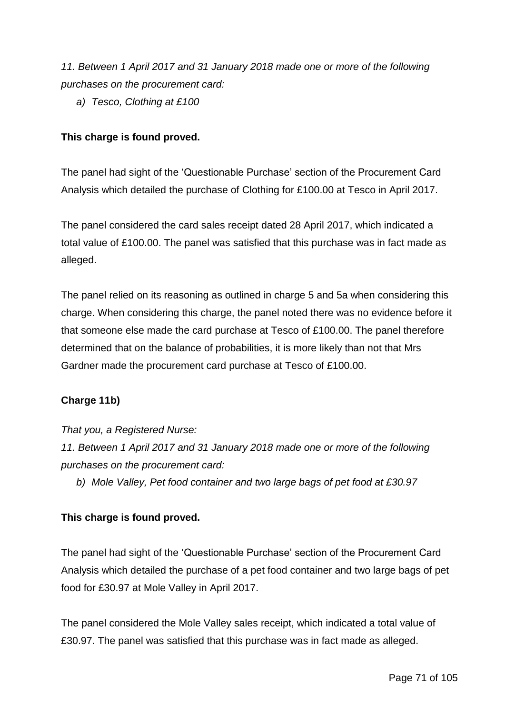*11. Between 1 April 2017 and 31 January 2018 made one or more of the following purchases on the procurement card:*

*a) Tesco, Clothing at £100*

### **This charge is found proved.**

The panel had sight of the 'Questionable Purchase' section of the Procurement Card Analysis which detailed the purchase of Clothing for £100.00 at Tesco in April 2017.

The panel considered the card sales receipt dated 28 April 2017, which indicated a total value of £100.00. The panel was satisfied that this purchase was in fact made as alleged.

The panel relied on its reasoning as outlined in charge 5 and 5a when considering this charge. When considering this charge, the panel noted there was no evidence before it that someone else made the card purchase at Tesco of £100.00. The panel therefore determined that on the balance of probabilities, it is more likely than not that Mrs Gardner made the procurement card purchase at Tesco of £100.00.

### **Charge 11b)**

*That you, a Registered Nurse:*

*11. Between 1 April 2017 and 31 January 2018 made one or more of the following purchases on the procurement card:*

*b) Mole Valley, Pet food container and two large bags of pet food at £30.97*

### **This charge is found proved.**

The panel had sight of the 'Questionable Purchase' section of the Procurement Card Analysis which detailed the purchase of a pet food container and two large bags of pet food for £30.97 at Mole Valley in April 2017.

The panel considered the Mole Valley sales receipt, which indicated a total value of £30.97. The panel was satisfied that this purchase was in fact made as alleged.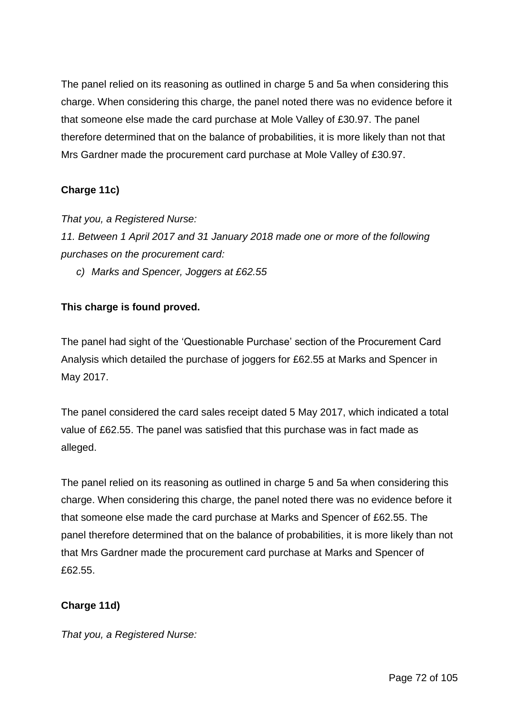The panel relied on its reasoning as outlined in charge 5 and 5a when considering this charge. When considering this charge, the panel noted there was no evidence before it that someone else made the card purchase at Mole Valley of £30.97. The panel therefore determined that on the balance of probabilities, it is more likely than not that Mrs Gardner made the procurement card purchase at Mole Valley of £30.97.

# **Charge 11c)**

*That you, a Registered Nurse:*

*11. Between 1 April 2017 and 31 January 2018 made one or more of the following purchases on the procurement card:*

*c) Marks and Spencer, Joggers at £62.55*

## **This charge is found proved.**

The panel had sight of the 'Questionable Purchase' section of the Procurement Card Analysis which detailed the purchase of joggers for £62.55 at Marks and Spencer in May 2017.

The panel considered the card sales receipt dated 5 May 2017, which indicated a total value of £62.55. The panel was satisfied that this purchase was in fact made as alleged.

The panel relied on its reasoning as outlined in charge 5 and 5a when considering this charge. When considering this charge, the panel noted there was no evidence before it that someone else made the card purchase at Marks and Spencer of £62.55. The panel therefore determined that on the balance of probabilities, it is more likely than not that Mrs Gardner made the procurement card purchase at Marks and Spencer of £62.55.

## **Charge 11d)**

*That you, a Registered Nurse:*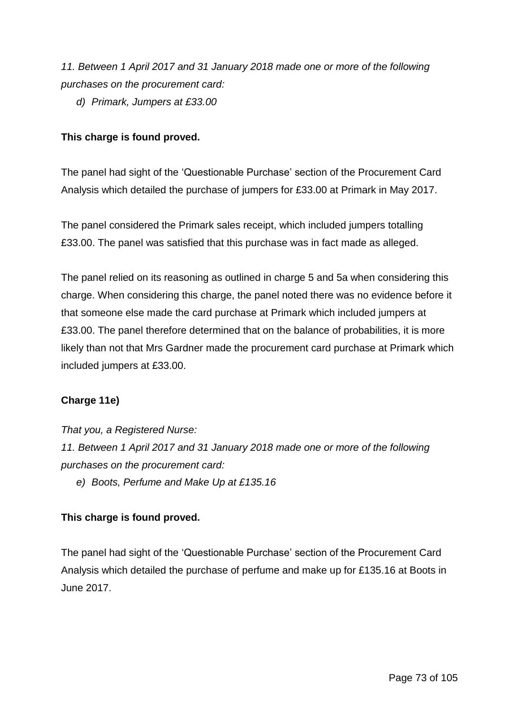*11. Between 1 April 2017 and 31 January 2018 made one or more of the following purchases on the procurement card:*

*d) Primark, Jumpers at £33.00*

## **This charge is found proved.**

The panel had sight of the 'Questionable Purchase' section of the Procurement Card Analysis which detailed the purchase of jumpers for £33.00 at Primark in May 2017.

The panel considered the Primark sales receipt, which included jumpers totalling £33.00. The panel was satisfied that this purchase was in fact made as alleged.

The panel relied on its reasoning as outlined in charge 5 and 5a when considering this charge. When considering this charge, the panel noted there was no evidence before it that someone else made the card purchase at Primark which included jumpers at £33.00. The panel therefore determined that on the balance of probabilities, it is more likely than not that Mrs Gardner made the procurement card purchase at Primark which included jumpers at £33.00.

## **Charge 11e)**

*That you, a Registered Nurse:*

*11. Between 1 April 2017 and 31 January 2018 made one or more of the following purchases on the procurement card:*

*e) Boots, Perfume and Make Up at £135.16*

## **This charge is found proved.**

The panel had sight of the 'Questionable Purchase' section of the Procurement Card Analysis which detailed the purchase of perfume and make up for £135.16 at Boots in June 2017.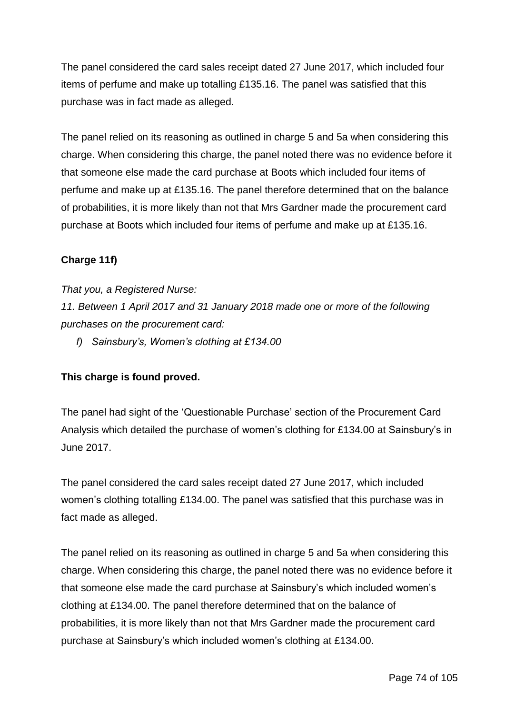The panel considered the card sales receipt dated 27 June 2017, which included four items of perfume and make up totalling £135.16. The panel was satisfied that this purchase was in fact made as alleged.

The panel relied on its reasoning as outlined in charge 5 and 5a when considering this charge. When considering this charge, the panel noted there was no evidence before it that someone else made the card purchase at Boots which included four items of perfume and make up at £135.16. The panel therefore determined that on the balance of probabilities, it is more likely than not that Mrs Gardner made the procurement card purchase at Boots which included four items of perfume and make up at £135.16.

## **Charge 11f)**

*That you, a Registered Nurse:*

*11. Between 1 April 2017 and 31 January 2018 made one or more of the following purchases on the procurement card:*

*f) Sainsbury's, Women's clothing at £134.00*

## **This charge is found proved.**

The panel had sight of the 'Questionable Purchase' section of the Procurement Card Analysis which detailed the purchase of women's clothing for £134.00 at Sainsbury's in June 2017.

The panel considered the card sales receipt dated 27 June 2017, which included women's clothing totalling £134.00. The panel was satisfied that this purchase was in fact made as alleged.

The panel relied on its reasoning as outlined in charge 5 and 5a when considering this charge. When considering this charge, the panel noted there was no evidence before it that someone else made the card purchase at Sainsbury's which included women's clothing at £134.00. The panel therefore determined that on the balance of probabilities, it is more likely than not that Mrs Gardner made the procurement card purchase at Sainsbury's which included women's clothing at £134.00.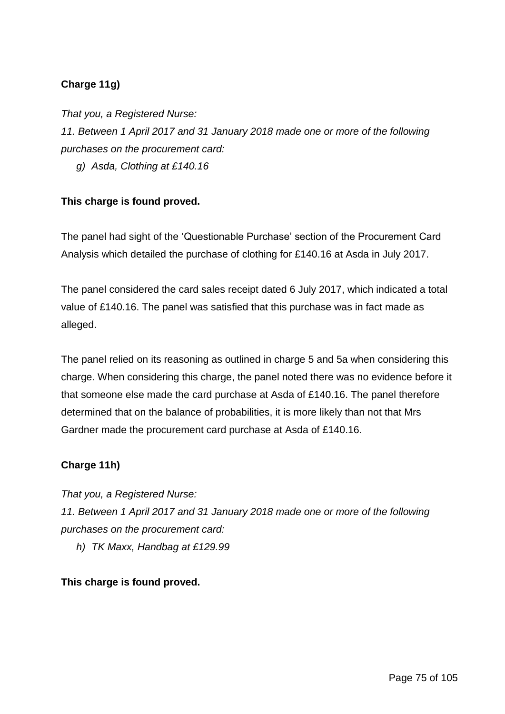# **Charge 11g)**

*That you, a Registered Nurse: 11. Between 1 April 2017 and 31 January 2018 made one or more of the following purchases on the procurement card:*

*g) Asda, Clothing at £140.16*

## **This charge is found proved.**

The panel had sight of the 'Questionable Purchase' section of the Procurement Card Analysis which detailed the purchase of clothing for £140.16 at Asda in July 2017.

The panel considered the card sales receipt dated 6 July 2017, which indicated a total value of £140.16. The panel was satisfied that this purchase was in fact made as alleged.

The panel relied on its reasoning as outlined in charge 5 and 5a when considering this charge. When considering this charge, the panel noted there was no evidence before it that someone else made the card purchase at Asda of £140.16. The panel therefore determined that on the balance of probabilities, it is more likely than not that Mrs Gardner made the procurement card purchase at Asda of £140.16.

## **Charge 11h)**

*That you, a Registered Nurse: 11. Between 1 April 2017 and 31 January 2018 made one or more of the following purchases on the procurement card:*

*h) TK Maxx, Handbag at £129.99*

## **This charge is found proved.**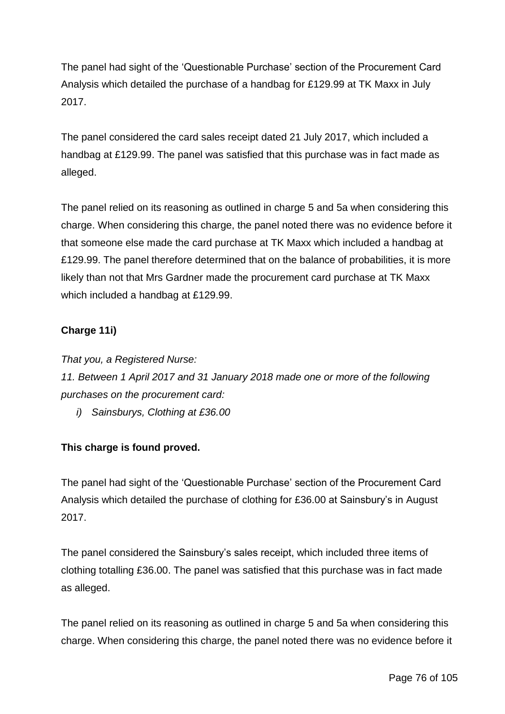The panel had sight of the 'Questionable Purchase' section of the Procurement Card Analysis which detailed the purchase of a handbag for £129.99 at TK Maxx in July 2017.

The panel considered the card sales receipt dated 21 July 2017, which included a handbag at £129.99. The panel was satisfied that this purchase was in fact made as alleged.

The panel relied on its reasoning as outlined in charge 5 and 5a when considering this charge. When considering this charge, the panel noted there was no evidence before it that someone else made the card purchase at TK Maxx which included a handbag at £129.99. The panel therefore determined that on the balance of probabilities, it is more likely than not that Mrs Gardner made the procurement card purchase at TK Maxx which included a handbag at £129.99.

## **Charge 11i)**

*That you, a Registered Nurse: 11. Between 1 April 2017 and 31 January 2018 made one or more of the following purchases on the procurement card:*

*i) Sainsburys, Clothing at £36.00*

## **This charge is found proved.**

The panel had sight of the 'Questionable Purchase' section of the Procurement Card Analysis which detailed the purchase of clothing for £36.00 at Sainsbury's in August 2017.

The panel considered the Sainsbury's sales receipt, which included three items of clothing totalling £36.00. The panel was satisfied that this purchase was in fact made as alleged.

The panel relied on its reasoning as outlined in charge 5 and 5a when considering this charge. When considering this charge, the panel noted there was no evidence before it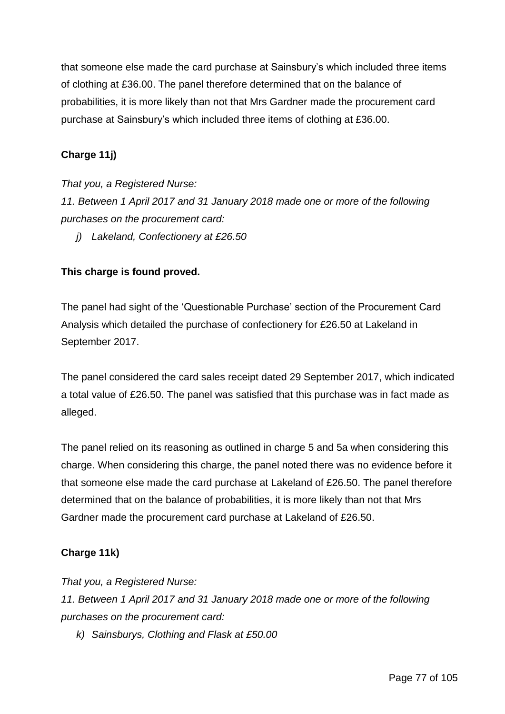that someone else made the card purchase at Sainsbury's which included three items of clothing at £36.00. The panel therefore determined that on the balance of probabilities, it is more likely than not that Mrs Gardner made the procurement card purchase at Sainsbury's which included three items of clothing at £36.00.

## **Charge 11j)**

*That you, a Registered Nurse:*

*11. Between 1 April 2017 and 31 January 2018 made one or more of the following purchases on the procurement card:*

*j) Lakeland, Confectionery at £26.50*

## **This charge is found proved.**

The panel had sight of the 'Questionable Purchase' section of the Procurement Card Analysis which detailed the purchase of confectionery for £26.50 at Lakeland in September 2017.

The panel considered the card sales receipt dated 29 September 2017, which indicated a total value of £26.50. The panel was satisfied that this purchase was in fact made as alleged.

The panel relied on its reasoning as outlined in charge 5 and 5a when considering this charge. When considering this charge, the panel noted there was no evidence before it that someone else made the card purchase at Lakeland of £26.50. The panel therefore determined that on the balance of probabilities, it is more likely than not that Mrs Gardner made the procurement card purchase at Lakeland of £26.50.

## **Charge 11k)**

*That you, a Registered Nurse:*

*11. Between 1 April 2017 and 31 January 2018 made one or more of the following purchases on the procurement card:*

*k) Sainsburys, Clothing and Flask at £50.00*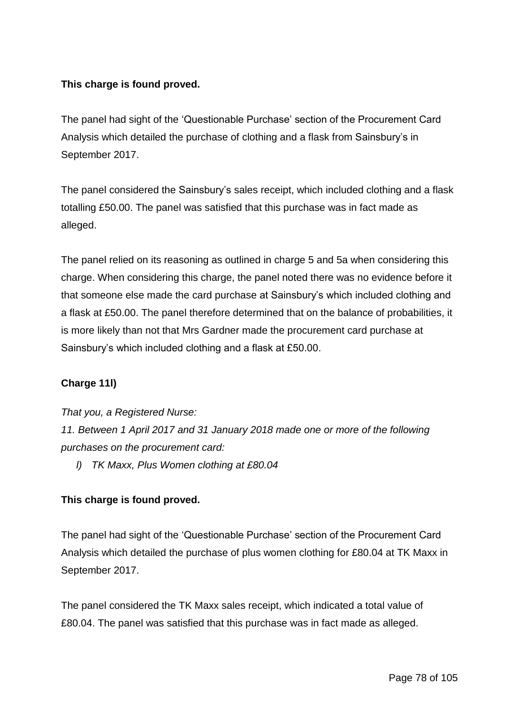# **This charge is found proved.**

The panel had sight of the 'Questionable Purchase' section of the Procurement Card Analysis which detailed the purchase of clothing and a flask from Sainsbury's in September 2017.

The panel considered the Sainsbury's sales receipt, which included clothing and a flask totalling £50.00. The panel was satisfied that this purchase was in fact made as alleged.

The panel relied on its reasoning as outlined in charge 5 and 5a when considering this charge. When considering this charge, the panel noted there was no evidence before it that someone else made the card purchase at Sainsbury's which included clothing and a flask at £50.00. The panel therefore determined that on the balance of probabilities, it is more likely than not that Mrs Gardner made the procurement card purchase at Sainsbury's which included clothing and a flask at £50.00.

# **Charge 11l)**

*That you, a Registered Nurse:*

*11. Between 1 April 2017 and 31 January 2018 made one or more of the following purchases on the procurement card:*

*l) TK Maxx, Plus Women clothing at £80.04*

## **This charge is found proved.**

The panel had sight of the 'Questionable Purchase' section of the Procurement Card Analysis which detailed the purchase of plus women clothing for £80.04 at TK Maxx in September 2017.

The panel considered the TK Maxx sales receipt, which indicated a total value of £80.04. The panel was satisfied that this purchase was in fact made as alleged.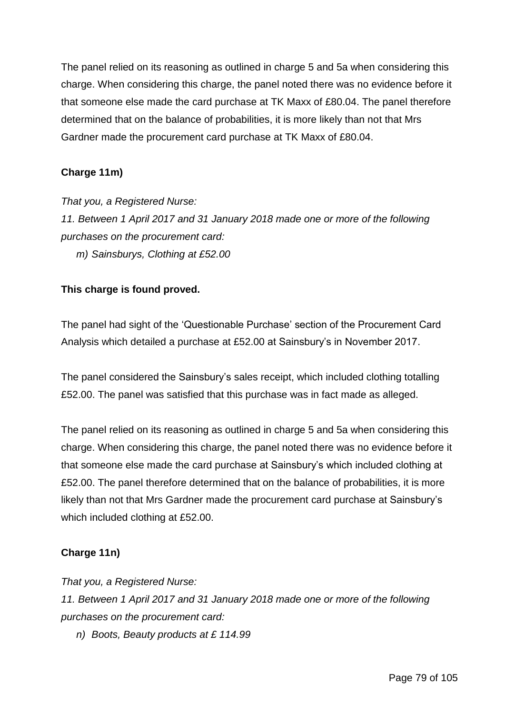The panel relied on its reasoning as outlined in charge 5 and 5a when considering this charge. When considering this charge, the panel noted there was no evidence before it that someone else made the card purchase at TK Maxx of £80.04. The panel therefore determined that on the balance of probabilities, it is more likely than not that Mrs Gardner made the procurement card purchase at TK Maxx of £80.04.

## **Charge 11m)**

*That you, a Registered Nurse: 11. Between 1 April 2017 and 31 January 2018 made one or more of the following purchases on the procurement card: m) Sainsburys, Clothing at £52.00*

## **This charge is found proved.**

The panel had sight of the 'Questionable Purchase' section of the Procurement Card Analysis which detailed a purchase at £52.00 at Sainsbury's in November 2017.

The panel considered the Sainsbury's sales receipt, which included clothing totalling £52.00. The panel was satisfied that this purchase was in fact made as alleged.

The panel relied on its reasoning as outlined in charge 5 and 5a when considering this charge. When considering this charge, the panel noted there was no evidence before it that someone else made the card purchase at Sainsbury's which included clothing at £52.00. The panel therefore determined that on the balance of probabilities, it is more likely than not that Mrs Gardner made the procurement card purchase at Sainsbury's which included clothing at £52.00.

## **Charge 11n)**

*That you, a Registered Nurse:*

*11. Between 1 April 2017 and 31 January 2018 made one or more of the following purchases on the procurement card:*

*n) Boots, Beauty products at £ 114.99*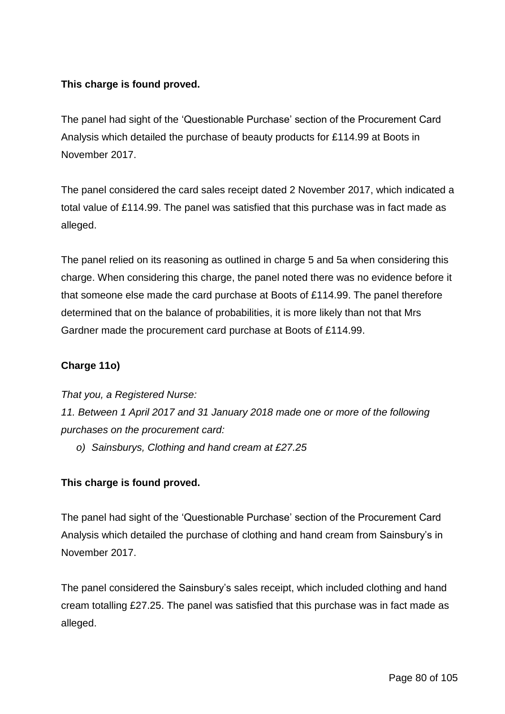# **This charge is found proved.**

The panel had sight of the 'Questionable Purchase' section of the Procurement Card Analysis which detailed the purchase of beauty products for £114.99 at Boots in November 2017.

The panel considered the card sales receipt dated 2 November 2017, which indicated a total value of £114.99. The panel was satisfied that this purchase was in fact made as alleged.

The panel relied on its reasoning as outlined in charge 5 and 5a when considering this charge. When considering this charge, the panel noted there was no evidence before it that someone else made the card purchase at Boots of £114.99. The panel therefore determined that on the balance of probabilities, it is more likely than not that Mrs Gardner made the procurement card purchase at Boots of £114.99.

## **Charge 11o)**

*That you, a Registered Nurse:*

*11. Between 1 April 2017 and 31 January 2018 made one or more of the following purchases on the procurement card:*

*o) Sainsburys, Clothing and hand cream at £27.25*

## **This charge is found proved.**

The panel had sight of the 'Questionable Purchase' section of the Procurement Card Analysis which detailed the purchase of clothing and hand cream from Sainsbury's in November 2017.

The panel considered the Sainsbury's sales receipt, which included clothing and hand cream totalling £27.25. The panel was satisfied that this purchase was in fact made as alleged.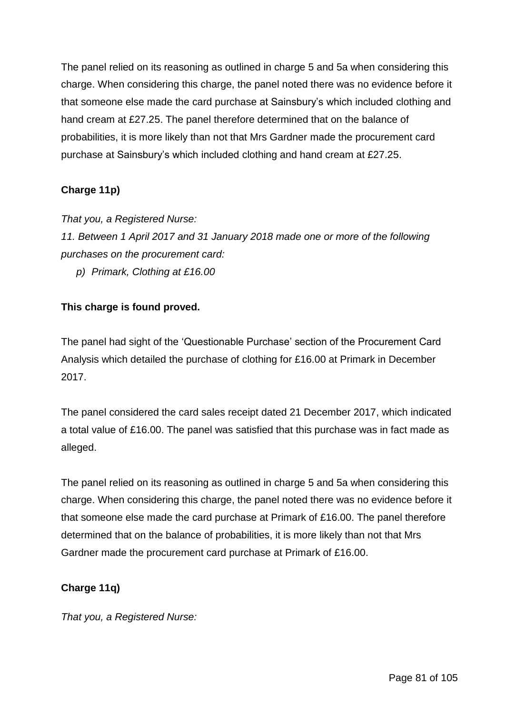The panel relied on its reasoning as outlined in charge 5 and 5a when considering this charge. When considering this charge, the panel noted there was no evidence before it that someone else made the card purchase at Sainsbury's which included clothing and hand cream at £27.25. The panel therefore determined that on the balance of probabilities, it is more likely than not that Mrs Gardner made the procurement card purchase at Sainsbury's which included clothing and hand cream at £27.25.

# **Charge 11p)**

*That you, a Registered Nurse:*

*11. Between 1 April 2017 and 31 January 2018 made one or more of the following purchases on the procurement card:*

*p) Primark, Clothing at £16.00*

## **This charge is found proved.**

The panel had sight of the 'Questionable Purchase' section of the Procurement Card Analysis which detailed the purchase of clothing for £16.00 at Primark in December 2017.

The panel considered the card sales receipt dated 21 December 2017, which indicated a total value of £16.00. The panel was satisfied that this purchase was in fact made as alleged.

The panel relied on its reasoning as outlined in charge 5 and 5a when considering this charge. When considering this charge, the panel noted there was no evidence before it that someone else made the card purchase at Primark of £16.00. The panel therefore determined that on the balance of probabilities, it is more likely than not that Mrs Gardner made the procurement card purchase at Primark of £16.00.

## **Charge 11q)**

*That you, a Registered Nurse:*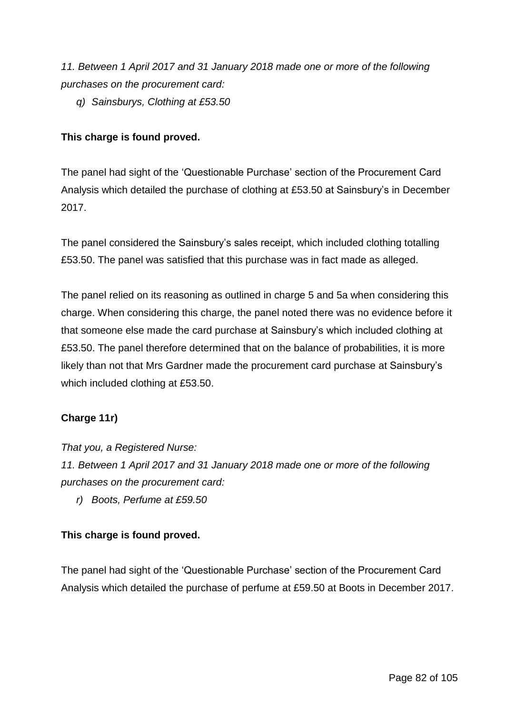*11. Between 1 April 2017 and 31 January 2018 made one or more of the following purchases on the procurement card:*

*q) Sainsburys, Clothing at £53.50*

# **This charge is found proved.**

The panel had sight of the 'Questionable Purchase' section of the Procurement Card Analysis which detailed the purchase of clothing at £53.50 at Sainsbury's in December 2017.

The panel considered the Sainsbury's sales receipt, which included clothing totalling £53.50. The panel was satisfied that this purchase was in fact made as alleged.

The panel relied on its reasoning as outlined in charge 5 and 5a when considering this charge. When considering this charge, the panel noted there was no evidence before it that someone else made the card purchase at Sainsbury's which included clothing at £53.50. The panel therefore determined that on the balance of probabilities, it is more likely than not that Mrs Gardner made the procurement card purchase at Sainsbury's which included clothing at £53.50.

## **Charge 11r)**

*That you, a Registered Nurse:*

*11. Between 1 April 2017 and 31 January 2018 made one or more of the following purchases on the procurement card:*

*r) Boots, Perfume at £59.50*

## **This charge is found proved.**

The panel had sight of the 'Questionable Purchase' section of the Procurement Card Analysis which detailed the purchase of perfume at £59.50 at Boots in December 2017.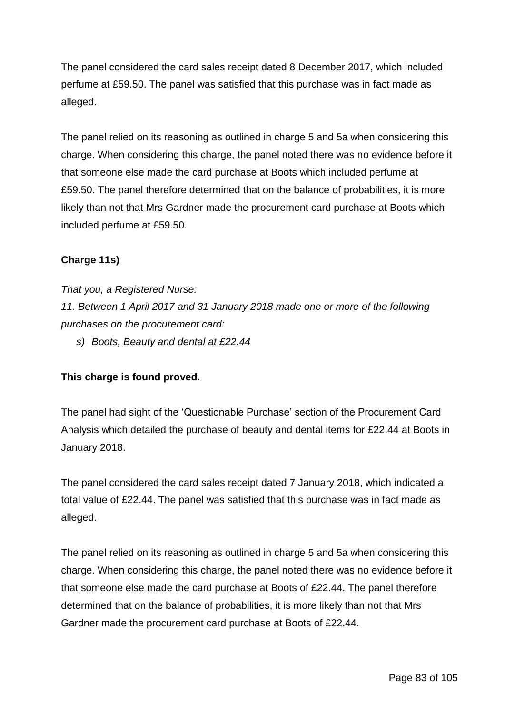The panel considered the card sales receipt dated 8 December 2017, which included perfume at £59.50. The panel was satisfied that this purchase was in fact made as alleged.

The panel relied on its reasoning as outlined in charge 5 and 5a when considering this charge. When considering this charge, the panel noted there was no evidence before it that someone else made the card purchase at Boots which included perfume at £59.50. The panel therefore determined that on the balance of probabilities, it is more likely than not that Mrs Gardner made the procurement card purchase at Boots which included perfume at £59.50.

## **Charge 11s)**

*That you, a Registered Nurse: 11. Between 1 April 2017 and 31 January 2018 made one or more of the following purchases on the procurement card:*

*s) Boots, Beauty and dental at £22.44*

## **This charge is found proved.**

The panel had sight of the 'Questionable Purchase' section of the Procurement Card Analysis which detailed the purchase of beauty and dental items for £22.44 at Boots in January 2018.

The panel considered the card sales receipt dated 7 January 2018, which indicated a total value of £22.44. The panel was satisfied that this purchase was in fact made as alleged.

The panel relied on its reasoning as outlined in charge 5 and 5a when considering this charge. When considering this charge, the panel noted there was no evidence before it that someone else made the card purchase at Boots of £22.44. The panel therefore determined that on the balance of probabilities, it is more likely than not that Mrs Gardner made the procurement card purchase at Boots of £22.44.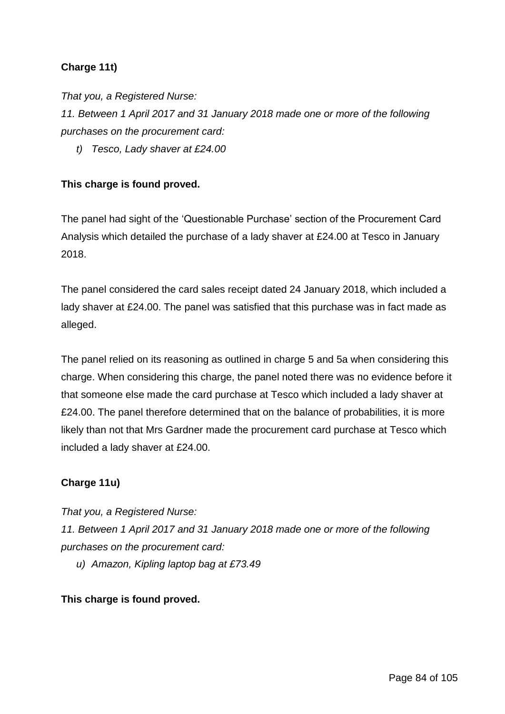# **Charge 11t)**

*That you, a Registered Nurse:*

*11. Between 1 April 2017 and 31 January 2018 made one or more of the following purchases on the procurement card:*

*t) Tesco, Lady shaver at £24.00*

#### **This charge is found proved.**

The panel had sight of the 'Questionable Purchase' section of the Procurement Card Analysis which detailed the purchase of a lady shaver at £24.00 at Tesco in January 2018.

The panel considered the card sales receipt dated 24 January 2018, which included a lady shaver at £24.00. The panel was satisfied that this purchase was in fact made as alleged.

The panel relied on its reasoning as outlined in charge 5 and 5a when considering this charge. When considering this charge, the panel noted there was no evidence before it that someone else made the card purchase at Tesco which included a lady shaver at £24.00. The panel therefore determined that on the balance of probabilities, it is more likely than not that Mrs Gardner made the procurement card purchase at Tesco which included a lady shaver at £24.00.

## **Charge 11u)**

*That you, a Registered Nurse:*

*11. Between 1 April 2017 and 31 January 2018 made one or more of the following purchases on the procurement card:*

*u) Amazon, Kipling laptop bag at £73.49*

#### **This charge is found proved.**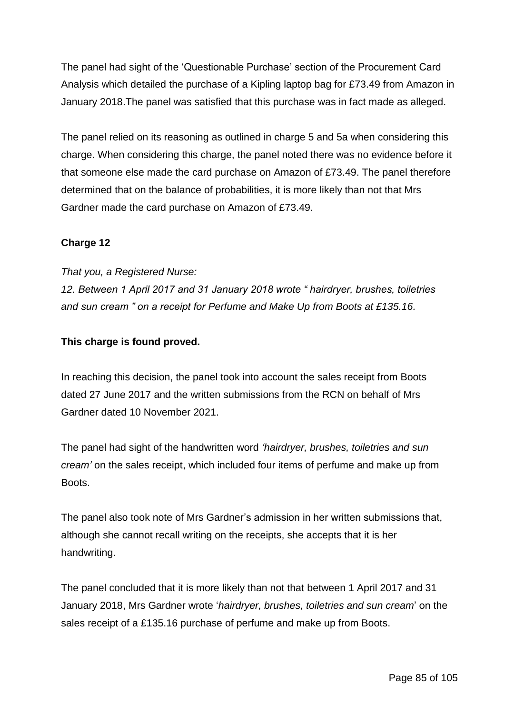The panel had sight of the 'Questionable Purchase' section of the Procurement Card Analysis which detailed the purchase of a Kipling laptop bag for £73.49 from Amazon in January 2018.The panel was satisfied that this purchase was in fact made as alleged.

The panel relied on its reasoning as outlined in charge 5 and 5a when considering this charge. When considering this charge, the panel noted there was no evidence before it that someone else made the card purchase on Amazon of £73.49. The panel therefore determined that on the balance of probabilities, it is more likely than not that Mrs Gardner made the card purchase on Amazon of £73.49.

## **Charge 12**

*That you, a Registered Nurse:*

*12. Between 1 April 2017 and 31 January 2018 wrote " hairdryer, brushes, toiletries and sun cream " on a receipt for Perfume and Make Up from Boots at £135.16.*

## **This charge is found proved.**

In reaching this decision, the panel took into account the sales receipt from Boots dated 27 June 2017 and the written submissions from the RCN on behalf of Mrs Gardner dated 10 November 2021.

The panel had sight of the handwritten word *'hairdryer, brushes, toiletries and sun cream'* on the sales receipt, which included four items of perfume and make up from Boots.

The panel also took note of Mrs Gardner's admission in her written submissions that, although she cannot recall writing on the receipts, she accepts that it is her handwriting.

The panel concluded that it is more likely than not that between 1 April 2017 and 31 January 2018, Mrs Gardner wrote '*hairdryer, brushes, toiletries and sun cream*' on the sales receipt of a £135.16 purchase of perfume and make up from Boots.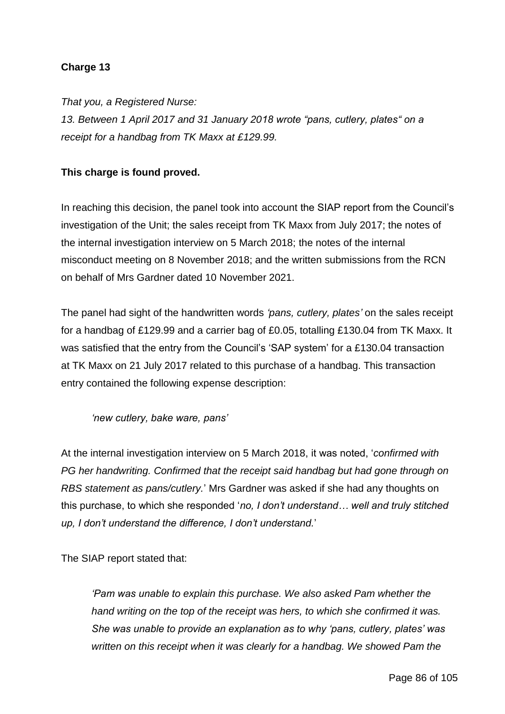## **Charge 13**

*That you, a Registered Nurse:*

*13. Between 1 April 2017 and 31 January 2018 wrote "pans, cutlery, plates" on a receipt for a handbag from TK Maxx at £129.99.*

#### **This charge is found proved.**

In reaching this decision, the panel took into account the SIAP report from the Council's investigation of the Unit; the sales receipt from TK Maxx from July 2017; the notes of the internal investigation interview on 5 March 2018; the notes of the internal misconduct meeting on 8 November 2018; and the written submissions from the RCN on behalf of Mrs Gardner dated 10 November 2021.

The panel had sight of the handwritten words *'pans, cutlery, plates'* on the sales receipt for a handbag of £129.99 and a carrier bag of £0.05, totalling £130.04 from TK Maxx. It was satisfied that the entry from the Council's 'SAP system' for a £130.04 transaction at TK Maxx on 21 July 2017 related to this purchase of a handbag. This transaction entry contained the following expense description:

#### *'new cutlery, bake ware, pans'*

At the internal investigation interview on 5 March 2018, it was noted, '*confirmed with PG her handwriting. Confirmed that the receipt said handbag but had gone through on RBS statement as pans/cutlery.*' Mrs Gardner was asked if she had any thoughts on this purchase, to which she responded '*no, I don't understand… well and truly stitched up, I don't understand the difference, I don't understand.*'

The SIAP report stated that:

*'Pam was unable to explain this purchase. We also asked Pam whether the hand writing on the top of the receipt was hers, to which she confirmed it was. She was unable to provide an explanation as to why 'pans, cutlery, plates' was written on this receipt when it was clearly for a handbag. We showed Pam the*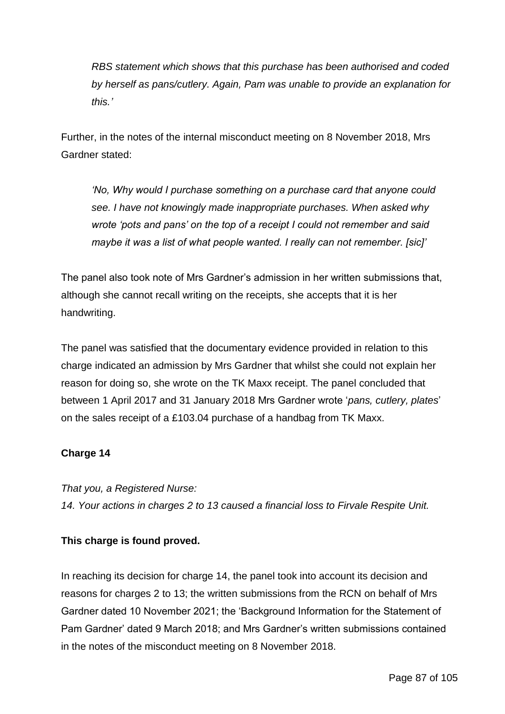*RBS statement which shows that this purchase has been authorised and coded by herself as pans/cutlery. Again, Pam was unable to provide an explanation for this.'*

Further, in the notes of the internal misconduct meeting on 8 November 2018, Mrs Gardner stated:

*'No, Why would I purchase something on a purchase card that anyone could see. I have not knowingly made inappropriate purchases. When asked why wrote 'pots and pans' on the top of a receipt I could not remember and said maybe it was a list of what people wanted. I really can not remember. [sic]'*

The panel also took note of Mrs Gardner's admission in her written submissions that, although she cannot recall writing on the receipts, she accepts that it is her handwriting.

The panel was satisfied that the documentary evidence provided in relation to this charge indicated an admission by Mrs Gardner that whilst she could not explain her reason for doing so, she wrote on the TK Maxx receipt. The panel concluded that between 1 April 2017 and 31 January 2018 Mrs Gardner wrote '*pans, cutlery, plates*' on the sales receipt of a £103.04 purchase of a handbag from TK Maxx.

## **Charge 14**

*That you, a Registered Nurse:*

*14. Your actions in charges 2 to 13 caused a financial loss to Firvale Respite Unit.*

## **This charge is found proved.**

In reaching its decision for charge 14, the panel took into account its decision and reasons for charges 2 to 13; the written submissions from the RCN on behalf of Mrs Gardner dated 10 November 2021; the 'Background Information for the Statement of Pam Gardner' dated 9 March 2018; and Mrs Gardner's written submissions contained in the notes of the misconduct meeting on 8 November 2018.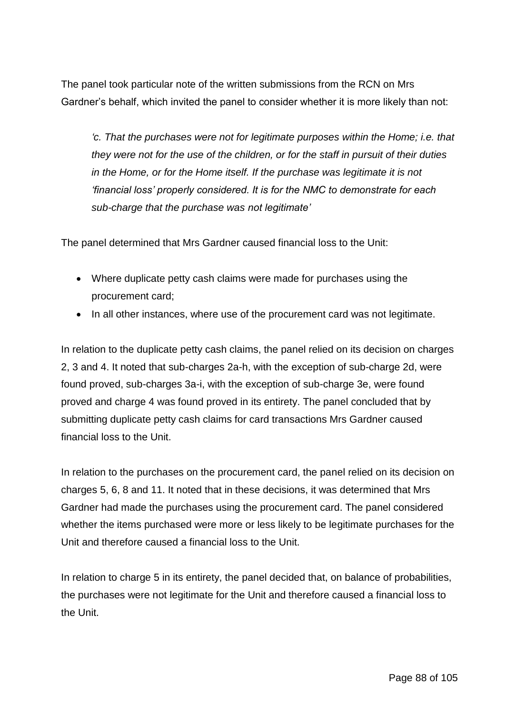The panel took particular note of the written submissions from the RCN on Mrs Gardner's behalf, which invited the panel to consider whether it is more likely than not:

*'c. That the purchases were not for legitimate purposes within the Home; i.e. that they were not for the use of the children, or for the staff in pursuit of their duties in the Home, or for the Home itself. If the purchase was legitimate it is not 'financial loss' properly considered. It is for the NMC to demonstrate for each sub-charge that the purchase was not legitimate'*

The panel determined that Mrs Gardner caused financial loss to the Unit:

- Where duplicate petty cash claims were made for purchases using the procurement card;
- In all other instances, where use of the procurement card was not legitimate.

In relation to the duplicate petty cash claims, the panel relied on its decision on charges 2, 3 and 4. It noted that sub-charges 2a-h, with the exception of sub-charge 2d, were found proved, sub-charges 3a-i, with the exception of sub-charge 3e, were found proved and charge 4 was found proved in its entirety. The panel concluded that by submitting duplicate petty cash claims for card transactions Mrs Gardner caused financial loss to the Unit.

In relation to the purchases on the procurement card, the panel relied on its decision on charges 5, 6, 8 and 11. It noted that in these decisions, it was determined that Mrs Gardner had made the purchases using the procurement card. The panel considered whether the items purchased were more or less likely to be legitimate purchases for the Unit and therefore caused a financial loss to the Unit.

In relation to charge 5 in its entirety, the panel decided that, on balance of probabilities, the purchases were not legitimate for the Unit and therefore caused a financial loss to the Unit.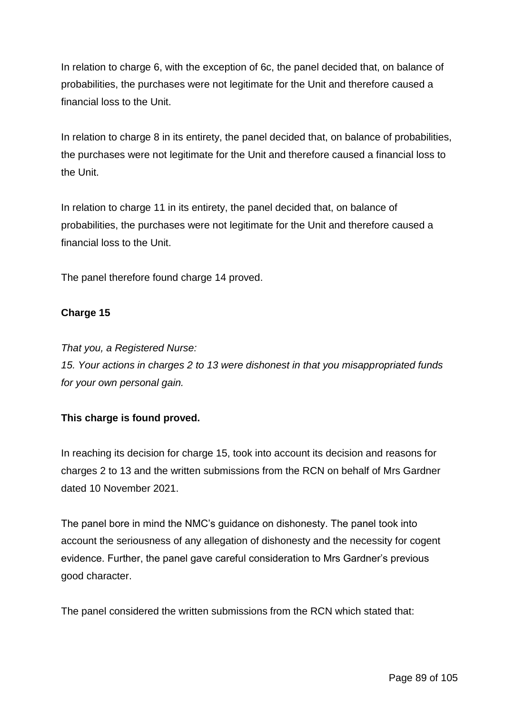In relation to charge 6, with the exception of 6c, the panel decided that, on balance of probabilities, the purchases were not legitimate for the Unit and therefore caused a financial loss to the Unit.

In relation to charge 8 in its entirety, the panel decided that, on balance of probabilities, the purchases were not legitimate for the Unit and therefore caused a financial loss to the Unit.

In relation to charge 11 in its entirety, the panel decided that, on balance of probabilities, the purchases were not legitimate for the Unit and therefore caused a financial loss to the Unit.

The panel therefore found charge 14 proved.

## **Charge 15**

*That you, a Registered Nurse:*

*15. Your actions in charges 2 to 13 were dishonest in that you misappropriated funds for your own personal gain.*

## **This charge is found proved.**

In reaching its decision for charge 15, took into account its decision and reasons for charges 2 to 13 and the written submissions from the RCN on behalf of Mrs Gardner dated 10 November 2021.

The panel bore in mind the NMC's guidance on dishonesty. The panel took into account the seriousness of any allegation of dishonesty and the necessity for cogent evidence. Further, the panel gave careful consideration to Mrs Gardner's previous good character.

The panel considered the written submissions from the RCN which stated that: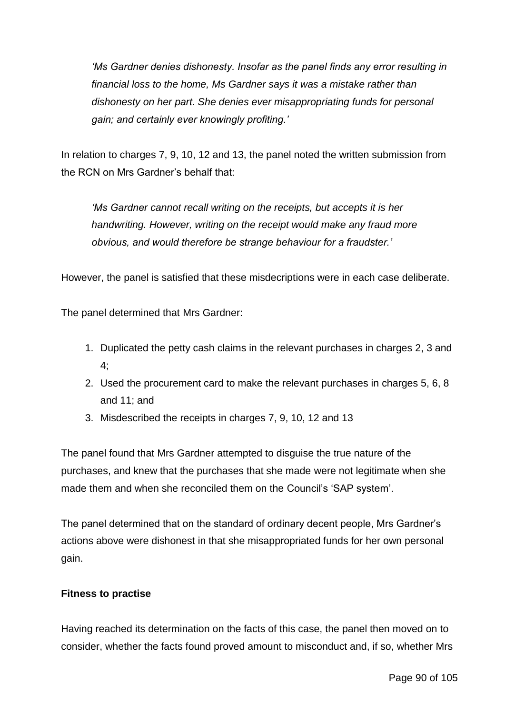*'Ms Gardner denies dishonesty. Insofar as the panel finds any error resulting in financial loss to the home, Ms Gardner says it was a mistake rather than dishonesty on her part. She denies ever misappropriating funds for personal gain; and certainly ever knowingly profiting.'*

In relation to charges 7, 9, 10, 12 and 13, the panel noted the written submission from the RCN on Mrs Gardner's behalf that:

*'Ms Gardner cannot recall writing on the receipts, but accepts it is her handwriting. However, writing on the receipt would make any fraud more obvious, and would therefore be strange behaviour for a fraudster.'*

However, the panel is satisfied that these misdecriptions were in each case deliberate.

The panel determined that Mrs Gardner:

- 1. Duplicated the petty cash claims in the relevant purchases in charges 2, 3 and 4;
- 2. Used the procurement card to make the relevant purchases in charges 5, 6, 8 and 11; and
- 3. Misdescribed the receipts in charges 7, 9, 10, 12 and 13

The panel found that Mrs Gardner attempted to disguise the true nature of the purchases, and knew that the purchases that she made were not legitimate when she made them and when she reconciled them on the Council's 'SAP system'.

The panel determined that on the standard of ordinary decent people, Mrs Gardner's actions above were dishonest in that she misappropriated funds for her own personal gain.

#### **Fitness to practise**

Having reached its determination on the facts of this case, the panel then moved on to consider, whether the facts found proved amount to misconduct and, if so, whether Mrs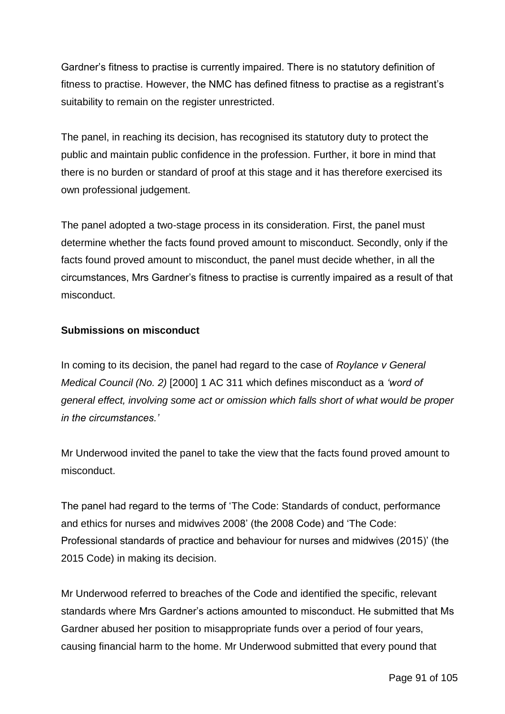Gardner's fitness to practise is currently impaired. There is no statutory definition of fitness to practise. However, the NMC has defined fitness to practise as a registrant's suitability to remain on the register unrestricted.

The panel, in reaching its decision, has recognised its statutory duty to protect the public and maintain public confidence in the profession. Further, it bore in mind that there is no burden or standard of proof at this stage and it has therefore exercised its own professional judgement.

The panel adopted a two-stage process in its consideration. First, the panel must determine whether the facts found proved amount to misconduct. Secondly, only if the facts found proved amount to misconduct, the panel must decide whether, in all the circumstances, Mrs Gardner's fitness to practise is currently impaired as a result of that misconduct.

## **Submissions on misconduct**

In coming to its decision, the panel had regard to the case of *Roylance v General Medical Council (No. 2)* [2000] 1 AC 311 which defines misconduct as a *'word of general effect, involving some act or omission which falls short of what would be proper in the circumstances.'*

Mr Underwood invited the panel to take the view that the facts found proved amount to misconduct.

The panel had regard to the terms of 'The Code: Standards of conduct, performance and ethics for nurses and midwives 2008' (the 2008 Code) and 'The Code: Professional standards of practice and behaviour for nurses and midwives (2015)' (the 2015 Code) in making its decision.

Mr Underwood referred to breaches of the Code and identified the specific, relevant standards where Mrs Gardner's actions amounted to misconduct. He submitted that Ms Gardner abused her position to misappropriate funds over a period of four years, causing financial harm to the home. Mr Underwood submitted that every pound that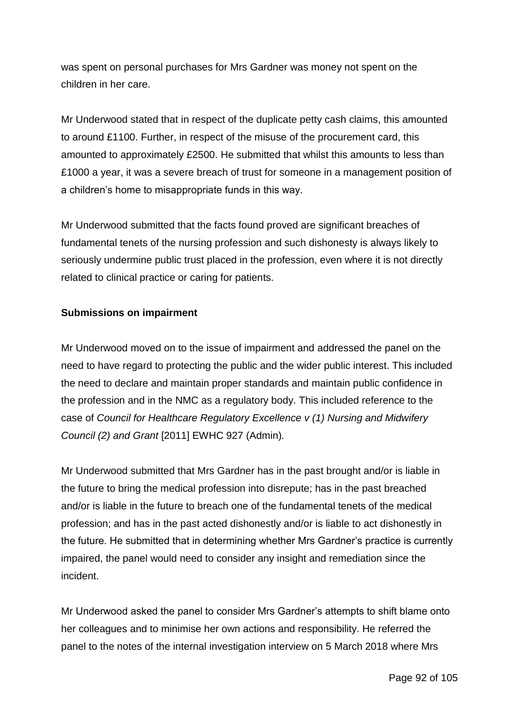was spent on personal purchases for Mrs Gardner was money not spent on the children in her care.

Mr Underwood stated that in respect of the duplicate petty cash claims, this amounted to around £1100. Further, in respect of the misuse of the procurement card, this amounted to approximately £2500. He submitted that whilst this amounts to less than £1000 a year, it was a severe breach of trust for someone in a management position of a children's home to misappropriate funds in this way.

Mr Underwood submitted that the facts found proved are significant breaches of fundamental tenets of the nursing profession and such dishonesty is always likely to seriously undermine public trust placed in the profession, even where it is not directly related to clinical practice or caring for patients.

## **Submissions on impairment**

Mr Underwood moved on to the issue of impairment and addressed the panel on the need to have regard to protecting the public and the wider public interest. This included the need to declare and maintain proper standards and maintain public confidence in the profession and in the NMC as a regulatory body. This included reference to the case of *Council for Healthcare Regulatory Excellence v (1) Nursing and Midwifery Council (2) and Grant* [2011] EWHC 927 (Admin)*.*

Mr Underwood submitted that Mrs Gardner has in the past brought and/or is liable in the future to bring the medical profession into disrepute; has in the past breached and/or is liable in the future to breach one of the fundamental tenets of the medical profession; and has in the past acted dishonestly and/or is liable to act dishonestly in the future. He submitted that in determining whether Mrs Gardner's practice is currently impaired, the panel would need to consider any insight and remediation since the incident.

Mr Underwood asked the panel to consider Mrs Gardner's attempts to shift blame onto her colleagues and to minimise her own actions and responsibility. He referred the panel to the notes of the internal investigation interview on 5 March 2018 where Mrs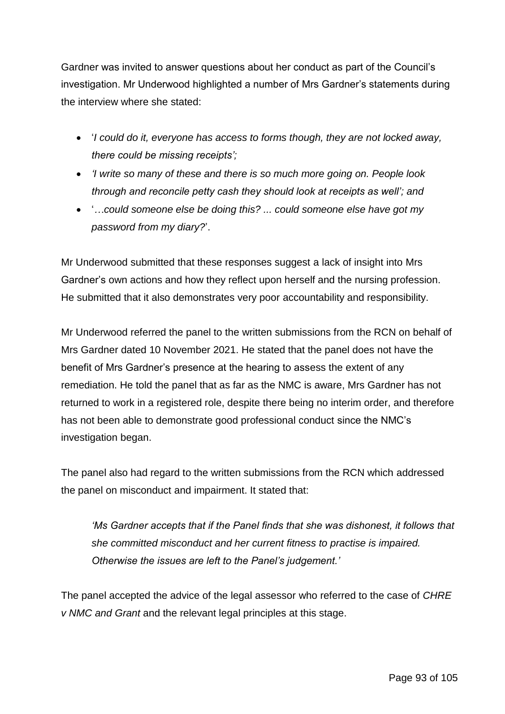Gardner was invited to answer questions about her conduct as part of the Council's investigation. Mr Underwood highlighted a number of Mrs Gardner's statements during the interview where she stated:

- '*I could do it, everyone has access to forms though, they are not locked away, there could be missing receipts';*
- *'I write so many of these and there is so much more going on. People look through and reconcile petty cash they should look at receipts as well'; and*
- '*…could someone else be doing this? ... could someone else have got my password from my diary?*'.

Mr Underwood submitted that these responses suggest a lack of insight into Mrs Gardner's own actions and how they reflect upon herself and the nursing profession. He submitted that it also demonstrates very poor accountability and responsibility.

Mr Underwood referred the panel to the written submissions from the RCN on behalf of Mrs Gardner dated 10 November 2021. He stated that the panel does not have the benefit of Mrs Gardner's presence at the hearing to assess the extent of any remediation. He told the panel that as far as the NMC is aware, Mrs Gardner has not returned to work in a registered role, despite there being no interim order, and therefore has not been able to demonstrate good professional conduct since the NMC's investigation began.

The panel also had regard to the written submissions from the RCN which addressed the panel on misconduct and impairment. It stated that:

*'Ms Gardner accepts that if the Panel finds that she was dishonest, it follows that she committed misconduct and her current fitness to practise is impaired. Otherwise the issues are left to the Panel's judgement.'*

The panel accepted the advice of the legal assessor who referred to the case of *CHRE v NMC and Grant* and the relevant legal principles at this stage.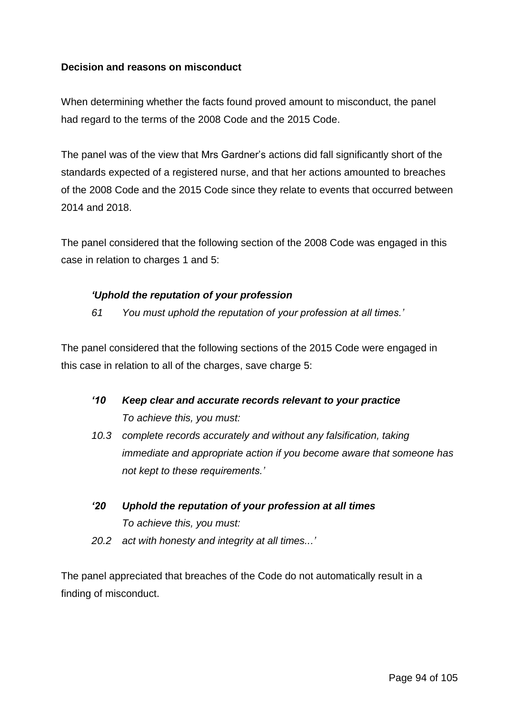#### **Decision and reasons on misconduct**

When determining whether the facts found proved amount to misconduct, the panel had regard to the terms of the 2008 Code and the 2015 Code.

The panel was of the view that Mrs Gardner's actions did fall significantly short of the standards expected of a registered nurse, and that her actions amounted to breaches of the 2008 Code and the 2015 Code since they relate to events that occurred between 2014 and 2018.

The panel considered that the following section of the 2008 Code was engaged in this case in relation to charges 1 and 5:

#### *'Uphold the reputation of your profession*

*61 You must uphold the reputation of your profession at all times.'*

The panel considered that the following sections of the 2015 Code were engaged in this case in relation to all of the charges, save charge 5:

- *'10 Keep clear and accurate records relevant to your practice To achieve this, you must:*
- *10.3 complete records accurately and without any falsification, taking immediate and appropriate action if you become aware that someone has not kept to these requirements.'*
- *'20 Uphold the reputation of your profession at all times To achieve this, you must: 20.2 act with honesty and integrity at all times...'*

The panel appreciated that breaches of the Code do not automatically result in a finding of misconduct.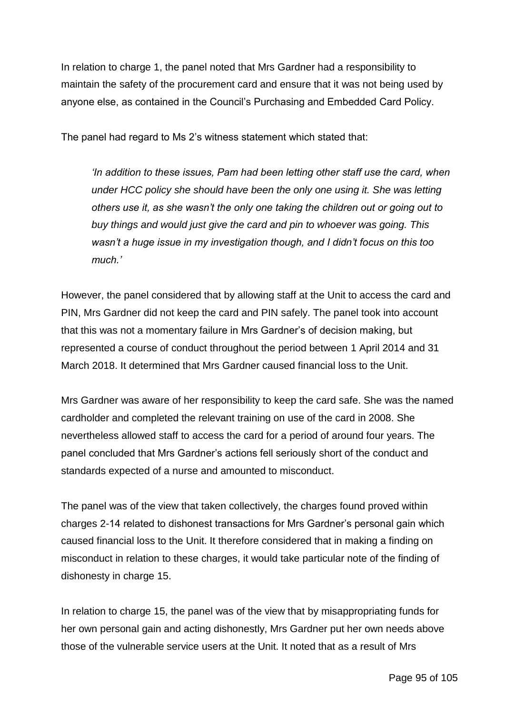In relation to charge 1, the panel noted that Mrs Gardner had a responsibility to maintain the safety of the procurement card and ensure that it was not being used by anyone else, as contained in the Council's Purchasing and Embedded Card Policy.

The panel had regard to Ms 2's witness statement which stated that:

*'In addition to these issues, Pam had been letting other staff use the card, when under HCC policy she should have been the only one using it. She was letting others use it, as she wasn't the only one taking the children out or going out to buy things and would just give the card and pin to whoever was going. This wasn't a huge issue in my investigation though, and I didn't focus on this too much.'*

However, the panel considered that by allowing staff at the Unit to access the card and PIN, Mrs Gardner did not keep the card and PIN safely. The panel took into account that this was not a momentary failure in Mrs Gardner's of decision making, but represented a course of conduct throughout the period between 1 April 2014 and 31 March 2018. It determined that Mrs Gardner caused financial loss to the Unit.

Mrs Gardner was aware of her responsibility to keep the card safe. She was the named cardholder and completed the relevant training on use of the card in 2008. She nevertheless allowed staff to access the card for a period of around four years. The panel concluded that Mrs Gardner's actions fell seriously short of the conduct and standards expected of a nurse and amounted to misconduct.

The panel was of the view that taken collectively, the charges found proved within charges 2-14 related to dishonest transactions for Mrs Gardner's personal gain which caused financial loss to the Unit. It therefore considered that in making a finding on misconduct in relation to these charges, it would take particular note of the finding of dishonesty in charge 15.

In relation to charge 15, the panel was of the view that by misappropriating funds for her own personal gain and acting dishonestly, Mrs Gardner put her own needs above those of the vulnerable service users at the Unit. It noted that as a result of Mrs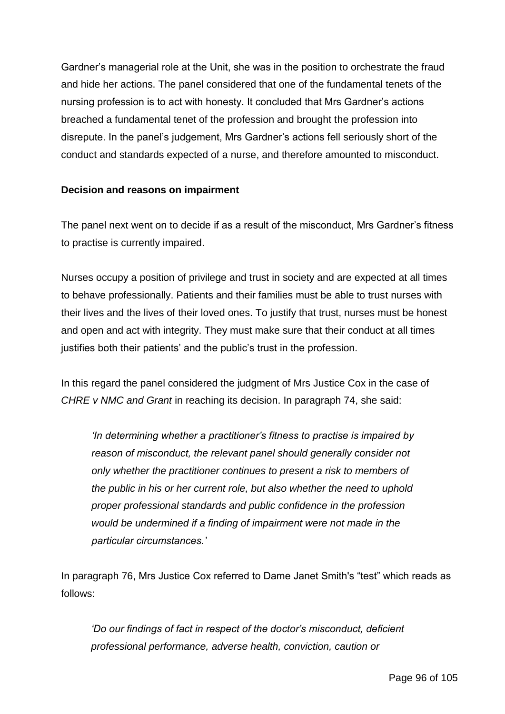Gardner's managerial role at the Unit, she was in the position to orchestrate the fraud and hide her actions. The panel considered that one of the fundamental tenets of the nursing profession is to act with honesty. It concluded that Mrs Gardner's actions breached a fundamental tenet of the profession and brought the profession into disrepute. In the panel's judgement, Mrs Gardner's actions fell seriously short of the conduct and standards expected of a nurse, and therefore amounted to misconduct.

#### **Decision and reasons on impairment**

The panel next went on to decide if as a result of the misconduct, Mrs Gardner's fitness to practise is currently impaired.

Nurses occupy a position of privilege and trust in society and are expected at all times to behave professionally. Patients and their families must be able to trust nurses with their lives and the lives of their loved ones. To justify that trust, nurses must be honest and open and act with integrity. They must make sure that their conduct at all times justifies both their patients' and the public's trust in the profession.

In this regard the panel considered the judgment of Mrs Justice Cox in the case of *CHRE v NMC and Grant* in reaching its decision. In paragraph 74, she said:

*'In determining whether a practitioner's fitness to practise is impaired by reason of misconduct, the relevant panel should generally consider not only whether the practitioner continues to present a risk to members of the public in his or her current role, but also whether the need to uphold proper professional standards and public confidence in the profession would be undermined if a finding of impairment were not made in the particular circumstances.'*

In paragraph 76, Mrs Justice Cox referred to Dame Janet Smith's "test" which reads as follows:

*'Do our findings of fact in respect of the doctor's misconduct, deficient professional performance, adverse health, conviction, caution or*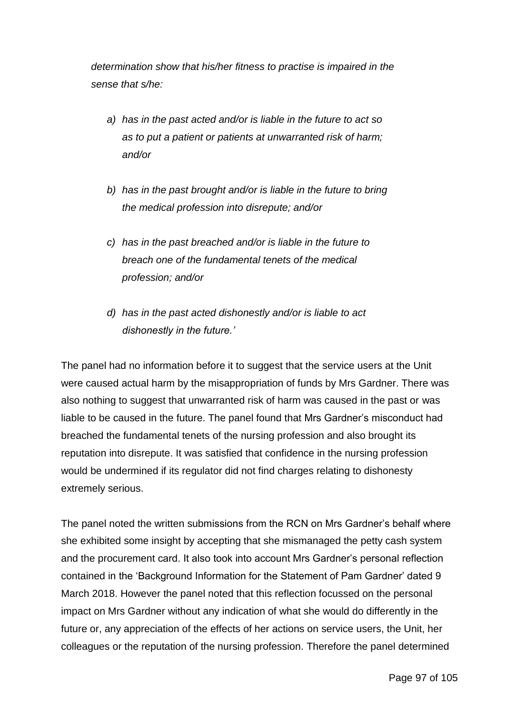*determination show that his/her fitness to practise is impaired in the sense that s/he:*

- *a) has in the past acted and/or is liable in the future to act so as to put a patient or patients at unwarranted risk of harm; and/or*
- *b) has in the past brought and/or is liable in the future to bring the medical profession into disrepute; and/or*
- *c) has in the past breached and/or is liable in the future to breach one of the fundamental tenets of the medical profession; and/or*
- *d) has in the past acted dishonestly and/or is liable to act dishonestly in the future.'*

The panel had no information before it to suggest that the service users at the Unit were caused actual harm by the misappropriation of funds by Mrs Gardner. There was also nothing to suggest that unwarranted risk of harm was caused in the past or was liable to be caused in the future. The panel found that Mrs Gardner's misconduct had breached the fundamental tenets of the nursing profession and also brought its reputation into disrepute. It was satisfied that confidence in the nursing profession would be undermined if its regulator did not find charges relating to dishonesty extremely serious.

The panel noted the written submissions from the RCN on Mrs Gardner's behalf where she exhibited some insight by accepting that she mismanaged the petty cash system and the procurement card. It also took into account Mrs Gardner's personal reflection contained in the 'Background Information for the Statement of Pam Gardner' dated 9 March 2018. However the panel noted that this reflection focussed on the personal impact on Mrs Gardner without any indication of what she would do differently in the future or, any appreciation of the effects of her actions on service users, the Unit, her colleagues or the reputation of the nursing profession. Therefore the panel determined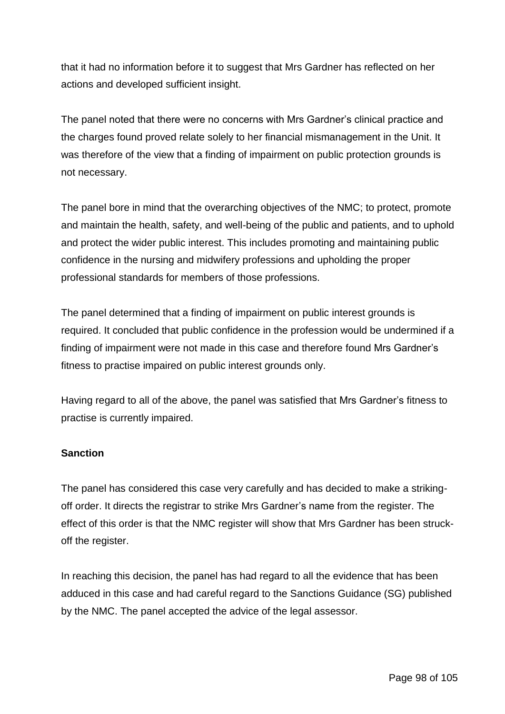that it had no information before it to suggest that Mrs Gardner has reflected on her actions and developed sufficient insight.

The panel noted that there were no concerns with Mrs Gardner's clinical practice and the charges found proved relate solely to her financial mismanagement in the Unit. It was therefore of the view that a finding of impairment on public protection grounds is not necessary.

The panel bore in mind that the overarching objectives of the NMC; to protect, promote and maintain the health, safety, and well-being of the public and patients, and to uphold and protect the wider public interest. This includes promoting and maintaining public confidence in the nursing and midwifery professions and upholding the proper professional standards for members of those professions.

The panel determined that a finding of impairment on public interest grounds is required. It concluded that public confidence in the profession would be undermined if a finding of impairment were not made in this case and therefore found Mrs Gardner's fitness to practise impaired on public interest grounds only.

Having regard to all of the above, the panel was satisfied that Mrs Gardner's fitness to practise is currently impaired.

## **Sanction**

The panel has considered this case very carefully and has decided to make a strikingoff order. It directs the registrar to strike Mrs Gardner's name from the register. The effect of this order is that the NMC register will show that Mrs Gardner has been struckoff the register.

In reaching this decision, the panel has had regard to all the evidence that has been adduced in this case and had careful regard to the Sanctions Guidance (SG) published by the NMC. The panel accepted the advice of the legal assessor.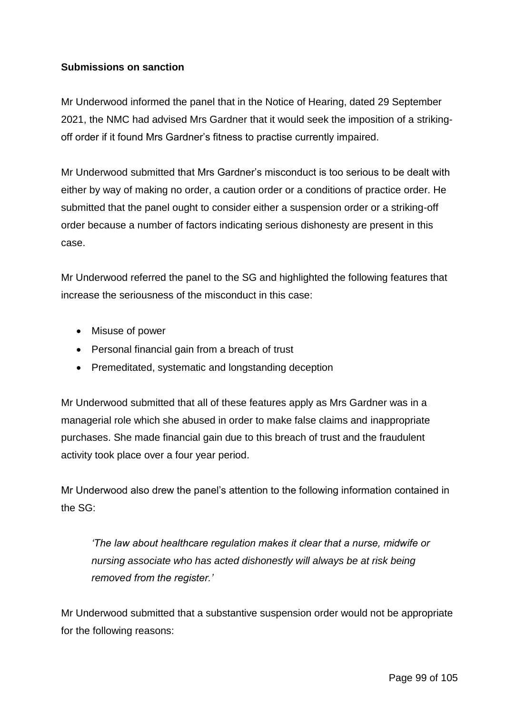## **Submissions on sanction**

Mr Underwood informed the panel that in the Notice of Hearing, dated 29 September 2021, the NMC had advised Mrs Gardner that it would seek the imposition of a strikingoff order if it found Mrs Gardner's fitness to practise currently impaired.

Mr Underwood submitted that Mrs Gardner's misconduct is too serious to be dealt with either by way of making no order, a caution order or a conditions of practice order. He submitted that the panel ought to consider either a suspension order or a striking-off order because a number of factors indicating serious dishonesty are present in this case.

Mr Underwood referred the panel to the SG and highlighted the following features that increase the seriousness of the misconduct in this case:

- Misuse of power
- Personal financial gain from a breach of trust
- Premeditated, systematic and longstanding deception

Mr Underwood submitted that all of these features apply as Mrs Gardner was in a managerial role which she abused in order to make false claims and inappropriate purchases. She made financial gain due to this breach of trust and the fraudulent activity took place over a four year period.

Mr Underwood also drew the panel's attention to the following information contained in the SG:

*'The law about healthcare regulation makes it clear that a nurse, midwife or nursing associate who has acted dishonestly will always be at risk being removed from the register.'*

Mr Underwood submitted that a substantive suspension order would not be appropriate for the following reasons: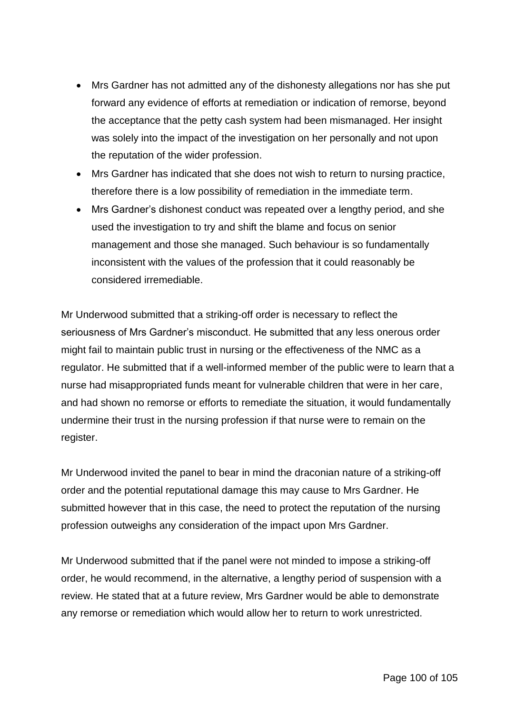- Mrs Gardner has not admitted any of the dishonesty allegations nor has she put forward any evidence of efforts at remediation or indication of remorse, beyond the acceptance that the petty cash system had been mismanaged. Her insight was solely into the impact of the investigation on her personally and not upon the reputation of the wider profession.
- Mrs Gardner has indicated that she does not wish to return to nursing practice, therefore there is a low possibility of remediation in the immediate term.
- Mrs Gardner's dishonest conduct was repeated over a lengthy period, and she used the investigation to try and shift the blame and focus on senior management and those she managed. Such behaviour is so fundamentally inconsistent with the values of the profession that it could reasonably be considered irremediable.

Mr Underwood submitted that a striking-off order is necessary to reflect the seriousness of Mrs Gardner's misconduct. He submitted that any less onerous order might fail to maintain public trust in nursing or the effectiveness of the NMC as a regulator. He submitted that if a well-informed member of the public were to learn that a nurse had misappropriated funds meant for vulnerable children that were in her care, and had shown no remorse or efforts to remediate the situation, it would fundamentally undermine their trust in the nursing profession if that nurse were to remain on the register.

Mr Underwood invited the panel to bear in mind the draconian nature of a striking-off order and the potential reputational damage this may cause to Mrs Gardner. He submitted however that in this case, the need to protect the reputation of the nursing profession outweighs any consideration of the impact upon Mrs Gardner.

Mr Underwood submitted that if the panel were not minded to impose a striking-off order, he would recommend, in the alternative, a lengthy period of suspension with a review. He stated that at a future review, Mrs Gardner would be able to demonstrate any remorse or remediation which would allow her to return to work unrestricted.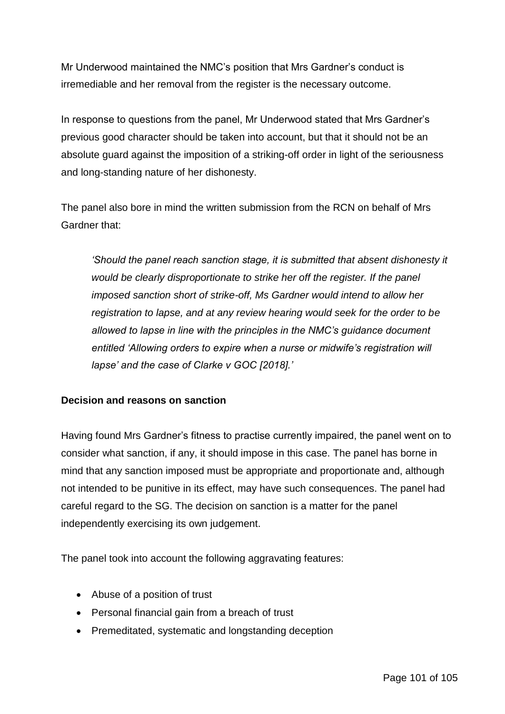Mr Underwood maintained the NMC's position that Mrs Gardner's conduct is irremediable and her removal from the register is the necessary outcome.

In response to questions from the panel, Mr Underwood stated that Mrs Gardner's previous good character should be taken into account, but that it should not be an absolute guard against the imposition of a striking-off order in light of the seriousness and long-standing nature of her dishonesty.

The panel also bore in mind the written submission from the RCN on behalf of Mrs Gardner that:

*'Should the panel reach sanction stage, it is submitted that absent dishonesty it would be clearly disproportionate to strike her off the register. If the panel imposed sanction short of strike-off, Ms Gardner would intend to allow her registration to lapse, and at any review hearing would seek for the order to be allowed to lapse in line with the principles in the NMC's guidance document entitled 'Allowing orders to expire when a nurse or midwife's registration will lapse' and the case of Clarke v GOC [2018].'*

## **Decision and reasons on sanction**

Having found Mrs Gardner's fitness to practise currently impaired, the panel went on to consider what sanction, if any, it should impose in this case. The panel has borne in mind that any sanction imposed must be appropriate and proportionate and, although not intended to be punitive in its effect, may have such consequences. The panel had careful regard to the SG. The decision on sanction is a matter for the panel independently exercising its own judgement.

The panel took into account the following aggravating features:

- Abuse of a position of trust
- Personal financial gain from a breach of trust
- Premeditated, systematic and longstanding deception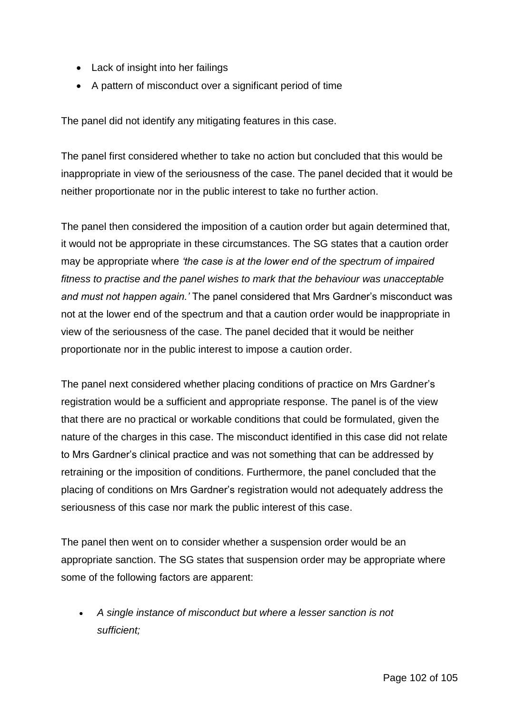- Lack of insight into her failings
- A pattern of misconduct over a significant period of time

The panel did not identify any mitigating features in this case.

The panel first considered whether to take no action but concluded that this would be inappropriate in view of the seriousness of the case. The panel decided that it would be neither proportionate nor in the public interest to take no further action.

The panel then considered the imposition of a caution order but again determined that, it would not be appropriate in these circumstances. The SG states that a caution order may be appropriate where *'the case is at the lower end of the spectrum of impaired fitness to practise and the panel wishes to mark that the behaviour was unacceptable and must not happen again.'* The panel considered that Mrs Gardner's misconduct was not at the lower end of the spectrum and that a caution order would be inappropriate in view of the seriousness of the case. The panel decided that it would be neither proportionate nor in the public interest to impose a caution order.

The panel next considered whether placing conditions of practice on Mrs Gardner's registration would be a sufficient and appropriate response. The panel is of the view that there are no practical or workable conditions that could be formulated, given the nature of the charges in this case. The misconduct identified in this case did not relate to Mrs Gardner's clinical practice and was not something that can be addressed by retraining or the imposition of conditions. Furthermore, the panel concluded that the placing of conditions on Mrs Gardner's registration would not adequately address the seriousness of this case nor mark the public interest of this case.

The panel then went on to consider whether a suspension order would be an appropriate sanction. The SG states that suspension order may be appropriate where some of the following factors are apparent:

 *A single instance of misconduct but where a lesser sanction is not sufficient;*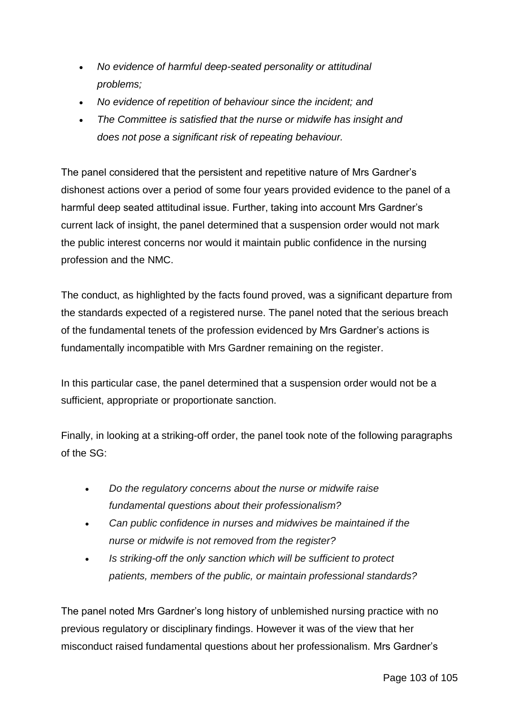- *No evidence of harmful deep-seated personality or attitudinal problems;*
- *No evidence of repetition of behaviour since the incident; and*
- *The Committee is satisfied that the nurse or midwife has insight and does not pose a significant risk of repeating behaviour.*

The panel considered that the persistent and repetitive nature of Mrs Gardner's dishonest actions over a period of some four years provided evidence to the panel of a harmful deep seated attitudinal issue. Further, taking into account Mrs Gardner's current lack of insight, the panel determined that a suspension order would not mark the public interest concerns nor would it maintain public confidence in the nursing profession and the NMC.

The conduct, as highlighted by the facts found proved, was a significant departure from the standards expected of a registered nurse. The panel noted that the serious breach of the fundamental tenets of the profession evidenced by Mrs Gardner's actions is fundamentally incompatible with Mrs Gardner remaining on the register.

In this particular case, the panel determined that a suspension order would not be a sufficient, appropriate or proportionate sanction.

Finally, in looking at a striking-off order, the panel took note of the following paragraphs of the SG:

- *Do the regulatory concerns about the nurse or midwife raise fundamental questions about their professionalism?*
- *Can public confidence in nurses and midwives be maintained if the nurse or midwife is not removed from the register?*
- *Is striking-off the only sanction which will be sufficient to protect patients, members of the public, or maintain professional standards?*

The panel noted Mrs Gardner's long history of unblemished nursing practice with no previous regulatory or disciplinary findings. However it was of the view that her misconduct raised fundamental questions about her professionalism. Mrs Gardner's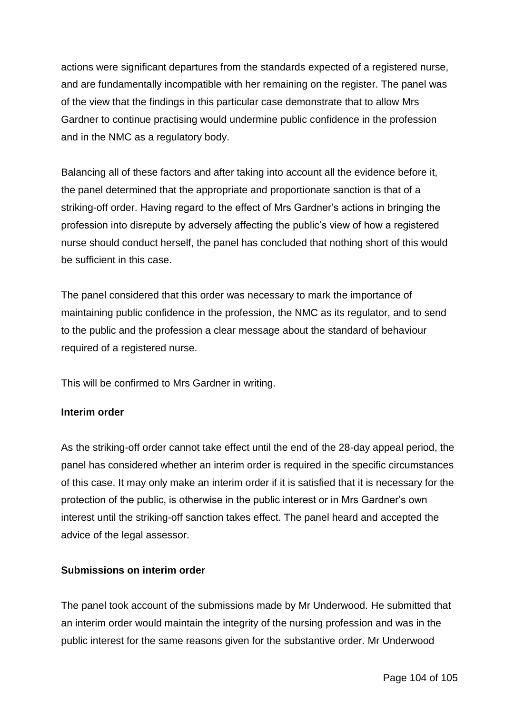actions were significant departures from the standards expected of a registered nurse, and are fundamentally incompatible with her remaining on the register. The panel was of the view that the findings in this particular case demonstrate that to allow Mrs Gardner to continue practising would undermine public confidence in the profession and in the NMC as a regulatory body.

Balancing all of these factors and after taking into account all the evidence before it, the panel determined that the appropriate and proportionate sanction is that of a striking-off order. Having regard to the effect of Mrs Gardner's actions in bringing the profession into disrepute by adversely affecting the public's view of how a registered nurse should conduct herself, the panel has concluded that nothing short of this would be sufficient in this case.

The panel considered that this order was necessary to mark the importance of maintaining public confidence in the profession, the NMC as its regulator, and to send to the public and the profession a clear message about the standard of behaviour required of a registered nurse.

This will be confirmed to Mrs Gardner in writing.

## **Interim order**

As the striking-off order cannot take effect until the end of the 28-day appeal period, the panel has considered whether an interim order is required in the specific circumstances of this case. It may only make an interim order if it is satisfied that it is necessary for the protection of the public, is otherwise in the public interest or in Mrs Gardner's own interest until the striking-off sanction takes effect. The panel heard and accepted the advice of the legal assessor.

## **Submissions on interim order**

The panel took account of the submissions made by Mr Underwood. He submitted that an interim order would maintain the integrity of the nursing profession and was in the public interest for the same reasons given for the substantive order. Mr Underwood